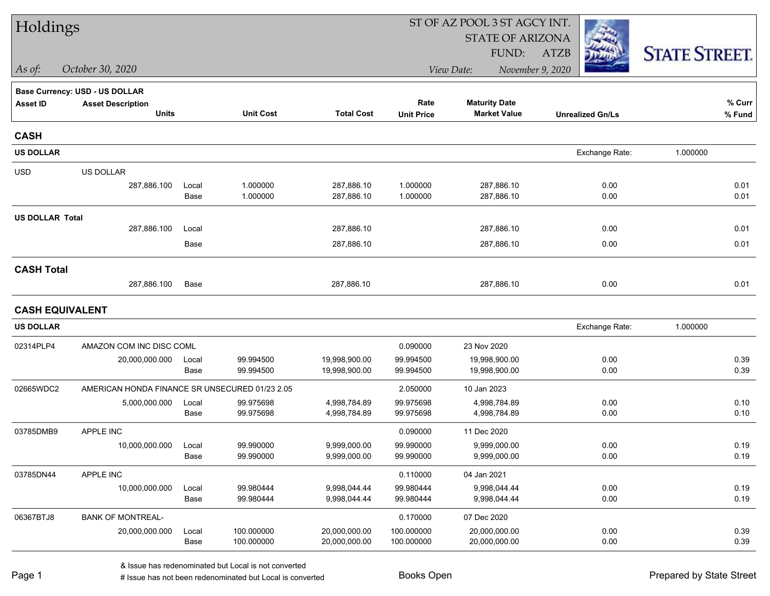| Holdings               |                                                |               |                          |                                |                          | ST OF AZ POOL 3 ST AGCY INT.   |                         |                      |
|------------------------|------------------------------------------------|---------------|--------------------------|--------------------------------|--------------------------|--------------------------------|-------------------------|----------------------|
|                        |                                                |               |                          |                                |                          | <b>STATE OF ARIZONA</b>        |                         |                      |
|                        |                                                |               |                          |                                |                          | FUND:                          | <b>ATZB</b>             | <b>STATE STREET.</b> |
| As of:                 | October 30, 2020                               |               |                          |                                |                          | View Date:                     | November 9, 2020        |                      |
|                        | <b>Base Currency: USD - US DOLLAR</b>          |               |                          |                                |                          |                                |                         |                      |
| <b>Asset ID</b>        | <b>Asset Description</b>                       |               |                          |                                | Rate                     | <b>Maturity Date</b>           |                         | % Curr               |
|                        | <b>Units</b>                                   |               | <b>Unit Cost</b>         | <b>Total Cost</b>              | <b>Unit Price</b>        | <b>Market Value</b>            | <b>Unrealized Gn/Ls</b> | % Fund               |
| <b>CASH</b>            |                                                |               |                          |                                |                          |                                |                         |                      |
| <b>US DOLLAR</b>       |                                                |               |                          |                                |                          |                                | Exchange Rate:          | 1.000000             |
| <b>USD</b>             | US DOLLAR                                      |               |                          |                                |                          |                                |                         |                      |
|                        | 287,886.100                                    | Local         | 1.000000                 | 287,886.10                     | 1.000000                 | 287,886.10                     | 0.00                    | 0.01                 |
|                        |                                                | Base          | 1.000000                 | 287,886.10                     | 1.000000                 | 287,886.10                     | 0.00                    | 0.01                 |
| <b>US DOLLAR Total</b> |                                                |               |                          |                                |                          |                                |                         |                      |
|                        | 287,886.100                                    | Local         |                          | 287,886.10                     |                          | 287,886.10                     | 0.00                    | 0.01                 |
|                        |                                                | Base          |                          | 287,886.10                     |                          | 287,886.10                     | 0.00                    | 0.01                 |
| <b>CASH Total</b>      |                                                |               |                          |                                |                          |                                |                         |                      |
|                        | 287,886.100                                    | Base          |                          | 287,886.10                     |                          | 287,886.10                     | 0.00                    | 0.01                 |
| <b>CASH EQUIVALENT</b> |                                                |               |                          |                                |                          |                                |                         |                      |
| <b>US DOLLAR</b>       |                                                |               |                          |                                |                          |                                | Exchange Rate:          | 1.000000             |
| 02314PLP4              | AMAZON COM INC DISC COML                       |               |                          |                                | 0.090000                 | 23 Nov 2020                    |                         |                      |
|                        | 20,000,000.000                                 | Local         | 99.994500                | 19,998,900.00                  | 99.994500                | 19,998,900.00                  | 0.00                    | 0.39                 |
|                        |                                                | Base          | 99.994500                | 19,998,900.00                  | 99.994500                | 19,998,900.00                  | 0.00                    | 0.39                 |
| 02665WDC2              | AMERICAN HONDA FINANCE SR UNSECURED 01/23 2.05 |               |                          |                                | 2.050000                 | 10 Jan 2023                    |                         |                      |
|                        | 5,000,000.000                                  | Local         | 99.975698                | 4,998,784.89                   | 99.975698                | 4,998,784.89                   | 0.00                    | 0.10                 |
|                        |                                                | Base          | 99.975698                | 4,998,784.89                   | 99.975698                | 4,998,784.89                   | 0.00                    | 0.10                 |
| 03785DMB9              | APPLE INC                                      |               |                          |                                | 0.090000                 | 11 Dec 2020                    |                         |                      |
|                        | 10,000,000.000                                 | Local         | 99.990000                | 9,999,000.00                   | 99.990000                | 9,999,000.00                   | 0.00                    | 0.19                 |
|                        |                                                | Base          | 99.990000                | 9,999,000.00                   | 99.990000                | 9,999,000.00                   | 0.00                    | 0.19                 |
| 03785DN44              | APPLE INC                                      |               |                          |                                | 0.110000                 | 04 Jan 2021                    |                         |                      |
|                        | 10,000,000.000                                 | Local         | 99.980444                | 9,998,044.44                   | 99.980444                | 9,998,044.44<br>9,998,044.44   | 0.00                    | 0.19<br>0.19         |
|                        |                                                | Base          | 99.980444                | 9,998,044.44                   | 99.980444                |                                | 0.00                    |                      |
| 06367BTJ8              | <b>BANK OF MONTREAL-</b>                       |               |                          |                                | 0.170000                 | 07 Dec 2020                    |                         |                      |
|                        | 20,000,000.000                                 | Local<br>Base | 100.000000<br>100.000000 | 20,000,000.00<br>20,000,000.00 | 100.000000<br>100.000000 | 20,000,000.00<br>20,000,000.00 | 0.00<br>0.00            | 0.39<br>0.39         |
|                        |                                                |               |                          |                                |                          |                                |                         |                      |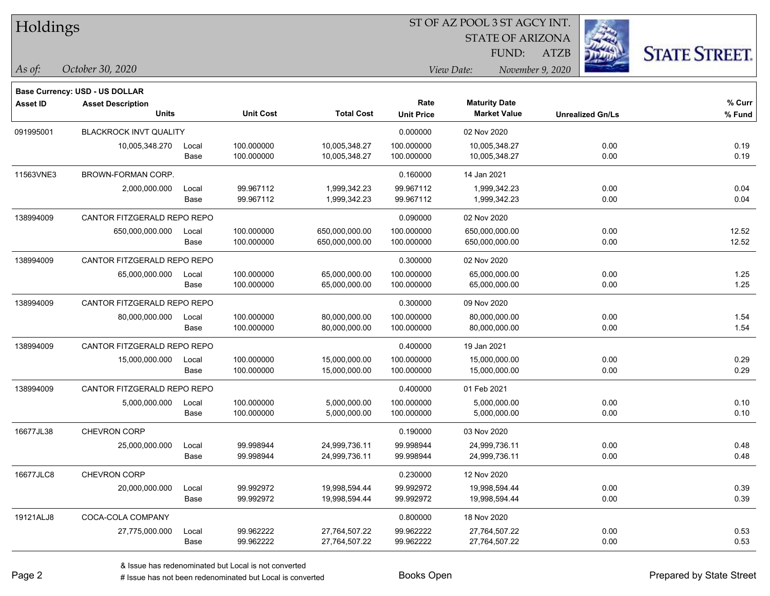| Holdings |
|----------|
|          |

STATE OF ARIZONA

ATZB



**Base Currency: USD - US DOLLAR**

*October 30, 2020 As of: View Date: November 9, 2020* FUND:

| <b>Asset ID</b> | <b>Asset Description</b><br><b>Units</b> |       | <b>Unit Cost</b> | <b>Total Cost</b> | Rate<br><b>Unit Price</b> | <b>Maturity Date</b><br><b>Market Value</b> |                         | % Curr<br>% Fund |
|-----------------|------------------------------------------|-------|------------------|-------------------|---------------------------|---------------------------------------------|-------------------------|------------------|
|                 |                                          |       |                  |                   |                           |                                             | <b>Unrealized Gn/Ls</b> |                  |
| 091995001       | <b>BLACKROCK INVT QUALITY</b>            |       |                  |                   | 0.000000                  | 02 Nov 2020                                 |                         |                  |
|                 | 10,005,348.270                           | Local | 100.000000       | 10,005,348.27     | 100.000000                | 10,005,348.27                               | 0.00                    | 0.19             |
|                 |                                          | Base  | 100.000000       | 10,005,348.27     | 100.000000                | 10,005,348.27                               | 0.00                    | 0.19             |
| 11563VNE3       | BROWN-FORMAN CORP.                       |       |                  |                   | 0.160000                  | 14 Jan 2021                                 |                         |                  |
|                 | 2,000,000.000                            | Local | 99.967112        | 1,999,342.23      | 99.967112                 | 1,999,342.23                                | 0.00                    | 0.04             |
|                 |                                          | Base  | 99.967112        | 1,999,342.23      | 99.967112                 | 1,999,342.23                                | 0.00                    | 0.04             |
| 138994009       | CANTOR FITZGERALD REPO REPO              |       |                  |                   | 0.090000                  | 02 Nov 2020                                 |                         |                  |
|                 | 650,000,000.000                          | Local | 100.000000       | 650,000,000.00    | 100.000000                | 650,000,000.00                              | 0.00                    | 12.52            |
|                 |                                          | Base  | 100.000000       | 650,000,000.00    | 100.000000                | 650,000,000.00                              | 0.00                    | 12.52            |
| 138994009       | CANTOR FITZGERALD REPO REPO              |       |                  |                   | 0.300000                  | 02 Nov 2020                                 |                         |                  |
|                 | 65,000,000.000                           | Local | 100.000000       | 65,000,000.00     | 100.000000                | 65,000,000.00                               | 0.00                    | 1.25             |
|                 |                                          | Base  | 100.000000       | 65,000,000.00     | 100.000000                | 65,000,000.00                               | 0.00                    | 1.25             |
| 138994009       | CANTOR FITZGERALD REPO REPO              |       |                  |                   | 0.300000                  | 09 Nov 2020                                 |                         |                  |
|                 | 80,000,000.000                           | Local | 100.000000       | 80,000,000.00     | 100.000000                | 80,000,000.00                               | 0.00                    | 1.54             |
|                 |                                          | Base  | 100.000000       | 80,000,000.00     | 100.000000                | 80,000,000.00                               | 0.00                    | 1.54             |
| 138994009       | CANTOR FITZGERALD REPO REPO              |       |                  |                   | 0.400000                  | 19 Jan 2021                                 |                         |                  |
|                 | 15,000,000.000                           | Local | 100.000000       | 15,000,000.00     | 100.000000                | 15,000,000.00                               | 0.00                    | 0.29             |
|                 |                                          | Base  | 100.000000       | 15,000,000.00     | 100.000000                | 15,000,000.00                               | 0.00                    | 0.29             |
| 138994009       | CANTOR FITZGERALD REPO REPO              |       |                  |                   | 0.400000                  | 01 Feb 2021                                 |                         |                  |
|                 | 5,000,000.000                            | Local | 100.000000       | 5,000,000.00      | 100.000000                | 5,000,000.00                                | 0.00                    | 0.10             |
|                 |                                          | Base  | 100.000000       | 5,000,000.00      | 100.000000                | 5,000,000.00                                | 0.00                    | 0.10             |
| 16677JL38       | <b>CHEVRON CORP</b>                      |       |                  |                   | 0.190000                  | 03 Nov 2020                                 |                         |                  |
|                 | 25,000,000.000                           | Local | 99.998944        | 24,999,736.11     | 99.998944                 | 24,999,736.11                               | 0.00                    | 0.48             |
|                 |                                          | Base  | 99.998944        | 24,999,736.11     | 99.998944                 | 24,999,736.11                               | 0.00                    | 0.48             |
| 16677JLC8       | <b>CHEVRON CORP</b>                      |       |                  |                   | 0.230000                  | 12 Nov 2020                                 |                         |                  |
|                 | 20,000,000.000                           | Local | 99.992972        | 19,998,594.44     | 99.992972                 | 19,998,594.44                               | 0.00                    | 0.39             |
|                 |                                          | Base  | 99.992972        | 19,998,594.44     | 99.992972                 | 19,998,594.44                               | 0.00                    | 0.39             |
| 19121ALJ8       | COCA-COLA COMPANY                        |       |                  |                   | 0.800000                  | 18 Nov 2020                                 |                         |                  |
|                 | 27,775,000.000                           | Local | 99.962222        | 27,764,507.22     | 99.962222                 | 27,764,507.22                               | 0.00                    | 0.53             |
|                 |                                          | Base  | 99.962222        | 27,764,507.22     | 99.962222                 | 27,764,507.22                               | 0.00                    | 0.53             |

A ISSUE ISSUE ISSUE ISSUE ISSUE ISSUE ISSUE ISSUE ISSUE ISSUE ISSUE ISSUE ISSUE ISSUE ISSUE ISSUE ISSUE ISSUE I<br>
# Issue has not been redenominated but Local is converted **BOOKS** Open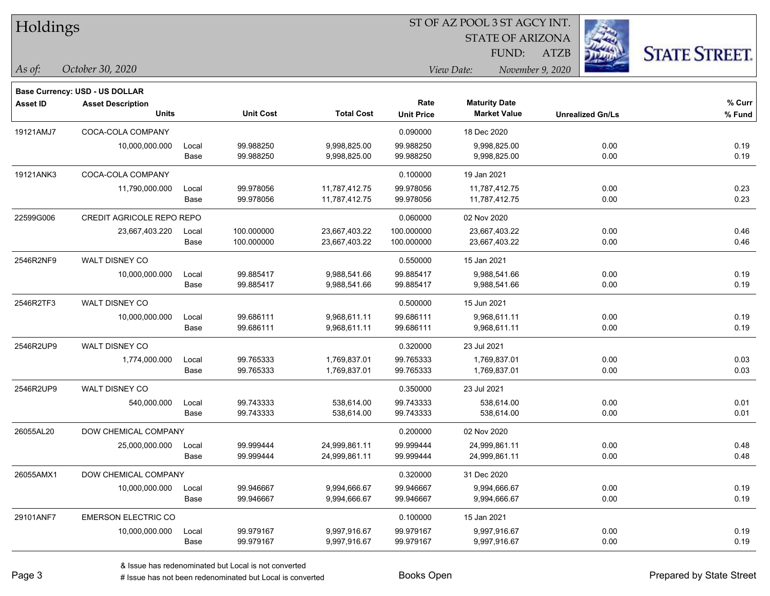|  | <b>Holdings</b> |
|--|-----------------|
|  |                 |

STATE OF ARIZONA FUND:

ATZB



*As of: View Date: November 9, 2020*

|  | As of: | October 30, 2020 |  |  |
|--|--------|------------------|--|--|
|--|--------|------------------|--|--|

|                 | <b>Base Currency: USD - US DOLLAR</b> |       |                  |                   |                           |                                             |                         |                  |
|-----------------|---------------------------------------|-------|------------------|-------------------|---------------------------|---------------------------------------------|-------------------------|------------------|
| <b>Asset ID</b> | <b>Asset Description</b><br>Units     |       | <b>Unit Cost</b> | <b>Total Cost</b> | Rate<br><b>Unit Price</b> | <b>Maturity Date</b><br><b>Market Value</b> | <b>Unrealized Gn/Ls</b> | % Curr<br>% Fund |
| 19121AMJ7       | COCA-COLA COMPANY                     |       |                  |                   | 0.090000                  | 18 Dec 2020                                 |                         |                  |
|                 | 10,000,000.000                        | Local | 99.988250        | 9,998,825.00      | 99.988250                 | 9,998,825.00                                | 0.00                    | 0.19             |
|                 |                                       | Base  | 99.988250        | 9,998,825.00      | 99.988250                 | 9,998,825.00                                | 0.00                    | 0.19             |
| 19121ANK3       | COCA-COLA COMPANY                     |       |                  |                   | 0.100000                  | 19 Jan 2021                                 |                         |                  |
|                 | 11,790,000.000                        | Local | 99.978056        | 11,787,412.75     | 99.978056                 | 11,787,412.75                               | 0.00                    | 0.23             |
|                 |                                       | Base  | 99.978056        | 11,787,412.75     | 99.978056                 | 11,787,412.75                               | 0.00                    | 0.23             |
| 22599G006       | <b>CREDIT AGRICOLE REPO REPO</b>      |       |                  |                   | 0.060000                  | 02 Nov 2020                                 |                         |                  |
|                 | 23,667,403.220                        | Local | 100.000000       | 23,667,403.22     | 100.000000                | 23,667,403.22                               | 0.00                    | 0.46             |
|                 |                                       | Base  | 100.000000       | 23,667,403.22     | 100.000000                | 23,667,403.22                               | 0.00                    | 0.46             |
| 2546R2NF9       | WALT DISNEY CO                        |       |                  |                   | 0.550000                  | 15 Jan 2021                                 |                         |                  |
|                 | 10,000,000.000                        | Local | 99.885417        | 9,988,541.66      | 99.885417                 | 9,988,541.66                                | 0.00                    | 0.19             |
|                 |                                       | Base  | 99.885417        | 9,988,541.66      | 99.885417                 | 9,988,541.66                                | 0.00                    | 0.19             |
| 2546R2TF3       | WALT DISNEY CO                        |       |                  |                   | 0.500000                  | 15 Jun 2021                                 |                         |                  |
|                 | 10,000,000.000                        | Local | 99.686111        | 9,968,611.11      | 99.686111                 | 9,968,611.11                                | 0.00                    | 0.19             |
|                 |                                       | Base  | 99.686111        | 9,968,611.11      | 99.686111                 | 9,968,611.11                                | 0.00                    | 0.19             |
| 2546R2UP9       | WALT DISNEY CO                        |       |                  |                   | 0.320000                  | 23 Jul 2021                                 |                         |                  |
|                 | 1,774,000.000                         | Local | 99.765333        | 1,769,837.01      | 99.765333                 | 1,769,837.01                                | 0.00                    | 0.03             |
|                 |                                       | Base  | 99.765333        | 1,769,837.01      | 99.765333                 | 1,769,837.01                                | 0.00                    | 0.03             |
| 2546R2UP9       | <b>WALT DISNEY CO</b>                 |       |                  |                   | 0.350000                  | 23 Jul 2021                                 |                         |                  |
|                 | 540,000.000                           | Local | 99.743333        | 538,614.00        | 99.743333                 | 538,614.00                                  | 0.00                    | 0.01             |
|                 |                                       | Base  | 99.743333        | 538,614.00        | 99.743333                 | 538,614.00                                  | 0.00                    | 0.01             |
| 26055AL20       | DOW CHEMICAL COMPANY                  |       |                  |                   | 0.200000                  | 02 Nov 2020                                 |                         |                  |
|                 | 25,000,000.000                        | Local | 99.999444        | 24,999,861.11     | 99.999444                 | 24,999,861.11                               | 0.00                    | 0.48             |
|                 |                                       | Base  | 99.999444        | 24,999,861.11     | 99.999444                 | 24,999,861.11                               | 0.00                    | 0.48             |
| 26055AMX1       | DOW CHEMICAL COMPANY                  |       |                  |                   | 0.320000                  | 31 Dec 2020                                 |                         |                  |
|                 | 10,000,000.000                        | Local | 99.946667        | 9,994,666.67      | 99.946667                 | 9,994,666.67                                | 0.00                    | 0.19             |
|                 |                                       | Base  | 99.946667        | 9,994,666.67      | 99.946667                 | 9,994,666.67                                | 0.00                    | 0.19             |
| 29101ANF7       | <b>EMERSON ELECTRIC CO</b>            |       |                  |                   | 0.100000                  | 15 Jan 2021                                 |                         |                  |
|                 | 10,000,000.000                        | Local | 99.979167        | 9,997,916.67      | 99.979167                 | 9,997,916.67                                | 0.00                    | 0.19             |
|                 |                                       | Base  | 99.979167        | 9,997,916.67      | 99.979167                 | 9,997,916.67                                | 0.00                    | 0.19             |
|                 |                                       |       |                  |                   |                           |                                             |                         |                  |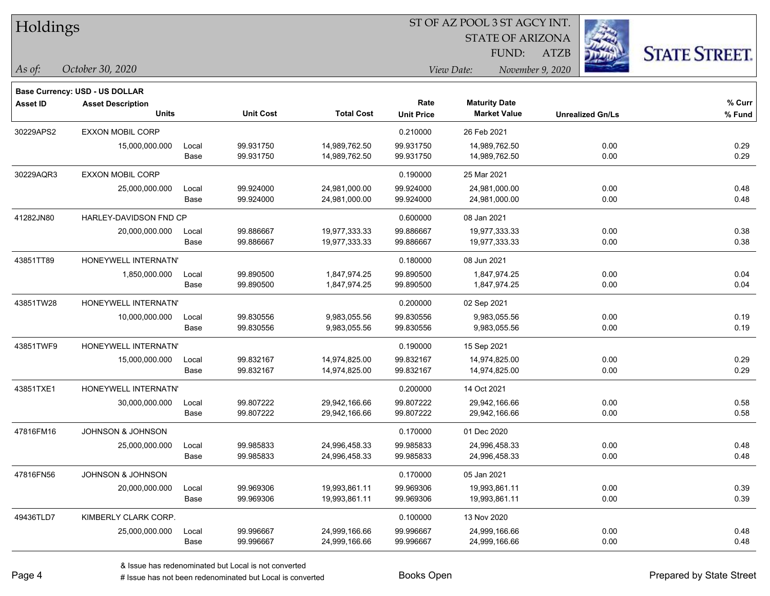| Holdings |
|----------|
|----------|

STATE OF ARIZONA FUND:

ATZB



*As of: View Date: November 9, 2020*

| As of: | October 30, 2020 |  |
|--------|------------------|--|
|        |                  |  |

|                 | <b>Base Currency: USD - US DOLLAR</b> |       |                  |                   |                   |                      |                         |          |  |
|-----------------|---------------------------------------|-------|------------------|-------------------|-------------------|----------------------|-------------------------|----------|--|
| <b>Asset ID</b> | <b>Asset Description</b>              |       |                  |                   | Rate              | <b>Maturity Date</b> |                         | $%$ Curr |  |
|                 | <b>Units</b>                          |       | <b>Unit Cost</b> | <b>Total Cost</b> | <b>Unit Price</b> | <b>Market Value</b>  | <b>Unrealized Gn/Ls</b> | % Fund   |  |
| 30229APS2       | <b>EXXON MOBIL CORP</b>               |       |                  |                   | 0.210000          | 26 Feb 2021          |                         |          |  |
|                 | 15,000,000.000                        | Local | 99.931750        | 14,989,762.50     | 99.931750         | 14,989,762.50        | 0.00                    | 0.29     |  |
|                 |                                       | Base  | 99.931750        | 14,989,762.50     | 99.931750         | 14,989,762.50        | 0.00                    | 0.29     |  |
| 30229AQR3       | <b>EXXON MOBIL CORP</b>               |       |                  |                   | 0.190000          | 25 Mar 2021          |                         |          |  |
|                 | 25,000,000.000                        | Local | 99.924000        | 24,981,000.00     | 99.924000         | 24,981,000.00        | 0.00                    | 0.48     |  |
|                 |                                       | Base  | 99.924000        | 24,981,000.00     | 99.924000         | 24,981,000.00        | 0.00                    | 0.48     |  |
| 41282JN80       | HARLEY-DAVIDSON FND CP                |       |                  |                   | 0.600000          | 08 Jan 2021          |                         |          |  |
|                 | 20,000,000.000                        | Local | 99.886667        | 19,977,333.33     | 99.886667         | 19,977,333.33        | 0.00                    | 0.38     |  |
|                 |                                       | Base  | 99.886667        | 19,977,333.33     | 99.886667         | 19,977,333.33        | 0.00                    | 0.38     |  |
| 43851TT89       | HONEYWELL INTERNATN'                  |       |                  |                   | 0.180000          | 08 Jun 2021          |                         |          |  |
|                 | 1,850,000.000                         | Local | 99.890500        | 1,847,974.25      | 99.890500         | 1,847,974.25         | 0.00                    | 0.04     |  |
|                 |                                       | Base  | 99.890500        | 1,847,974.25      | 99.890500         | 1,847,974.25         | 0.00                    | 0.04     |  |
| 43851TW28       | HONEYWELL INTERNATN'                  |       |                  |                   | 0.200000          | 02 Sep 2021          |                         |          |  |
|                 | 10,000,000.000                        | Local | 99.830556        | 9,983,055.56      | 99.830556         | 9,983,055.56         | 0.00                    | 0.19     |  |
|                 |                                       | Base  | 99.830556        | 9,983,055.56      | 99.830556         | 9,983,055.56         | 0.00                    | 0.19     |  |
| 43851TWF9       | HONEYWELL INTERNATN'                  |       |                  |                   | 0.190000          | 15 Sep 2021          |                         |          |  |
|                 | 15,000,000.000                        | Local | 99.832167        | 14,974,825.00     | 99.832167         | 14,974,825.00        | 0.00                    | 0.29     |  |
|                 |                                       | Base  | 99.832167        | 14,974,825.00     | 99.832167         | 14,974,825.00        | 0.00                    | 0.29     |  |
| 43851TXE1       | HONEYWELL INTERNATN'                  |       |                  |                   | 0.200000          | 14 Oct 2021          |                         |          |  |
|                 | 30,000,000.000                        | Local | 99.807222        | 29,942,166.66     | 99.807222         | 29,942,166.66        | 0.00                    | 0.58     |  |
|                 |                                       | Base  | 99.807222        | 29,942,166.66     | 99.807222         | 29,942,166.66        | 0.00                    | 0.58     |  |
| 47816FM16       | JOHNSON & JOHNSON                     |       |                  |                   | 0.170000          | 01 Dec 2020          |                         |          |  |
|                 | 25,000,000.000                        | Local | 99.985833        | 24,996,458.33     | 99.985833         | 24,996,458.33        | 0.00                    | 0.48     |  |
|                 |                                       | Base  | 99.985833        | 24,996,458.33     | 99.985833         | 24,996,458.33        | 0.00                    | 0.48     |  |
| 47816FN56       | <b>JOHNSON &amp; JOHNSON</b>          |       |                  |                   | 0.170000          | 05 Jan 2021          |                         |          |  |
|                 | 20,000,000.000                        | Local | 99.969306        | 19,993,861.11     | 99.969306         | 19,993,861.11        | 0.00                    | 0.39     |  |
|                 |                                       | Base  | 99.969306        | 19,993,861.11     | 99.969306         | 19,993,861.11        | 0.00                    | 0.39     |  |
| 49436TLD7       | KIMBERLY CLARK CORP.                  |       |                  |                   | 0.100000          | 13 Nov 2020          |                         |          |  |
|                 | 25,000,000.000                        | Local | 99.996667        | 24,999,166.66     | 99.996667         | 24,999,166.66        | 0.00                    | 0.48     |  |
|                 |                                       | Base  | 99.996667        | 24,999,166.66     | 99.996667         | 24,999,166.66        | 0.00                    | 0.48     |  |
|                 |                                       |       |                  |                   |                   |                      |                         |          |  |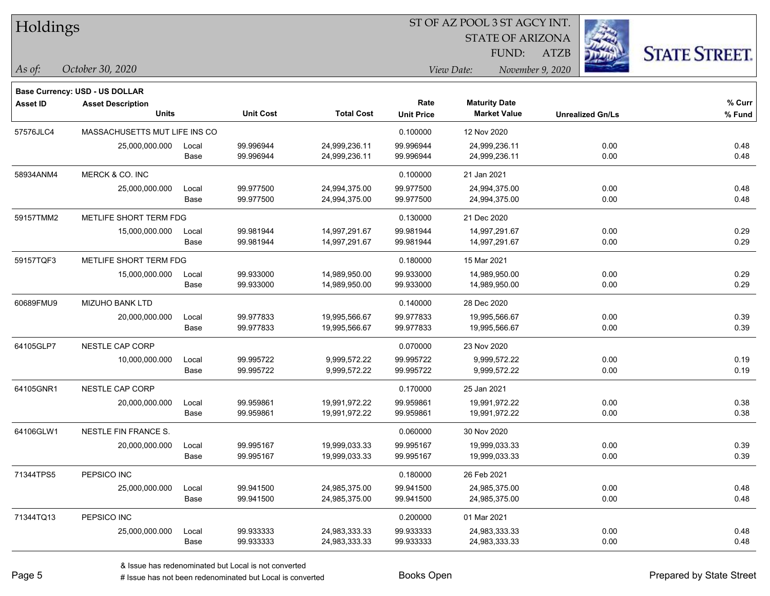| Holdings |
|----------|
|          |

STATE OF ARIZONA

ATZB



**Base Currency: USD - US DOLLAR**

*October 30, 2020 As of: View Date: November 9, 2020* FUND:

| Asset ID  | <b>Asset Description</b>      |       |                  |                   | Rate              | <b>Maturity Date</b> |                         | % Curr |
|-----------|-------------------------------|-------|------------------|-------------------|-------------------|----------------------|-------------------------|--------|
|           | <b>Units</b>                  |       | <b>Unit Cost</b> | <b>Total Cost</b> | <b>Unit Price</b> | <b>Market Value</b>  | <b>Unrealized Gn/Ls</b> | % Fund |
| 57576JLC4 | MASSACHUSETTS MUT LIFE INS CO |       |                  |                   | 0.100000          | 12 Nov 2020          |                         |        |
|           | 25,000,000.000                | Local | 99.996944        | 24,999,236.11     | 99.996944         | 24,999,236.11        | 0.00                    | 0.48   |
|           |                               | Base  | 99.996944        | 24,999,236.11     | 99.996944         | 24,999,236.11        | 0.00                    | 0.48   |
| 58934ANM4 | MERCK & CO. INC               |       |                  |                   | 0.100000          | 21 Jan 2021          |                         |        |
|           | 25,000,000.000                | Local | 99.977500        | 24,994,375.00     | 99.977500         | 24,994,375.00        | 0.00                    | 0.48   |
|           |                               | Base  | 99.977500        | 24,994,375.00     | 99.977500         | 24,994,375.00        | 0.00                    | 0.48   |
| 59157TMM2 | METLIFE SHORT TERM FDG        |       |                  |                   | 0.130000          | 21 Dec 2020          |                         |        |
|           | 15,000,000.000                | Local | 99.981944        | 14,997,291.67     | 99.981944         | 14,997,291.67        | 0.00                    | 0.29   |
|           |                               | Base  | 99.981944        | 14,997,291.67     | 99.981944         | 14,997,291.67        | 0.00                    | 0.29   |
| 59157TQF3 | METLIFE SHORT TERM FDG        |       |                  |                   | 0.180000          | 15 Mar 2021          |                         |        |
|           | 15,000,000.000                | Local | 99.933000        | 14,989,950.00     | 99.933000         | 14,989,950.00        | 0.00                    | 0.29   |
|           |                               | Base  | 99.933000        | 14,989,950.00     | 99.933000         | 14,989,950.00        | 0.00                    | 0.29   |
| 60689FMU9 | <b>MIZUHO BANK LTD</b>        |       |                  |                   | 0.140000          | 28 Dec 2020          |                         |        |
|           | 20,000,000.000                | Local | 99.977833        | 19,995,566.67     | 99.977833         | 19,995,566.67        | 0.00                    | 0.39   |
|           |                               | Base  | 99.977833        | 19,995,566.67     | 99.977833         | 19,995,566.67        | 0.00                    | 0.39   |
| 64105GLP7 | NESTLE CAP CORP               |       |                  |                   | 0.070000          | 23 Nov 2020          |                         |        |
|           | 10,000,000.000                | Local | 99.995722        | 9,999,572.22      | 99.995722         | 9,999,572.22         | 0.00                    | 0.19   |
|           |                               | Base  | 99.995722        | 9,999,572.22      | 99.995722         | 9,999,572.22         | 0.00                    | 0.19   |
| 64105GNR1 | NESTLE CAP CORP               |       |                  |                   | 0.170000          | 25 Jan 2021          |                         |        |
|           | 20,000,000.000                | Local | 99.959861        | 19,991,972.22     | 99.959861         | 19,991,972.22        | 0.00                    | 0.38   |
|           |                               | Base  | 99.959861        | 19,991,972.22     | 99.959861         | 19,991,972.22        | 0.00                    | 0.38   |
| 64106GLW1 | NESTLE FIN FRANCE S.          |       |                  |                   | 0.060000          | 30 Nov 2020          |                         |        |
|           | 20,000,000.000                | Local | 99.995167        | 19,999,033.33     | 99.995167         | 19,999,033.33        | 0.00                    | 0.39   |
|           |                               | Base  | 99.995167        | 19,999,033.33     | 99.995167         | 19,999,033.33        | 0.00                    | 0.39   |
| 71344TPS5 | PEPSICO INC                   |       |                  |                   | 0.180000          | 26 Feb 2021          |                         |        |
|           | 25,000,000.000                | Local | 99.941500        | 24,985,375.00     | 99.941500         | 24,985,375.00        | 0.00                    | 0.48   |
|           |                               | Base  | 99.941500        | 24,985,375.00     | 99.941500         | 24,985,375.00        | 0.00                    | 0.48   |
| 71344TQ13 | PEPSICO INC                   |       |                  |                   | 0.200000          | 01 Mar 2021          |                         |        |
|           | 25,000,000.000                | Local | 99.933333        | 24,983,333.33     | 99.933333         | 24,983,333.33        | 0.00                    | 0.48   |
|           |                               | Base  | 99.933333        | 24,983,333.33     | 99.933333         | 24,983,333.33        | 0.00                    | 0.48   |

A ISSUE ISSUE ISSUE ISSUE ISSUE ISSUE ISSUE ISSUE ISSUE ISSUE ISSUE ISSUE ISSUE ISSUE ISSUE ISSUE ISSUE ISSUE I<br>
# Issue has not been redenominated but Local is converted **BOOKS** Open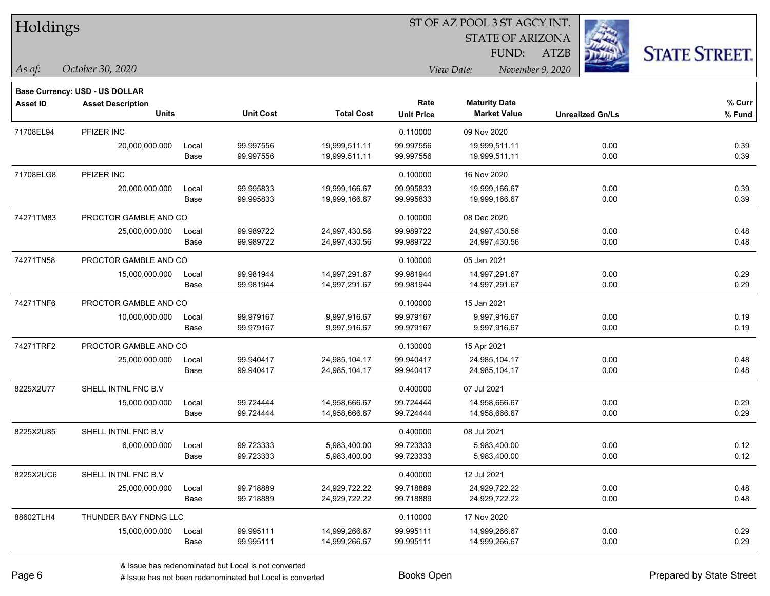|  | <b>Holdings</b> |
|--|-----------------|
|  |                 |

STATE OF ARIZONA FUND:

ATZB



*As of: View Date: November 9, 2020*

| <b>Asset Description</b> |                |                                                                                                                                    |                                     | Rate                                               | <b>Maturity Date</b>   |                               | % Curr               |  |  |
|--------------------------|----------------|------------------------------------------------------------------------------------------------------------------------------------|-------------------------------------|----------------------------------------------------|------------------------|-------------------------------|----------------------|--|--|
| <b>Units</b>             |                | <b>Unit Cost</b>                                                                                                                   |                                     | <b>Unit Price</b>                                  | <b>Market Value</b>    | <b>Unrealized Gn/Ls</b>       | % Fund               |  |  |
| PFIZER INC               |                |                                                                                                                                    |                                     | 0.110000                                           | 09 Nov 2020            |                               |                      |  |  |
|                          |                |                                                                                                                                    |                                     |                                                    |                        |                               | 0.39                 |  |  |
|                          | Base           | 99.997556                                                                                                                          | 19,999,511.11                       | 99.997556                                          | 19,999,511.11          | 0.00                          | 0.39                 |  |  |
| PFIZER INC               |                |                                                                                                                                    |                                     | 0.100000                                           | 16 Nov 2020            |                               |                      |  |  |
| 20,000,000.000           | Local          | 99.995833                                                                                                                          | 19,999,166.67                       | 99.995833                                          | 19,999,166.67          | 0.00                          | 0.39                 |  |  |
|                          | Base           | 99.995833                                                                                                                          | 19,999,166.67                       | 99.995833                                          | 19,999,166.67          | 0.00                          | 0.39                 |  |  |
|                          |                |                                                                                                                                    |                                     | 0.100000                                           | 08 Dec 2020            |                               |                      |  |  |
| 25,000,000.000           | Local          | 99.989722                                                                                                                          | 24,997,430.56                       | 99.989722                                          | 24,997,430.56          | 0.00                          | 0.48                 |  |  |
|                          | Base           | 99.989722                                                                                                                          | 24,997,430.56                       | 99.989722                                          | 24,997,430.56          | 0.00                          | 0.48                 |  |  |
|                          |                |                                                                                                                                    |                                     | 0.100000                                           | 05 Jan 2021            |                               |                      |  |  |
| 15,000,000.000           | Local          | 99.981944                                                                                                                          | 14,997,291.67                       | 99.981944                                          | 14,997,291.67          | 0.00                          | 0.29                 |  |  |
|                          | Base           | 99.981944                                                                                                                          | 14,997,291.67                       | 99.981944                                          | 14,997,291.67          | 0.00                          | 0.29                 |  |  |
|                          |                |                                                                                                                                    |                                     | 0.100000                                           | 15 Jan 2021            |                               |                      |  |  |
| 10,000,000.000           | Local          | 99.979167                                                                                                                          | 9,997,916.67                        | 99.979167                                          | 9,997,916.67           | 0.00                          | 0.19                 |  |  |
|                          | Base           | 99.979167                                                                                                                          | 9,997,916.67                        | 99.979167                                          | 9,997,916.67           | 0.00                          | 0.19                 |  |  |
|                          |                |                                                                                                                                    |                                     | 0.130000                                           | 15 Apr 2021            |                               |                      |  |  |
| 25,000,000.000           | Local          | 99.940417                                                                                                                          | 24,985,104.17                       | 99.940417                                          | 24,985,104.17          | 0.00                          | 0.48                 |  |  |
|                          | Base           | 99.940417                                                                                                                          | 24,985,104.17                       | 99.940417                                          | 24,985,104.17          | 0.00                          | 0.48                 |  |  |
| SHELL INTNL FNC B.V      |                |                                                                                                                                    |                                     | 0.400000                                           | 07 Jul 2021            |                               |                      |  |  |
| 15,000,000.000           | Local          | 99.724444                                                                                                                          | 14,958,666.67                       | 99.724444                                          | 14,958,666.67          | 0.00                          | 0.29                 |  |  |
|                          | Base           | 99.724444                                                                                                                          | 14,958,666.67                       | 99.724444                                          | 14,958,666.67          | 0.00                          | 0.29                 |  |  |
| SHELL INTNL FNC B.V      |                |                                                                                                                                    |                                     | 0.400000                                           | 08 Jul 2021            |                               |                      |  |  |
| 6,000,000.000            | Local          | 99.723333                                                                                                                          | 5,983,400.00                        | 99.723333                                          | 5,983,400.00           | 0.00                          | 0.12                 |  |  |
|                          | Base           |                                                                                                                                    |                                     |                                                    |                        |                               | 0.12                 |  |  |
| SHELL INTNL FNC B.V      |                |                                                                                                                                    |                                     | 0.400000                                           | 12 Jul 2021            |                               |                      |  |  |
| 25,000,000.000           | Local          | 99.718889                                                                                                                          | 24,929,722.22                       | 99.718889                                          | 24,929,722.22          | 0.00                          | 0.48                 |  |  |
|                          | Base           | 99.718889                                                                                                                          | 24,929,722.22                       | 99.718889                                          | 24,929,722.22          | 0.00                          | 0.48                 |  |  |
|                          |                |                                                                                                                                    |                                     | 0.110000                                           | 17 Nov 2020            |                               |                      |  |  |
| 15,000,000.000           | Local          | 99.995111                                                                                                                          | 14,999,266.67                       | 99.995111                                          | 14,999,266.67          | 0.00                          | 0.29                 |  |  |
|                          | Base           |                                                                                                                                    | 14,999,266.67                       | 99.995111                                          | 14,999,266.67          |                               | 0.29                 |  |  |
|                          | 20,000,000.000 | Local<br>PROCTOR GAMBLE AND CO<br>PROCTOR GAMBLE AND CO<br>PROCTOR GAMBLE AND CO<br>PROCTOR GAMBLE AND CO<br>THUNDER BAY FNDNG LLC | 99.997556<br>99.723333<br>99.995111 | <b>Total Cost</b><br>19,999,511.11<br>5,983,400.00 | 99.997556<br>99.723333 | 19,999,511.11<br>5,983,400.00 | 0.00<br>0.00<br>0.00 |  |  |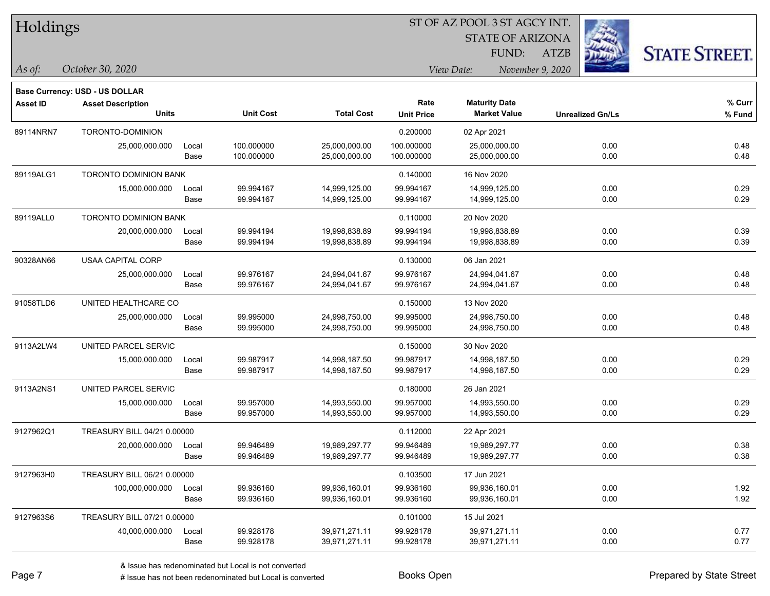|  | <b>Holdings</b> |
|--|-----------------|
|  |                 |

STATE OF ARIZONA

ATZB



**Base Currency: USD - US DOLLAR**

| <b>Asset ID</b> | <b>Asset Description</b><br><b>Units</b> |       | <b>Unit Cost</b> | <b>Total Cost</b> | Rate<br><b>Unit Price</b> | <b>Maturity Date</b><br><b>Market Value</b> | <b>Unrealized Gn/Ls</b> | % Curr<br>% Fund |
|-----------------|------------------------------------------|-------|------------------|-------------------|---------------------------|---------------------------------------------|-------------------------|------------------|
| 89114NRN7       | TORONTO-DOMINION                         |       |                  |                   | 0.200000                  | 02 Apr 2021                                 |                         |                  |
|                 | 25,000,000.000                           | Local | 100.000000       | 25,000,000.00     | 100.000000                | 25,000,000.00                               | 0.00                    | 0.48             |
|                 |                                          | Base  | 100.000000       | 25,000,000.00     | 100.000000                | 25,000,000.00                               | 0.00                    | 0.48             |
| 89119ALG1       | <b>TORONTO DOMINION BANK</b>             |       |                  |                   | 0.140000                  | 16 Nov 2020                                 |                         |                  |
|                 | 15,000,000.000                           | Local | 99.994167        | 14,999,125.00     | 99.994167                 | 14,999,125.00                               | 0.00                    | 0.29             |
|                 |                                          | Base  | 99.994167        | 14,999,125.00     | 99.994167                 | 14,999,125.00                               | 0.00                    | 0.29             |
| 89119ALL0       | TORONTO DOMINION BANK                    |       |                  |                   | 0.110000                  | 20 Nov 2020                                 |                         |                  |
|                 | 20,000,000.000                           | Local | 99.994194        | 19,998,838.89     | 99.994194                 | 19,998,838.89                               | 0.00                    | 0.39             |
|                 |                                          | Base  | 99.994194        | 19,998,838.89     | 99.994194                 | 19,998,838.89                               | 0.00                    | 0.39             |
| 90328AN66       | <b>USAA CAPITAL CORP</b>                 |       |                  |                   | 0.130000                  | 06 Jan 2021                                 |                         |                  |
|                 | 25,000,000.000                           | Local | 99.976167        | 24,994,041.67     | 99.976167                 | 24,994,041.67                               | 0.00                    | 0.48             |
|                 |                                          | Base  | 99.976167        | 24,994,041.67     | 99.976167                 | 24,994,041.67                               | 0.00                    | 0.48             |
| 91058TLD6       | UNITED HEALTHCARE CO                     |       |                  |                   | 0.150000                  | 13 Nov 2020                                 |                         |                  |
|                 | 25,000,000.000                           | Local | 99.995000        | 24,998,750.00     | 99.995000                 | 24,998,750.00                               | 0.00                    | 0.48             |
|                 |                                          | Base  | 99.995000        | 24,998,750.00     | 99.995000                 | 24,998,750.00                               | 0.00                    | 0.48             |
| 9113A2LW4       | UNITED PARCEL SERVIC                     |       |                  |                   | 0.150000                  | 30 Nov 2020                                 |                         |                  |
|                 | 15,000,000.000                           | Local | 99.987917        | 14,998,187.50     | 99.987917                 | 14,998,187.50                               | 0.00                    | 0.29             |
|                 |                                          | Base  | 99.987917        | 14,998,187.50     | 99.987917                 | 14,998,187.50                               | 0.00                    | 0.29             |
| 9113A2NS1       | UNITED PARCEL SERVIC                     |       |                  |                   | 0.180000                  | 26 Jan 2021                                 |                         |                  |
|                 | 15,000,000.000                           | Local | 99.957000        | 14,993,550.00     | 99.957000                 | 14.993.550.00                               | 0.00                    | 0.29             |
|                 |                                          | Base  | 99.957000        | 14,993,550.00     | 99.957000                 | 14,993,550.00                               | 0.00                    | 0.29             |
| 9127962Q1       | TREASURY BILL 04/21 0.00000              |       |                  |                   | 0.112000                  | 22 Apr 2021                                 |                         |                  |
|                 | 20,000,000.000                           | Local | 99.946489        | 19,989,297.77     | 99.946489                 | 19,989,297.77                               | 0.00                    | 0.38             |
|                 |                                          | Base  | 99.946489        | 19,989,297.77     | 99.946489                 | 19,989,297.77                               | 0.00                    | 0.38             |
| 9127963H0       | TREASURY BILL 06/21 0.00000              |       |                  |                   | 0.103500                  | 17 Jun 2021                                 |                         |                  |
|                 | 100,000,000.000                          | Local | 99.936160        | 99,936,160.01     | 99.936160                 | 99,936,160.01                               | 0.00                    | 1.92             |
|                 |                                          | Base  | 99.936160        | 99,936,160.01     | 99.936160                 | 99,936,160.01                               | 0.00                    | 1.92             |
| 9127963S6       | TREASURY BILL 07/21 0.00000              |       |                  |                   | 0.101000                  | 15 Jul 2021                                 |                         |                  |
|                 | 40,000,000.000                           | Local | 99.928178        | 39,971,271.11     | 99.928178                 | 39,971,271.11                               | 0.00                    | 0.77             |
|                 |                                          | Base  | 99.928178        | 39,971,271.11     | 99.928178                 | 39,971,271.11                               | 0.00                    | 0.77             |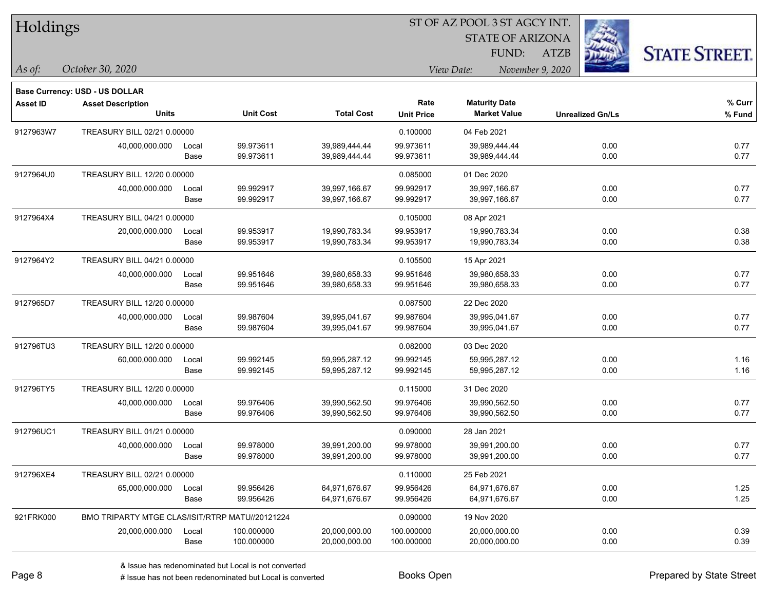| Holdings        |                                                 |       |                  |                   |                   | ST OF AZ POOL 3 ST AGCY INT.   |                         |                      |
|-----------------|-------------------------------------------------|-------|------------------|-------------------|-------------------|--------------------------------|-------------------------|----------------------|
|                 |                                                 |       |                  |                   |                   | <b>STATE OF ARIZONA</b>        |                         |                      |
|                 |                                                 |       |                  |                   |                   | FUND:                          | <b>ATZB</b>             | <b>STATE STREET.</b> |
| As of:          | October 30, 2020                                |       |                  |                   |                   | View Date:<br>November 9, 2020 |                         |                      |
|                 | Base Currency: USD - US DOLLAR                  |       |                  |                   |                   |                                |                         |                      |
| <b>Asset ID</b> | <b>Asset Description</b>                        |       |                  |                   | Rate              | <b>Maturity Date</b>           |                         | % Curr               |
|                 | <b>Units</b>                                    |       | <b>Unit Cost</b> | <b>Total Cost</b> | <b>Unit Price</b> | <b>Market Value</b>            | <b>Unrealized Gn/Ls</b> | % Fund               |
| 9127963W7       | TREASURY BILL 02/21 0.00000                     |       |                  |                   | 0.100000          | 04 Feb 2021                    |                         |                      |
|                 | 40,000,000.000                                  | Local | 99.973611        | 39,989,444.44     | 99.973611         | 39,989,444.44                  | 0.00                    | 0.77                 |
|                 |                                                 | Base  | 99.973611        | 39,989,444.44     | 99.973611         | 39,989,444.44                  | 0.00                    | 0.77                 |
| 9127964U0       | TREASURY BILL 12/20 0.00000                     |       |                  |                   | 0.085000          | 01 Dec 2020                    |                         |                      |
|                 | 40,000,000.000                                  | Local | 99.992917        | 39,997,166.67     | 99.992917         | 39,997,166.67                  | 0.00                    | 0.77                 |
|                 |                                                 | Base  | 99.992917        | 39,997,166.67     | 99.992917         | 39,997,166.67                  | 0.00                    | 0.77                 |
| 9127964X4       | TREASURY BILL 04/21 0.00000                     |       |                  |                   | 0.105000          | 08 Apr 2021                    |                         |                      |
|                 | 20,000,000.000                                  | Local | 99.953917        | 19,990,783.34     | 99.953917         | 19,990,783.34                  | 0.00                    | 0.38                 |
|                 |                                                 | Base  | 99.953917        | 19,990,783.34     | 99.953917         | 19,990,783.34                  | 0.00                    | 0.38                 |
| 9127964Y2       | TREASURY BILL 04/21 0.00000                     |       |                  |                   | 0.105500          | 15 Apr 2021                    |                         |                      |
|                 | 40,000,000.000                                  | Local | 99.951646        | 39,980,658.33     | 99.951646         | 39,980,658.33                  | 0.00                    | 0.77                 |
|                 |                                                 | Base  | 99.951646        | 39,980,658.33     | 99.951646         | 39,980,658.33                  | 0.00                    | 0.77                 |
| 9127965D7       | TREASURY BILL 12/20 0.00000                     |       |                  |                   | 0.087500          | 22 Dec 2020                    |                         |                      |
|                 | 40,000,000.000                                  | Local | 99.987604        | 39,995,041.67     | 99.987604         | 39,995,041.67                  | 0.00                    | 0.77                 |
|                 |                                                 | Base  | 99.987604        | 39,995,041.67     | 99.987604         | 39,995,041.67                  | 0.00                    | 0.77                 |
| 912796TU3       | TREASURY BILL 12/20 0.00000                     |       |                  |                   | 0.082000          | 03 Dec 2020                    |                         |                      |
|                 | 60,000,000.000                                  | Local | 99.992145        | 59,995,287.12     | 99.992145         | 59,995,287.12                  | 0.00                    | 1.16                 |
|                 |                                                 | Base  | 99.992145        | 59,995,287.12     | 99.992145         | 59,995,287.12                  | 0.00                    | 1.16                 |
| 912796TY5       | TREASURY BILL 12/20 0.00000                     |       |                  |                   | 0.115000          | 31 Dec 2020                    |                         |                      |
|                 | 40,000,000.000                                  | Local | 99.976406        | 39,990,562.50     | 99.976406         | 39,990,562.50                  | 0.00                    | 0.77                 |
|                 |                                                 | Base  | 99.976406        | 39,990,562.50     | 99.976406         | 39,990,562.50                  | 0.00                    | 0.77                 |
| 912796UC1       | TREASURY BILL 01/21 0.00000                     |       |                  |                   | 0.090000          | 28 Jan 2021                    |                         |                      |
|                 | 40,000,000.000                                  | Local | 99.978000        | 39,991,200.00     | 99.978000         | 39,991,200.00                  | 0.00                    | 0.77                 |
|                 |                                                 | Base  | 99.978000        | 39,991,200.00     | 99.978000         | 39,991,200.00                  | 0.00                    | 0.77                 |
| 912796XE4       | TREASURY BILL 02/21 0.00000                     |       |                  |                   | 0.110000          | 25 Feb 2021                    |                         |                      |
|                 | 65,000,000.000                                  | Local | 99.956426        | 64,971,676.67     | 99.956426         | 64,971,676.67                  | 0.00                    | 1.25                 |
|                 |                                                 | Base  | 99.956426        | 64,971,676.67     | 99.956426         | 64,971,676.67                  | 0.00                    | 1.25                 |
| 921FRK000       | BMO TRIPARTY MTGE CLAS/ISIT/RTRP MATU//20121224 |       |                  |                   | 0.090000          | 19 Nov 2020                    |                         |                      |
|                 | 20,000,000.000                                  | Local | 100.000000       | 20,000,000.00     | 100.000000        | 20,000,000.00                  | 0.00                    | 0.39                 |
|                 |                                                 | Base  | 100.000000       | 20,000,000.00     | 100.000000        | 20,000,000.00                  | 0.00                    | 0.39                 |

 $\overline{\phantom{0}}$ 

 $\overline{\phantom{a}}$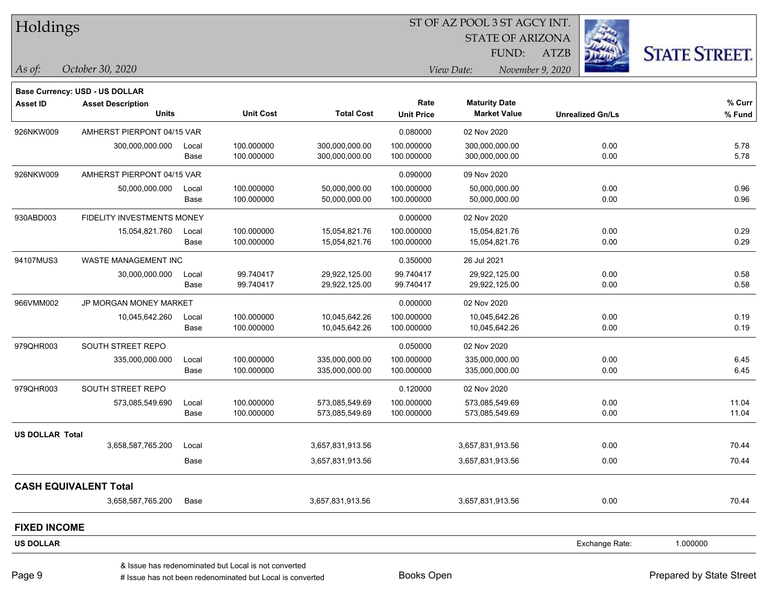|  |  | Holdings |
|--|--|----------|
|--|--|----------|

STATE OF ARIZONA

ATZB



**Base Currency: USD - US DOLLAR**

*October 30, 2020 As of: View Date: November 9, 2020* FUND:

| <b>Asset ID</b>        | <b>Asset Description</b>     |       |                  |                   | Rate              | <b>Maturity Date</b> |                         | % Curr   |
|------------------------|------------------------------|-------|------------------|-------------------|-------------------|----------------------|-------------------------|----------|
|                        | <b>Units</b>                 |       | <b>Unit Cost</b> | <b>Total Cost</b> | <b>Unit Price</b> | <b>Market Value</b>  | <b>Unrealized Gn/Ls</b> | % Fund   |
| 926NKW009              | AMHERST PIERPONT 04/15 VAR   |       |                  |                   | 0.080000          | 02 Nov 2020          |                         |          |
|                        | 300,000,000.000              | Local | 100.000000       | 300,000,000.00    | 100.000000        | 300,000,000.00       | 0.00                    | 5.78     |
|                        |                              | Base  | 100.000000       | 300,000,000.00    | 100.000000        | 300,000,000.00       | 0.00                    | 5.78     |
| 926NKW009              | AMHERST PIERPONT 04/15 VAR   |       |                  |                   | 0.090000          | 09 Nov 2020          |                         |          |
|                        | 50,000,000.000               | Local | 100.000000       | 50,000,000.00     | 100.000000        | 50,000,000.00        | 0.00                    | 0.96     |
|                        |                              | Base  | 100.000000       | 50,000,000.00     | 100.000000        | 50,000,000.00        | 0.00                    | 0.96     |
| 930ABD003              | FIDELITY INVESTMENTS MONEY   |       |                  |                   | 0.000000          | 02 Nov 2020          |                         |          |
|                        | 15,054,821.760               | Local | 100.000000       | 15,054,821.76     | 100.000000        | 15,054,821.76        | 0.00                    | 0.29     |
|                        |                              | Base  | 100.000000       | 15,054,821.76     | 100.000000        | 15,054,821.76        | 0.00                    | 0.29     |
| 94107MUS3              | <b>WASTE MANAGEMENT INC</b>  |       |                  |                   | 0.350000          | 26 Jul 2021          |                         |          |
|                        | 30,000,000.000               | Local | 99.740417        | 29,922,125.00     | 99.740417         | 29,922,125.00        | 0.00                    | 0.58     |
|                        |                              | Base  | 99.740417        | 29,922,125.00     | 99.740417         | 29,922,125.00        | 0.00                    | 0.58     |
| 966VMM002              | JP MORGAN MONEY MARKET       |       |                  |                   | 0.000000          | 02 Nov 2020          |                         |          |
|                        | 10,045,642.260               | Local | 100.000000       | 10,045,642.26     | 100.000000        | 10,045,642.26        | 0.00                    | 0.19     |
|                        |                              | Base  | 100.000000       | 10,045,642.26     | 100.000000        | 10,045,642.26        | 0.00                    | 0.19     |
| 979QHR003              | SOUTH STREET REPO            |       |                  |                   | 0.050000          | 02 Nov 2020          |                         |          |
|                        | 335,000,000.000              | Local | 100.000000       | 335,000,000.00    | 100.000000        | 335,000,000.00       | 0.00                    | 6.45     |
|                        |                              | Base  | 100.000000       | 335,000,000.00    | 100.000000        | 335,000,000.00       | 0.00                    | 6.45     |
| 979QHR003              | SOUTH STREET REPO            |       |                  |                   | 0.120000          | 02 Nov 2020          |                         |          |
|                        | 573,085,549.690              | Local | 100.000000       | 573,085,549.69    | 100.000000        | 573,085,549.69       | 0.00                    | 11.04    |
|                        |                              | Base  | 100.000000       | 573,085,549.69    | 100.000000        | 573,085,549.69       | 0.00                    | 11.04    |
| <b>US DOLLAR Total</b> |                              |       |                  |                   |                   |                      |                         |          |
|                        | 3,658,587,765.200            | Local |                  | 3,657,831,913.56  |                   | 3,657,831,913.56     | 0.00                    | 70.44    |
|                        |                              | Base  |                  | 3,657,831,913.56  |                   | 3,657,831,913.56     | 0.00                    | 70.44    |
|                        | <b>CASH EQUIVALENT Total</b> |       |                  |                   |                   |                      |                         |          |
|                        | 3,658,587,765.200            | Base  |                  | 3,657,831,913.56  |                   | 3,657,831,913.56     | 0.00                    | 70.44    |
| <b>FIXED INCOME</b>    |                              |       |                  |                   |                   |                      |                         |          |
| <b>US DOLLAR</b>       |                              |       |                  |                   |                   |                      | Exchange Rate:          | 1.000000 |
|                        |                              |       |                  |                   |                   |                      |                         |          |

A ISSUE ISSUE ISSUE ISSUE ISSUE ISSUE ISSUE ISSUE ISSUE ISSUE ISSUE ISSUE ISSUE ISSUE ISSUE ISSUE ISSUE ISSUE I<br>
A ISSUE has not been redenominated but Local is converted **Books Open Books ISSUE ISSUE ISSUE ISSUE ISSUE I** & Issue has redenominated but Local is not converted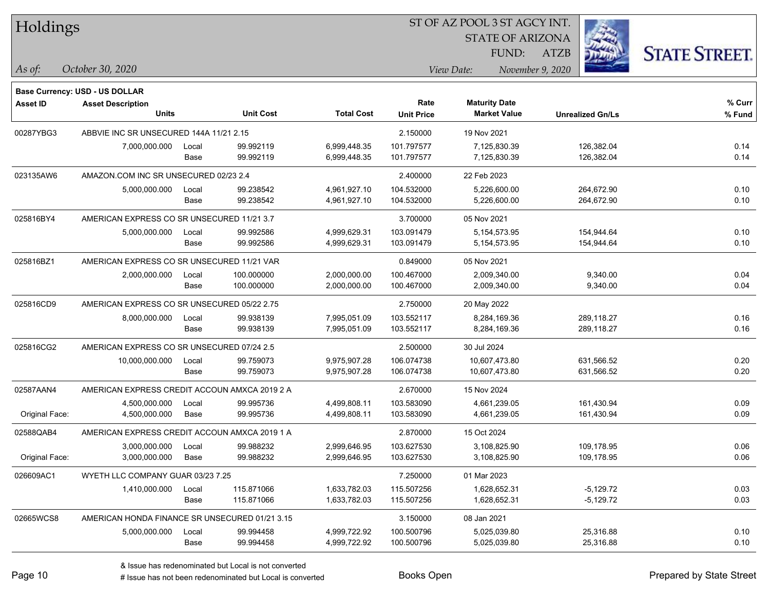| Holdings |
|----------|
|----------|

STATE OF ARIZONA

ATZB



**Base Currency: USD - US DOLLAR**

| <b>Asset ID</b> | <b>Asset Description</b>                       |       |                  |                   | Rate              | <b>Maturity Date</b> |                         | % Curr |
|-----------------|------------------------------------------------|-------|------------------|-------------------|-------------------|----------------------|-------------------------|--------|
|                 | <b>Units</b>                                   |       | <b>Unit Cost</b> | <b>Total Cost</b> | <b>Unit Price</b> | <b>Market Value</b>  | <b>Unrealized Gn/Ls</b> | % Fund |
| 00287YBG3       | ABBVIE INC SR UNSECURED 144A 11/21 2.15        |       |                  |                   | 2.150000          | 19 Nov 2021          |                         |        |
|                 | 7.000.000.000                                  | Local | 99.992119        | 6,999,448.35      | 101.797577        | 7,125,830.39         | 126,382.04              | 0.14   |
|                 |                                                | Base  | 99.992119        | 6,999,448.35      | 101.797577        | 7,125,830.39         | 126,382.04              | 0.14   |
| 023135AW6       | AMAZON.COM INC SR UNSECURED 02/23 2.4          |       |                  |                   | 2.400000          | 22 Feb 2023          |                         |        |
|                 | 5,000,000.000                                  | Local | 99.238542        | 4,961,927.10      | 104.532000        | 5,226,600.00         | 264,672.90              | 0.10   |
|                 |                                                | Base  | 99.238542        | 4,961,927.10      | 104.532000        | 5,226,600.00         | 264,672.90              | 0.10   |
| 025816BY4       | AMERICAN EXPRESS CO SR UNSECURED 11/21 3.7     |       |                  |                   | 3.700000          | 05 Nov 2021          |                         |        |
|                 | 5,000,000.000                                  | Local | 99.992586        | 4,999,629.31      | 103.091479        | 5, 154, 573. 95      | 154,944.64              | 0.10   |
|                 |                                                | Base  | 99.992586        | 4,999,629.31      | 103.091479        | 5, 154, 573. 95      | 154,944.64              | 0.10   |
| 025816BZ1       | AMERICAN EXPRESS CO SR UNSECURED 11/21 VAR     |       |                  |                   | 0.849000          | 05 Nov 2021          |                         |        |
|                 | 2,000,000.000                                  | Local | 100.000000       | 2,000,000.00      | 100.467000        | 2,009,340.00         | 9,340.00                | 0.04   |
|                 |                                                | Base  | 100.000000       | 2,000,000.00      | 100.467000        | 2,009,340.00         | 9,340.00                | 0.04   |
| 025816CD9       | AMERICAN EXPRESS CO SR UNSECURED 05/22 2.75    |       |                  |                   | 2.750000          | 20 May 2022          |                         |        |
|                 | 8,000,000.000                                  | Local | 99.938139        | 7,995,051.09      | 103.552117        | 8,284,169.36         | 289,118.27              | 0.16   |
|                 |                                                | Base  | 99.938139        | 7,995,051.09      | 103.552117        | 8,284,169.36         | 289,118.27              | 0.16   |
| 025816CG2       | AMERICAN EXPRESS CO SR UNSECURED 07/24 2.5     |       |                  |                   | 2.500000          | 30 Jul 2024          |                         |        |
|                 | 10,000,000.000                                 | Local | 99.759073        | 9,975,907.28      | 106.074738        | 10,607,473.80        | 631,566.52              | 0.20   |
|                 |                                                | Base  | 99.759073        | 9,975,907.28      | 106.074738        | 10,607,473.80        | 631,566.52              | 0.20   |
| 02587AAN4       | AMERICAN EXPRESS CREDIT ACCOUN AMXCA 2019 2 A  |       |                  |                   | 2.670000          | 15 Nov 2024          |                         |        |
|                 | 4,500,000.000                                  | Local | 99.995736        | 4,499,808.11      | 103.583090        | 4,661,239.05         | 161,430.94              | 0.09   |
| Original Face:  | 4,500,000.000                                  | Base  | 99.995736        | 4,499,808.11      | 103.583090        | 4,661,239.05         | 161,430.94              | 0.09   |
| 02588QAB4       | AMERICAN EXPRESS CREDIT ACCOUN AMXCA 2019 1 A  |       |                  |                   | 2.870000          | 15 Oct 2024          |                         |        |
|                 | 3,000,000.000                                  | Local | 99.988232        | 2,999,646.95      | 103.627530        | 3,108,825.90         | 109,178.95              | 0.06   |
| Original Face:  | 3,000,000.000                                  | Base  | 99.988232        | 2,999,646.95      | 103.627530        | 3,108,825.90         | 109,178.95              | 0.06   |
| 026609AC1       | WYETH LLC COMPANY GUAR 03/23 7.25              |       |                  |                   | 7.250000          | 01 Mar 2023          |                         |        |
|                 | 1,410,000.000                                  | Local | 115.871066       | 1,633,782.03      | 115.507256        | 1,628,652.31         | $-5,129.72$             | 0.03   |
|                 |                                                | Base  | 115.871066       | 1,633,782.03      | 115.507256        | 1,628,652.31         | $-5,129.72$             | 0.03   |
| 02665WCS8       | AMERICAN HONDA FINANCE SR UNSECURED 01/21 3.15 |       |                  |                   | 3.150000          | 08 Jan 2021          |                         |        |
|                 | 5,000,000.000                                  | Local | 99.994458        | 4,999,722.92      | 100.500796        | 5,025,039.80         | 25,316.88               | 0.10   |
|                 |                                                | Base  | 99.994458        | 4,999,722.92      | 100.500796        | 5,025,039.80         | 25,316.88               | 0.10   |
|                 |                                                |       |                  |                   |                   |                      |                         |        |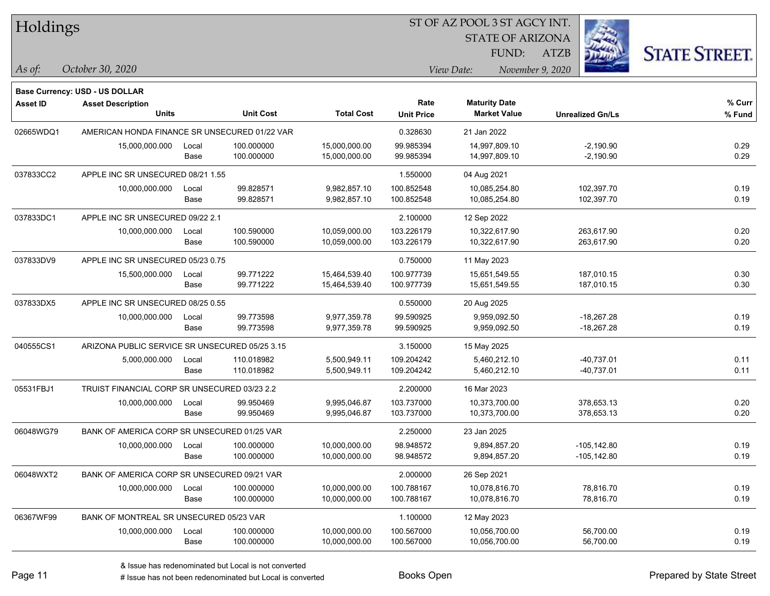| Holdings |
|----------|
|----------|

STATE OF ARIZONA

ATZB



**Base Currency: USD - US DOLLAR**

| <b>Asset ID</b> | <b>Asset Description</b>                       |       |                  |                   | Rate              | <b>Maturity Date</b> |                         | % Curr |
|-----------------|------------------------------------------------|-------|------------------|-------------------|-------------------|----------------------|-------------------------|--------|
|                 | Units                                          |       | <b>Unit Cost</b> | <b>Total Cost</b> | <b>Unit Price</b> | <b>Market Value</b>  | <b>Unrealized Gn/Ls</b> | % Fund |
| 02665WDQ1       | AMERICAN HONDA FINANCE SR UNSECURED 01/22 VAR  |       |                  |                   | 0.328630          | 21 Jan 2022          |                         |        |
|                 | 15,000,000.000                                 | Local | 100.000000       | 15,000,000.00     | 99.985394         | 14,997,809.10        | $-2,190.90$             | 0.29   |
|                 |                                                | Base  | 100.000000       | 15,000,000.00     | 99.985394         | 14,997,809.10        | $-2,190.90$             | 0.29   |
| 037833CC2       | APPLE INC SR UNSECURED 08/21 1.55              |       |                  |                   | 1.550000          | 04 Aug 2021          |                         |        |
|                 | 10,000,000.000                                 | Local | 99.828571        | 9,982,857.10      | 100.852548        | 10,085,254.80        | 102,397.70              | 0.19   |
|                 |                                                | Base  | 99.828571        | 9,982,857.10      | 100.852548        | 10,085,254.80        | 102,397.70              | 0.19   |
| 037833DC1       | APPLE INC SR UNSECURED 09/22 2.1               |       |                  |                   | 2.100000          | 12 Sep 2022          |                         |        |
|                 | 10,000,000.000                                 | Local | 100.590000       | 10,059,000.00     | 103.226179        | 10,322,617.90        | 263,617.90              | 0.20   |
|                 |                                                | Base  | 100.590000       | 10,059,000.00     | 103.226179        | 10,322,617.90        | 263,617.90              | 0.20   |
| 037833DV9       | APPLE INC SR UNSECURED 05/23 0.75              |       |                  |                   | 0.750000          | 11 May 2023          |                         |        |
|                 | 15,500,000.000                                 | Local | 99.771222        | 15,464,539.40     | 100.977739        | 15,651,549.55        | 187,010.15              | 0.30   |
|                 |                                                | Base  | 99.771222        | 15,464,539.40     | 100.977739        | 15,651,549.55        | 187,010.15              | 0.30   |
| 037833DX5       | APPLE INC SR UNSECURED 08/25 0.55              |       |                  |                   | 0.550000          | 20 Aug 2025          |                         |        |
|                 | 10,000,000.000                                 | Local | 99.773598        | 9,977,359.78      | 99.590925         | 9,959,092.50         | $-18,267.28$            | 0.19   |
|                 |                                                | Base  | 99.773598        | 9,977,359.78      | 99.590925         | 9,959,092.50         | $-18,267.28$            | 0.19   |
| 040555CS1       | ARIZONA PUBLIC SERVICE SR UNSECURED 05/25 3.15 |       |                  |                   | 3.150000          | 15 May 2025          |                         |        |
|                 | 5,000,000.000                                  | Local | 110.018982       | 5,500,949.11      | 109.204242        | 5,460,212.10         | $-40,737.01$            | 0.11   |
|                 |                                                | Base  | 110.018982       | 5,500,949.11      | 109.204242        | 5,460,212.10         | $-40,737.01$            | 0.11   |
| 05531FBJ1       | TRUIST FINANCIAL CORP SR UNSECURED 03/23 2.2   |       |                  |                   | 2.200000          | 16 Mar 2023          |                         |        |
|                 | 10,000,000.000                                 | Local | 99.950469        | 9,995,046.87      | 103.737000        | 10,373,700.00        | 378,653.13              | 0.20   |
|                 |                                                | Base  | 99.950469        | 9,995,046.87      | 103.737000        | 10,373,700.00        | 378,653.13              | 0.20   |
| 06048WG79       | BANK OF AMERICA CORP SR UNSECURED 01/25 VAR    |       |                  |                   | 2.250000          | 23 Jan 2025          |                         |        |
|                 | 10,000,000.000                                 | Local | 100.000000       | 10,000,000.00     | 98.948572         | 9,894,857.20         | $-105, 142.80$          | 0.19   |
|                 |                                                | Base  | 100.000000       | 10,000,000.00     | 98.948572         | 9,894,857.20         | $-105, 142.80$          | 0.19   |
| 06048WXT2       | BANK OF AMERICA CORP SR UNSECURED 09/21 VAR    |       |                  |                   | 2.000000          | 26 Sep 2021          |                         |        |
|                 | 10,000,000.000                                 | Local | 100.000000       | 10,000,000.00     | 100.788167        | 10,078,816.70        | 78,816.70               | 0.19   |
|                 |                                                | Base  | 100.000000       | 10,000,000.00     | 100.788167        | 10,078,816.70        | 78,816.70               | 0.19   |
| 06367WF99       | BANK OF MONTREAL SR UNSECURED 05/23 VAR        |       |                  |                   | 1.100000          | 12 May 2023          |                         |        |
|                 | 10,000,000.000                                 | Local | 100.000000       | 10,000,000.00     | 100.567000        | 10,056,700.00        | 56,700.00               | 0.19   |
|                 |                                                | Base  | 100.000000       | 10,000,000.00     | 100.567000        | 10,056,700.00        | 56,700.00               | 0.19   |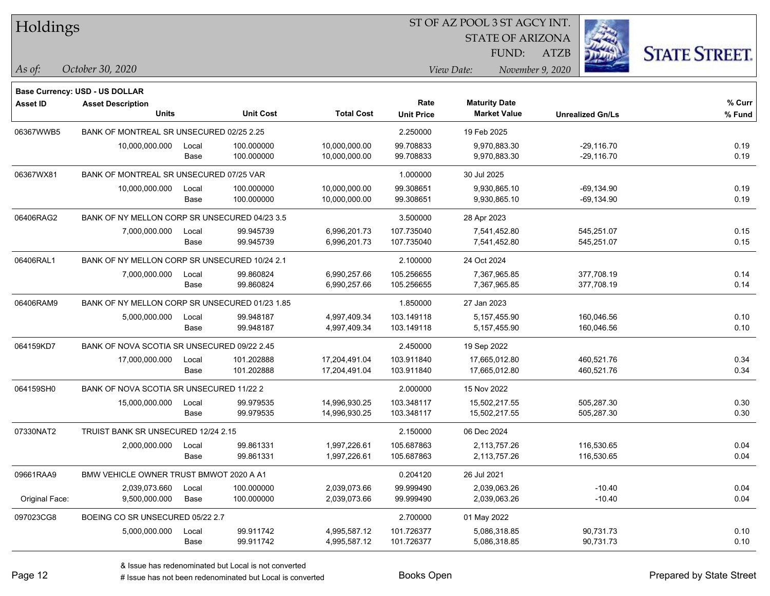| Holdings        |                                                |               |                          |                                |                           | ST OF AZ POOL 3 ST AGCY INT.                |                              |                      |
|-----------------|------------------------------------------------|---------------|--------------------------|--------------------------------|---------------------------|---------------------------------------------|------------------------------|----------------------|
|                 |                                                |               |                          |                                |                           | <b>STATE OF ARIZONA</b>                     |                              |                      |
|                 |                                                |               |                          |                                |                           | FUND:                                       | <b>ATZB</b>                  | <b>STATE STREET.</b> |
| As of:          | October 30, 2020                               |               |                          |                                |                           | View Date:                                  | November 9, 2020             |                      |
|                 |                                                |               |                          |                                |                           |                                             |                              |                      |
|                 | <b>Base Currency: USD - US DOLLAR</b>          |               |                          |                                |                           |                                             |                              |                      |
| <b>Asset ID</b> | <b>Asset Description</b><br><b>Units</b>       |               | <b>Unit Cost</b>         | <b>Total Cost</b>              | Rate<br><b>Unit Price</b> | <b>Maturity Date</b><br><b>Market Value</b> | <b>Unrealized Gn/Ls</b>      | % Curr<br>% Fund     |
|                 |                                                |               |                          |                                |                           |                                             |                              |                      |
| 06367WWB5       | BANK OF MONTREAL SR UNSECURED 02/25 2.25       |               |                          |                                | 2.250000                  | 19 Feb 2025                                 |                              |                      |
|                 | 10,000,000.000                                 | Local<br>Base | 100.000000<br>100.000000 | 10,000,000.00<br>10,000,000.00 | 99.708833<br>99.708833    | 9,970,883.30<br>9,970,883.30                | $-29,116.70$<br>$-29,116.70$ | 0.19<br>0.19         |
|                 |                                                |               |                          |                                |                           |                                             |                              |                      |
| 06367WX81       | BANK OF MONTREAL SR UNSECURED 07/25 VAR        |               |                          |                                | 1.000000                  | 30 Jul 2025                                 |                              |                      |
|                 | 10,000,000.000                                 | Local         | 100.000000               | 10,000,000.00                  | 99.308651                 | 9,930,865.10                                | $-69,134.90$                 | 0.19                 |
|                 |                                                | Base          | 100.000000               | 10,000,000.00                  | 99.308651                 | 9,930,865.10                                | -69,134.90                   | 0.19                 |
| 06406RAG2       | BANK OF NY MELLON CORP SR UNSECURED 04/23 3.5  |               |                          |                                | 3.500000                  | 28 Apr 2023                                 |                              |                      |
|                 | 7,000,000.000                                  | Local         | 99.945739                | 6,996,201.73                   | 107.735040                | 7,541,452.80                                | 545,251.07                   | 0.15                 |
|                 |                                                | Base          | 99.945739                | 6,996,201.73                   | 107.735040                | 7,541,452.80                                | 545,251.07                   | 0.15                 |
| 06406RAL1       | BANK OF NY MELLON CORP SR UNSECURED 10/24 2.1  |               |                          |                                | 2.100000                  | 24 Oct 2024                                 |                              |                      |
|                 | 7,000,000.000                                  | Local         | 99.860824                | 6,990,257.66                   | 105.256655                | 7,367,965.85                                | 377,708.19                   | 0.14                 |
|                 |                                                | Base          | 99.860824                | 6,990,257.66                   | 105.256655                | 7,367,965.85                                | 377,708.19                   | 0.14                 |
| 06406RAM9       | BANK OF NY MELLON CORP SR UNSECURED 01/23 1.85 |               |                          |                                | 1.850000                  | 27 Jan 2023                                 |                              |                      |
|                 | 5,000,000.000                                  | Local         | 99.948187                | 4,997,409.34                   | 103.149118                | 5,157,455.90                                | 160,046.56                   | 0.10                 |
|                 |                                                | Base          | 99.948187                | 4,997,409.34                   | 103.149118                | 5, 157, 455.90                              | 160,046.56                   | 0.10                 |
| 064159KD7       | BANK OF NOVA SCOTIA SR UNSECURED 09/22 2.45    |               |                          |                                | 2.450000                  | 19 Sep 2022                                 |                              |                      |
|                 | 17,000,000.000                                 | Local         | 101.202888               | 17,204,491.04                  | 103.911840                | 17,665,012.80                               | 460,521.76                   | 0.34                 |
|                 |                                                | Base          | 101.202888               | 17,204,491.04                  | 103.911840                | 17,665,012.80                               | 460,521.76                   | 0.34                 |
| 064159SH0       | BANK OF NOVA SCOTIA SR UNSECURED 11/22 2       |               |                          |                                | 2.000000                  | 15 Nov 2022                                 |                              |                      |
|                 | 15,000,000.000                                 | Local         | 99.979535                | 14,996,930.25                  | 103.348117                | 15,502,217.55                               | 505,287.30                   | 0.30                 |
|                 |                                                | Base          | 99.979535                | 14,996,930.25                  | 103.348117                | 15,502,217.55                               | 505,287.30                   | 0.30                 |
| 07330NAT2       | TRUIST BANK SR UNSECURED 12/24 2.15            |               |                          |                                | 2.150000                  | 06 Dec 2024                                 |                              |                      |
|                 | 2,000,000.000                                  | Local         | 99.861331                | 1,997,226.61                   | 105.687863                | 2,113,757.26                                | 116,530.65                   | 0.04                 |
|                 |                                                | Base          | 99.861331                | 1,997,226.61                   | 105.687863                | 2,113,757.26                                | 116,530.65                   | 0.04                 |
| 09661RAA9       | BMW VEHICLE OWNER TRUST BMWOT 2020 A A1        |               |                          |                                | 0.204120                  | 26 Jul 2021                                 |                              |                      |
|                 | 2,039,073.660                                  | Local         | 100.000000               | 2,039,073.66                   | 99.999490                 | 2,039,063.26                                | $-10.40$                     | 0.04                 |
| Original Face:  | 9,500,000.000                                  | Base          | 100.000000               | 2,039,073.66                   | 99.999490                 | 2,039,063.26                                | $-10.40$                     | 0.04                 |
| 097023CG8       | BOEING CO SR UNSECURED 05/22 2.7               |               |                          |                                | 2.700000                  | 01 May 2022                                 |                              |                      |
|                 | 5,000,000.000                                  | Local         | 99.911742                | 4,995,587.12                   | 101.726377                | 5,086,318.85                                | 90,731.73                    | 0.10                 |
|                 |                                                | Base          | 99.911742                | 4,995,587.12                   | 101.726377                | 5,086,318.85                                | 90,731.73                    | 0.10                 |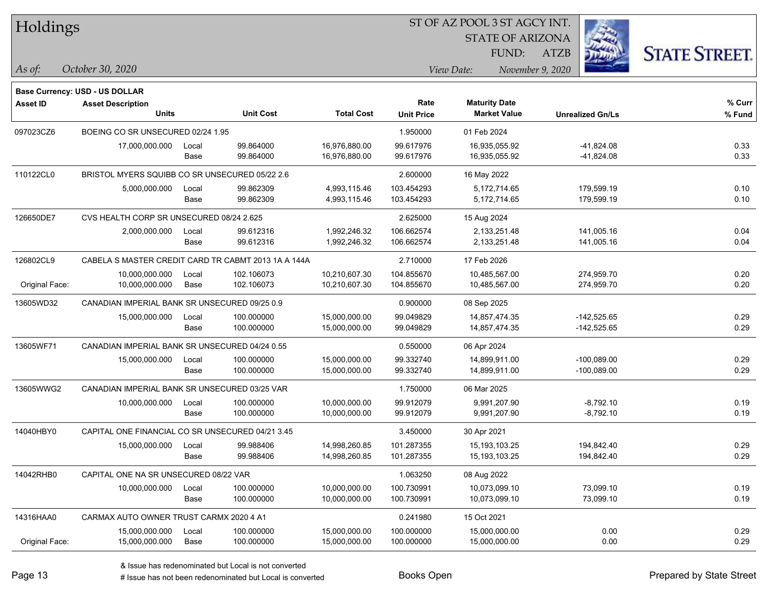| <b>Holdings</b> |  |
|-----------------|--|
|-----------------|--|

STATE OF ARIZONA FUND:

ATZB



*As of: View Date: November 9, 2020*

| As of: | October 30, 2020 |  |
|--------|------------------|--|
|        |                  |  |

|                | <b>Base Currency: USD - US DOLLAR</b>            |       |                                                     |                   |                   |                      |                         |        |
|----------------|--------------------------------------------------|-------|-----------------------------------------------------|-------------------|-------------------|----------------------|-------------------------|--------|
| Asset ID       | <b>Asset Description</b>                         |       |                                                     |                   | Rate              | <b>Maturity Date</b> |                         | % Curr |
|                | <b>Units</b>                                     |       | <b>Unit Cost</b>                                    | <b>Total Cost</b> | <b>Unit Price</b> | <b>Market Value</b>  | <b>Unrealized Gn/Ls</b> | % Fund |
| 097023CZ6      | BOEING CO SR UNSECURED 02/24 1.95                |       |                                                     |                   | 1.950000          | 01 Feb 2024          |                         |        |
|                | 17,000,000.000                                   | Local | 99.864000                                           | 16,976,880.00     | 99.617976         | 16,935,055.92        | -41,824.08              | 0.33   |
|                |                                                  | Base  | 99.864000                                           | 16,976,880.00     | 99.617976         | 16,935,055.92        | -41,824.08              | 0.33   |
| 110122CL0      | BRISTOL MYERS SQUIBB CO SR UNSECURED 05/22 2.6   |       |                                                     |                   | 2.600000          | 16 May 2022          |                         |        |
|                | 5,000,000.000                                    | Local | 99.862309                                           | 4,993,115.46      | 103.454293        | 5,172,714.65         | 179,599.19              | 0.10   |
|                |                                                  | Base  | 99.862309                                           | 4,993,115.46      | 103.454293        | 5,172,714.65         | 179,599.19              | 0.10   |
| 126650DE7      | CVS HEALTH CORP SR UNSECURED 08/24 2.625         |       |                                                     |                   | 2.625000          | 15 Aug 2024          |                         |        |
|                | 2.000.000.000                                    | Local | 99.612316                                           | 1,992,246.32      | 106.662574        | 2,133,251.48         | 141,005.16              | 0.04   |
|                |                                                  | Base  | 99.612316                                           | 1,992,246.32      | 106.662574        | 2,133,251.48         | 141,005.16              | 0.04   |
| 126802CL9      |                                                  |       | CABELA S MASTER CREDIT CARD TR CABMT 2013 1A A 144A |                   | 2.710000          | 17 Feb 2026          |                         |        |
|                | 10,000,000.000                                   | Local | 102.106073                                          | 10,210,607.30     | 104.855670        | 10,485,567.00        | 274,959.70              | 0.20   |
| Original Face: | 10,000,000.000                                   | Base  | 102.106073                                          | 10,210,607.30     | 104.855670        | 10,485,567.00        | 274,959.70              | 0.20   |
| 13605WD32      | CANADIAN IMPERIAL BANK SR UNSECURED 09/25 0.9    |       |                                                     | 0.900000          | 08 Sep 2025       |                      |                         |        |
|                | 15,000,000.000                                   | Local | 100.000000                                          | 15,000,000.00     | 99.049829         | 14,857,474.35        | $-142,525.65$           | 0.29   |
|                |                                                  | Base  | 100.000000                                          | 15,000,000.00     | 99.049829         | 14,857,474.35        | $-142,525.65$           | 0.29   |
| 13605WF71      | CANADIAN IMPERIAL BANK SR UNSECURED 04/24 0.55   |       |                                                     |                   | 0.550000          | 06 Apr 2024          |                         |        |
|                | 15,000,000.000                                   | Local | 100.000000                                          | 15,000,000.00     | 99.332740         | 14,899,911.00        | $-100,089.00$           | 0.29   |
|                |                                                  | Base  | 100.000000                                          | 15,000,000.00     | 99.332740         | 14,899,911.00        | $-100,089.00$           | 0.29   |
| 13605WWG2      | CANADIAN IMPERIAL BANK SR UNSECURED 03/25 VAR    |       |                                                     |                   | 1.750000          | 06 Mar 2025          |                         |        |
|                | 10,000,000.000                                   | Local | 100.000000                                          | 10,000,000.00     | 99.912079         | 9,991,207.90         | $-8,792.10$             | 0.19   |
|                |                                                  | Base  | 100.000000                                          | 10,000,000.00     | 99.912079         | 9,991,207.90         | $-8,792.10$             | 0.19   |
| 14040HBY0      | CAPITAL ONE FINANCIAL CO SR UNSECURED 04/21 3.45 |       |                                                     |                   | 3.450000          | 30 Apr 2021          |                         |        |
|                | 15,000,000.000                                   | Local | 99.988406                                           | 14,998,260.85     | 101.287355        | 15, 193, 103. 25     | 194,842.40              | 0.29   |
|                |                                                  | Base  | 99.988406                                           | 14,998,260.85     | 101.287355        | 15, 193, 103. 25     | 194,842.40              | 0.29   |
| 14042RHB0      | CAPITAL ONE NA SR UNSECURED 08/22 VAR            |       |                                                     |                   | 1.063250          | 08 Aug 2022          |                         |        |
|                | 10,000,000.000                                   | Local | 100.000000                                          | 10,000,000.00     | 100.730991        | 10,073,099.10        | 73,099.10               | 0.19   |
|                |                                                  | Base  | 100.000000                                          | 10,000,000.00     | 100.730991        | 10,073,099.10        | 73,099.10               | 0.19   |
| 14316HAA0      | CARMAX AUTO OWNER TRUST CARMX 2020 4 A1          |       |                                                     |                   | 0.241980          | 15 Oct 2021          |                         |        |
|                | 15,000,000.000                                   | Local | 100.000000                                          | 15,000,000.00     | 100.000000        | 15,000,000.00        | 0.00                    | 0.29   |
| Original Face: | 15,000,000.000                                   | Base  | 100.000000                                          | 15,000,000.00     | 100.000000        | 15,000,000.00        | 0.00                    | 0.29   |
|                |                                                  |       |                                                     |                   |                   |                      |                         |        |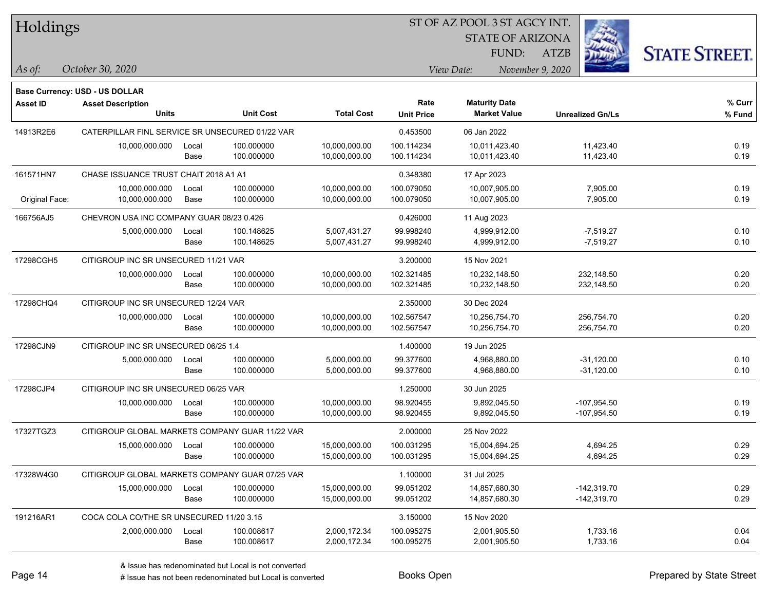| Holdings |
|----------|
|----------|

STATE OF ARIZONA

ATZB



**Base Currency: USD - US DOLLAR**

| <b>Asset ID</b> | <b>Asset Description</b><br><b>Units</b>        |               | <b>Unit Cost</b>         | <b>Total Cost</b>              | Rate<br><b>Unit Price</b> | <b>Maturity Date</b><br><b>Market Value</b> | <b>Unrealized Gn/Ls</b>        | % Curr<br>% Fund |
|-----------------|-------------------------------------------------|---------------|--------------------------|--------------------------------|---------------------------|---------------------------------------------|--------------------------------|------------------|
| 14913R2E6       | CATERPILLAR FINL SERVICE SR UNSECURED 01/22 VAR |               |                          |                                | 0.453500                  | 06 Jan 2022                                 |                                |                  |
|                 | 10,000,000.000                                  | Local<br>Base | 100.000000<br>100.000000 | 10,000,000.00<br>10,000,000.00 | 100.114234<br>100.114234  | 10,011,423.40<br>10,011,423.40              | 11,423.40<br>11,423.40         | 0.19<br>0.19     |
| 161571HN7       | CHASE ISSUANCE TRUST CHAIT 2018 A1 A1           |               |                          |                                | 0.348380                  | 17 Apr 2023                                 |                                |                  |
|                 | 10,000,000.000                                  | Local         | 100.000000               | 10,000,000.00                  | 100.079050                | 10,007,905.00                               | 7,905.00                       | 0.19             |
| Original Face:  | 10,000,000.000                                  | Base          | 100.000000               | 10,000,000.00                  | 100.079050                | 10,007,905.00                               | 7,905.00                       | 0.19             |
| 166756AJ5       | CHEVRON USA INC COMPANY GUAR 08/23 0.426        |               |                          |                                | 0.426000                  | 11 Aug 2023                                 |                                |                  |
|                 | 5,000,000.000                                   | Local<br>Base | 100.148625<br>100.148625 | 5,007,431.27<br>5,007,431.27   | 99.998240<br>99.998240    | 4,999,912.00<br>4,999,912.00                | $-7,519.27$<br>$-7,519.27$     | 0.10<br>0.10     |
| 17298CGH5       | CITIGROUP INC SR UNSECURED 11/21 VAR            |               |                          |                                | 3.200000                  | 15 Nov 2021                                 |                                |                  |
|                 | 10,000,000.000                                  | Local<br>Base | 100.000000<br>100.000000 | 10,000,000.00<br>10,000,000.00 | 102.321485<br>102.321485  | 10,232,148.50<br>10,232,148.50              | 232,148.50<br>232,148.50       | 0.20<br>0.20     |
| 17298CHQ4       | CITIGROUP INC SR UNSECURED 12/24 VAR            |               |                          | 2.350000                       | 30 Dec 2024               |                                             |                                |                  |
|                 | 10,000,000.000                                  | Local<br>Base | 100.000000<br>100.000000 | 10,000,000.00<br>10,000,000.00 | 102.567547<br>102.567547  | 10,256,754.70<br>10,256,754.70              | 256,754.70<br>256,754.70       | 0.20<br>0.20     |
| 17298CJN9       | CITIGROUP INC SR UNSECURED 06/25 1.4            |               |                          |                                | 1.400000                  | 19 Jun 2025                                 |                                |                  |
|                 | 5,000,000.000                                   | Local         | 100.000000               | 5,000,000.00                   | 99.377600                 | 4,968,880.00                                | $-31,120.00$                   | 0.10             |
|                 |                                                 | Base          | 100.000000               | 5,000,000.00                   | 99.377600                 | 4,968,880.00                                | $-31,120.00$                   | 0.10             |
| 17298CJP4       | CITIGROUP INC SR UNSECURED 06/25 VAR            |               |                          |                                | 1.250000                  | 30 Jun 2025                                 |                                |                  |
|                 | 10,000,000.000                                  | Local<br>Base | 100.000000<br>100.000000 | 10,000,000.00<br>10,000,000.00 | 98.920455<br>98.920455    | 9,892,045.50<br>9,892,045.50                | $-107,954.50$<br>$-107,954.50$ | 0.19<br>0.19     |
| 17327TGZ3       | CITIGROUP GLOBAL MARKETS COMPANY GUAR 11/22 VAR |               |                          |                                | 2.000000                  | 25 Nov 2022                                 |                                |                  |
|                 | 15,000,000.000                                  | Local<br>Base | 100.000000<br>100.000000 | 15,000,000.00<br>15,000,000.00 | 100.031295<br>100.031295  | 15,004,694.25<br>15,004,694.25              | 4,694.25<br>4,694.25           | 0.29<br>0.29     |
| 17328W4G0       | CITIGROUP GLOBAL MARKETS COMPANY GUAR 07/25 VAR |               |                          |                                | 1.100000                  | 31 Jul 2025                                 |                                |                  |
|                 | 15,000,000.000                                  | Local<br>Base | 100.000000<br>100.000000 | 15,000,000.00<br>15,000,000.00 | 99.051202<br>99.051202    | 14,857,680.30<br>14,857,680.30              | $-142,319.70$<br>$-142,319.70$ | 0.29<br>0.29     |
| 191216AR1       | COCA COLA CO/THE SR UNSECURED 11/20 3.15        |               |                          |                                | 3.150000                  | 15 Nov 2020                                 |                                |                  |
|                 | 2,000,000.000                                   | Local<br>Base | 100.008617<br>100.008617 | 2,000,172.34<br>2,000,172.34   | 100.095275<br>100.095275  | 2,001,905.50<br>2,001,905.50                | 1,733.16<br>1,733.16           | 0.04<br>0.04     |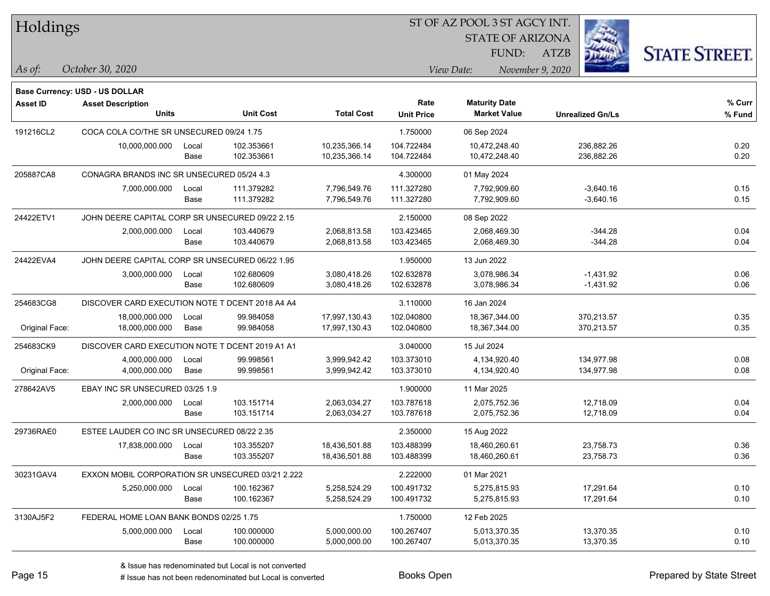| Holdings        |                                                                   |       |                  |                   |                   | ST OF AZ POOL 3 ST AGCY INT. |                  |                         |                      |
|-----------------|-------------------------------------------------------------------|-------|------------------|-------------------|-------------------|------------------------------|------------------|-------------------------|----------------------|
|                 |                                                                   |       |                  |                   |                   | <b>STATE OF ARIZONA</b>      |                  |                         |                      |
|                 |                                                                   |       |                  |                   |                   | FUND:                        | <b>ATZB</b>      |                         | <b>STATE STREET.</b> |
| $\vert$ As of:  | October 30, 2020                                                  |       |                  |                   |                   | View Date:                   | November 9, 2020 |                         |                      |
|                 |                                                                   |       |                  |                   |                   |                              |                  |                         |                      |
| <b>Asset ID</b> | <b>Base Currency: USD - US DOLLAR</b><br><b>Asset Description</b> |       |                  |                   | Rate              | <b>Maturity Date</b>         |                  |                         | $%$ Curr             |
|                 | <b>Units</b>                                                      |       | <b>Unit Cost</b> | <b>Total Cost</b> | <b>Unit Price</b> | <b>Market Value</b>          |                  | <b>Unrealized Gn/Ls</b> | % Fund               |
| 191216CL2       | COCA COLA CO/THE SR UNSECURED 09/24 1.75                          |       |                  |                   | 1.750000          | 06 Sep 2024                  |                  |                         |                      |
|                 | 10,000,000.000                                                    | Local | 102.353661       | 10,235,366.14     | 104.722484        | 10,472,248.40                |                  | 236,882.26              | 0.20                 |
|                 |                                                                   | Base  | 102.353661       | 10,235,366.14     | 104.722484        | 10,472,248.40                |                  | 236,882.26              | 0.20                 |
| 205887CA8       | CONAGRA BRANDS INC SR UNSECURED 05/24 4.3                         |       |                  |                   | 4.300000          | 01 May 2024                  |                  |                         |                      |
|                 | 7,000,000.000                                                     | Local | 111.379282       | 7,796,549.76      | 111.327280        | 7,792,909.60                 |                  | $-3,640.16$             | 0.15                 |
|                 |                                                                   | Base  | 111.379282       | 7,796,549.76      | 111.327280        | 7,792,909.60                 |                  | $-3,640.16$             | 0.15                 |
| 24422ETV1       | JOHN DEERE CAPITAL CORP SR UNSECURED 09/22 2.15                   |       |                  |                   | 2.150000          | 08 Sep 2022                  |                  |                         |                      |
|                 | 2,000,000.000                                                     | Local | 103.440679       | 2,068,813.58      | 103.423465        | 2,068,469.30                 |                  | $-344.28$               | 0.04                 |
|                 |                                                                   | Base  | 103.440679       | 2,068,813.58      | 103.423465        | 2,068,469.30                 |                  | $-344.28$               | 0.04                 |
| 24422EVA4       | JOHN DEERE CAPITAL CORP SR UNSECURED 06/22 1.95                   |       |                  |                   | 1.950000          | 13 Jun 2022                  |                  |                         |                      |
|                 | 3,000,000.000                                                     | Local | 102.680609       | 3,080,418.26      | 102.632878        | 3,078,986.34                 |                  | $-1,431.92$             | 0.06                 |
|                 |                                                                   | Base  | 102.680609       | 3,080,418.26      | 102.632878        | 3,078,986.34                 |                  | $-1,431.92$             | 0.06                 |
| 254683CG8       | DISCOVER CARD EXECUTION NOTE T DCENT 2018 A4 A4                   |       |                  |                   | 3.110000          | 16 Jan 2024                  |                  |                         |                      |
|                 | 18,000,000.000                                                    | Local | 99.984058        | 17,997,130.43     | 102.040800        | 18,367,344.00                |                  | 370,213.57              | 0.35                 |
| Original Face:  | 18,000,000.000                                                    | Base  | 99.984058        | 17,997,130.43     | 102.040800        | 18,367,344.00                |                  | 370,213.57              | 0.35                 |
| 254683CK9       | DISCOVER CARD EXECUTION NOTE T DCENT 2019 A1 A1                   |       |                  |                   | 3.040000          | 15 Jul 2024                  |                  |                         |                      |
|                 | 4,000,000.000                                                     | Local | 99.998561        | 3,999,942.42      | 103.373010        | 4,134,920.40                 |                  | 134,977.98              | 0.08                 |
| Original Face:  | 4,000,000.000                                                     | Base  | 99.998561        | 3,999,942.42      | 103.373010        | 4,134,920.40                 |                  | 134,977.98              | 0.08                 |
| 278642AV5       | EBAY INC SR UNSECURED 03/25 1.9                                   |       |                  |                   | 1.900000          | 11 Mar 2025                  |                  |                         |                      |
|                 | 2,000,000.000                                                     | Local | 103.151714       | 2,063,034.27      | 103.787618        | 2,075,752.36                 |                  | 12,718.09               | 0.04                 |
|                 |                                                                   | Base  | 103.151714       | 2,063,034.27      | 103.787618        | 2,075,752.36                 |                  | 12,718.09               | 0.04                 |
| 29736RAE0       | ESTEE LAUDER CO INC SR UNSECURED 08/22 2.35                       |       |                  |                   | 2.350000          | 15 Aug 2022                  |                  |                         |                      |
|                 | 17,838,000.000                                                    | Local | 103.355207       | 18,436,501.88     | 103.488399        | 18,460,260.61                |                  | 23,758.73               | 0.36                 |
|                 |                                                                   | Base  | 103.355207       | 18,436,501.88     | 103.488399        | 18,460,260.61                |                  | 23,758.73               | 0.36                 |
| 30231GAV4       | EXXON MOBIL CORPORATION SR UNSECURED 03/21 2.222                  |       |                  |                   | 2.222000          | 01 Mar 2021                  |                  |                         |                      |
|                 | 5,250,000.000                                                     | Local | 100.162367       | 5,258,524.29      | 100.491732        | 5,275,815.93                 |                  | 17,291.64               | 0.10                 |
|                 |                                                                   | Base  | 100.162367       | 5,258,524.29      | 100.491732        | 5,275,815.93                 |                  | 17,291.64               | 0.10                 |
| 3130AJ5F2       | FEDERAL HOME LOAN BANK BONDS 02/25 1.75                           |       |                  |                   | 1.750000          | 12 Feb 2025                  |                  |                         |                      |
|                 | 5,000,000.000                                                     | Local | 100.000000       | 5,000,000.00      | 100.267407        | 5,013,370.35                 |                  | 13,370.35               | 0.10                 |
|                 |                                                                   | Base  | 100.000000       | 5,000,000.00      | 100.267407        | 5,013,370.35                 |                  | 13,370.35               | 0.10                 |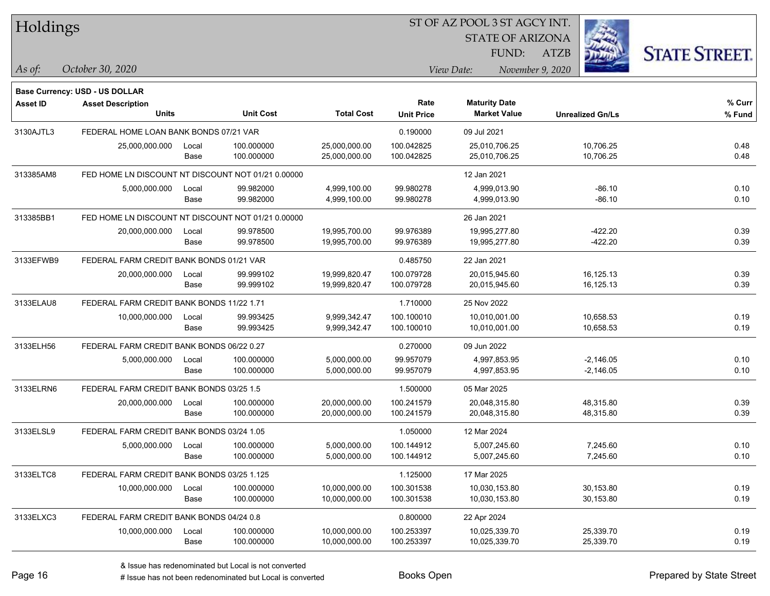| Holdings        |                                                    |       |                  |                   |                   | ST OF AZ POOL 3 ST AGCY INT. |                         |                         |                      |
|-----------------|----------------------------------------------------|-------|------------------|-------------------|-------------------|------------------------------|-------------------------|-------------------------|----------------------|
|                 |                                                    |       |                  |                   |                   |                              | <b>STATE OF ARIZONA</b> |                         |                      |
|                 |                                                    |       |                  |                   |                   | FUND:                        | ATZB                    |                         | <b>STATE STREET.</b> |
| As of:          | October 30, 2020                                   |       |                  |                   |                   | View Date:                   | November 9, 2020        |                         |                      |
|                 | Base Currency: USD - US DOLLAR                     |       |                  |                   |                   |                              |                         |                         |                      |
| <b>Asset ID</b> | <b>Asset Description</b>                           |       |                  |                   | Rate              | <b>Maturity Date</b>         |                         |                         | % Curr               |
|                 | <b>Units</b>                                       |       | <b>Unit Cost</b> | <b>Total Cost</b> | <b>Unit Price</b> | <b>Market Value</b>          |                         | <b>Unrealized Gn/Ls</b> | % Fund               |
| 3130AJTL3       | FEDERAL HOME LOAN BANK BONDS 07/21 VAR             |       |                  |                   | 0.190000          | 09 Jul 2021                  |                         |                         |                      |
|                 | 25,000,000.000                                     | Local | 100.000000       | 25,000,000.00     | 100.042825        | 25,010,706.25                |                         | 10,706.25               | 0.48                 |
|                 |                                                    | Base  | 100.000000       | 25,000,000.00     | 100.042825        | 25,010,706.25                |                         | 10,706.25               | 0.48                 |
| 313385AM8       | FED HOME LN DISCOUNT NT DISCOUNT NOT 01/21 0.00000 |       |                  |                   |                   | 12 Jan 2021                  |                         |                         |                      |
|                 | 5,000,000.000                                      | Local | 99.982000        | 4,999,100.00      | 99.980278         | 4,999,013.90                 |                         | $-86.10$                | 0.10                 |
|                 |                                                    | Base  | 99.982000        | 4,999,100.00      | 99.980278         | 4,999,013.90                 |                         | $-86.10$                | 0.10                 |
| 313385BB1       | FED HOME LN DISCOUNT NT DISCOUNT NOT 01/21 0.00000 |       |                  |                   |                   | 26 Jan 2021                  |                         |                         |                      |
|                 | 20,000,000.000                                     | Local | 99.978500        | 19,995,700.00     | 99.976389         | 19,995,277.80                |                         | $-422.20$               | 0.39                 |
|                 |                                                    | Base  | 99.978500        | 19,995,700.00     | 99.976389         | 19,995,277.80                |                         | $-422.20$               | 0.39                 |
| 3133EFWB9       | FEDERAL FARM CREDIT BANK BONDS 01/21 VAR           |       |                  |                   | 0.485750          | 22 Jan 2021                  |                         |                         |                      |
|                 | 20,000,000.000                                     | Local | 99.999102        | 19,999,820.47     | 100.079728        | 20,015,945.60                |                         | 16,125.13               | 0.39                 |
|                 |                                                    | Base  | 99.999102        | 19,999,820.47     | 100.079728        | 20,015,945.60                |                         | 16,125.13               | 0.39                 |
| 3133ELAU8       | FEDERAL FARM CREDIT BANK BONDS 11/22 1.71          |       |                  |                   | 1.710000          | 25 Nov 2022                  |                         |                         |                      |
|                 | 10,000,000.000                                     | Local | 99.993425        | 9,999,342.47      | 100.100010        | 10,010,001.00                |                         | 10,658.53               | 0.19                 |
|                 |                                                    | Base  | 99.993425        | 9,999,342.47      | 100.100010        | 10,010,001.00                |                         | 10,658.53               | 0.19                 |
| 3133ELH56       | FEDERAL FARM CREDIT BANK BONDS 06/22 0.27          |       |                  |                   | 0.270000          | 09 Jun 2022                  |                         |                         |                      |
|                 | 5,000,000.000                                      | Local | 100.000000       | 5,000,000.00      | 99.957079         | 4,997,853.95                 |                         | $-2,146.05$             | 0.10                 |
|                 |                                                    | Base  | 100.000000       | 5,000,000.00      | 99.957079         | 4,997,853.95                 |                         | $-2,146.05$             | 0.10                 |
| 3133ELRN6       | FEDERAL FARM CREDIT BANK BONDS 03/25 1.5           |       |                  |                   | 1.500000          | 05 Mar 2025                  |                         |                         |                      |
|                 | 20,000,000.000                                     | Local | 100.000000       | 20,000,000.00     | 100.241579        | 20,048,315.80                |                         | 48,315.80               | 0.39                 |
|                 |                                                    | Base  | 100.000000       | 20,000,000.00     | 100.241579        | 20,048,315.80                |                         | 48,315.80               | 0.39                 |
| 3133ELSL9       | FEDERAL FARM CREDIT BANK BONDS 03/24 1.05          |       |                  |                   | 1.050000          | 12 Mar 2024                  |                         |                         |                      |
|                 | 5,000,000.000                                      | Local | 100.000000       | 5,000,000.00      | 100.144912        | 5,007,245.60                 |                         | 7,245.60                | 0.10                 |
|                 |                                                    | Base  | 100.000000       | 5,000,000.00      | 100.144912        | 5,007,245.60                 |                         | 7,245.60                | 0.10                 |
| 3133ELTC8       | FEDERAL FARM CREDIT BANK BONDS 03/25 1.125         |       |                  |                   | 1.125000          | 17 Mar 2025                  |                         |                         |                      |
|                 | 10,000,000.000                                     | Local | 100.000000       | 10,000,000.00     | 100.301538        | 10,030,153.80                |                         | 30,153.80               | 0.19                 |
|                 |                                                    | Base  | 100.000000       | 10,000,000.00     | 100.301538        | 10,030,153.80                |                         | 30,153.80               | 0.19                 |
| 3133ELXC3       | FEDERAL FARM CREDIT BANK BONDS 04/24 0.8           |       |                  |                   | 0.800000          | 22 Apr 2024                  |                         |                         |                      |
|                 | 10,000,000.000                                     | Local | 100.000000       | 10,000,000.00     | 100.253397        | 10,025,339.70                |                         | 25,339.70               | 0.19                 |
|                 |                                                    | Base  | 100.000000       | 10,000,000.00     | 100.253397        | 10,025,339.70                |                         | 25,339.70               | 0.19                 |
|                 |                                                    |       |                  |                   |                   |                              |                         |                         |                      |

٦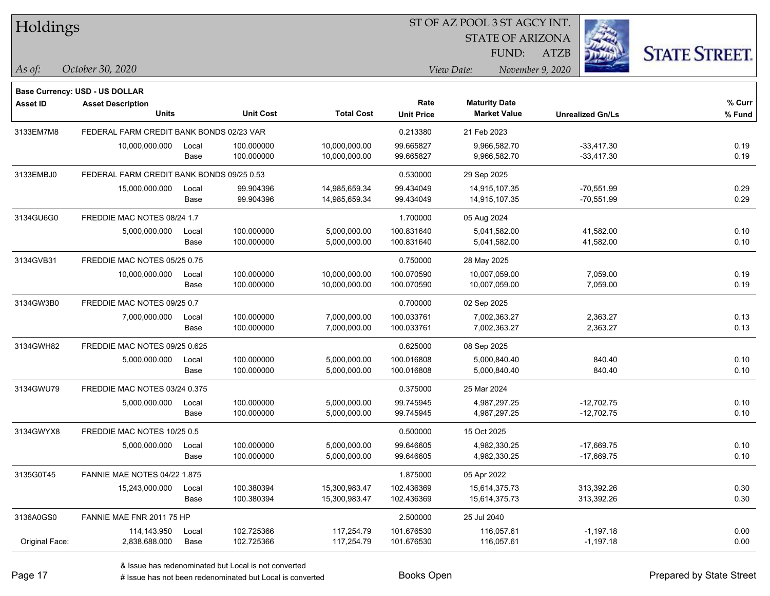| Holdings        |                                           |       |                  |                   |                           | ST OF AZ POOL 3 ST AGCY INT.                |                         |                      |
|-----------------|-------------------------------------------|-------|------------------|-------------------|---------------------------|---------------------------------------------|-------------------------|----------------------|
|                 |                                           |       |                  |                   |                           | <b>STATE OF ARIZONA</b>                     |                         |                      |
|                 |                                           |       |                  |                   |                           | FUND:                                       | <b>ATZB</b>             | <b>STATE STREET.</b> |
| As of:          | October 30, 2020                          |       |                  |                   |                           | View Date:                                  | November 9, 2020        |                      |
|                 |                                           |       |                  |                   |                           |                                             |                         |                      |
|                 | Base Currency: USD - US DOLLAR            |       |                  |                   |                           |                                             |                         |                      |
| <b>Asset ID</b> | <b>Asset Description</b><br><b>Units</b>  |       | <b>Unit Cost</b> | <b>Total Cost</b> | Rate<br><b>Unit Price</b> | <b>Maturity Date</b><br><b>Market Value</b> | <b>Unrealized Gn/Ls</b> | % Curr<br>% Fund     |
| 3133EM7M8       | FEDERAL FARM CREDIT BANK BONDS 02/23 VAR  |       |                  |                   | 0.213380                  | 21 Feb 2023                                 |                         |                      |
|                 | 10,000,000.000                            | Local | 100.000000       | 10,000,000.00     | 99.665827                 | 9,966,582.70                                | $-33.417.30$            | 0.19                 |
|                 |                                           | Base  | 100.000000       | 10,000,000.00     | 99.665827                 | 9,966,582.70                                | $-33,417.30$            | 0.19                 |
| 3133EMBJ0       | FEDERAL FARM CREDIT BANK BONDS 09/25 0.53 |       |                  |                   | 0.530000                  | 29 Sep 2025                                 |                         |                      |
|                 | 15,000,000.000                            | Local | 99.904396        | 14,985,659.34     | 99.434049                 | 14,915,107.35                               | $-70,551.99$            | 0.29                 |
|                 |                                           | Base  | 99.904396        | 14,985,659.34     | 99.434049                 | 14,915,107.35                               | $-70,551.99$            | 0.29                 |
| 3134GU6G0       | FREDDIE MAC NOTES 08/24 1.7               |       |                  |                   | 1.700000                  | 05 Aug 2024                                 |                         |                      |
|                 | 5,000,000.000                             | Local | 100.000000       | 5,000,000.00      | 100.831640                | 5,041,582.00                                | 41,582.00               | 0.10                 |
|                 |                                           | Base  | 100.000000       | 5,000,000.00      | 100.831640                | 5,041,582.00                                | 41,582.00               | 0.10                 |
| 3134GVB31       | FREDDIE MAC NOTES 05/25 0.75              |       |                  |                   | 0.750000                  | 28 May 2025                                 |                         |                      |
|                 | 10,000,000.000                            | Local | 100.000000       | 10,000,000.00     | 100.070590                | 10,007,059.00                               | 7,059.00                | 0.19                 |
|                 |                                           | Base  | 100.000000       | 10,000,000.00     | 100.070590                | 10,007,059.00                               | 7,059.00                | 0.19                 |
| 3134GW3B0       | FREDDIE MAC NOTES 09/25 0.7               |       |                  |                   | 0.700000                  | 02 Sep 2025                                 |                         |                      |
|                 | 7,000,000.000                             | Local | 100.000000       | 7,000,000.00      | 100.033761                | 7,002,363.27                                | 2,363.27                | 0.13                 |
|                 |                                           | Base  | 100.000000       | 7,000,000.00      | 100.033761                | 7,002,363.27                                | 2,363.27                | 0.13                 |
| 3134GWH82       | FREDDIE MAC NOTES 09/25 0.625             |       |                  |                   | 0.625000                  | 08 Sep 2025                                 |                         |                      |
|                 | 5,000,000.000                             | Local | 100.000000       | 5,000,000.00      | 100.016808                | 5,000,840.40                                | 840.40                  | 0.10                 |
|                 |                                           | Base  | 100.000000       | 5,000,000.00      | 100.016808                | 5,000,840.40                                | 840.40                  | 0.10                 |
| 3134GWU79       | FREDDIE MAC NOTES 03/24 0.375             |       |                  |                   | 0.375000                  | 25 Mar 2024                                 |                         |                      |
|                 | 5,000,000.000                             | Local | 100.000000       | 5,000,000.00      | 99.745945                 | 4,987,297.25                                | $-12,702.75$            | 0.10                 |
|                 |                                           | Base  | 100.000000       | 5,000,000.00      | 99.745945                 | 4,987,297.25                                | $-12,702.75$            | 0.10                 |
| 3134GWYX8       | FREDDIE MAC NOTES 10/25 0.5               |       |                  |                   | 0.500000                  | 15 Oct 2025                                 |                         |                      |
|                 | 5,000,000.000                             | Local | 100.000000       | 5,000,000.00      | 99.646605                 | 4,982,330.25                                | $-17,669.75$            | 0.10                 |
|                 |                                           | Base  | 100.000000       | 5,000,000.00      | 99.646605                 | 4,982,330.25                                | $-17,669.75$            | 0.10                 |
| 3135G0T45       | <b>FANNIE MAE NOTES 04/22 1.875</b>       |       |                  |                   | 1.875000                  | 05 Apr 2022                                 |                         |                      |
|                 | 15,243,000.000                            | Local | 100.380394       | 15,300,983.47     | 102.436369                | 15,614,375.73                               | 313,392.26              | 0.30                 |
|                 |                                           | Base  | 100.380394       | 15,300,983.47     | 102.436369                | 15,614,375.73                               | 313,392.26              | 0.30                 |
| 3136A0GS0       | FANNIE MAE FNR 2011 75 HP                 |       |                  |                   | 2.500000                  | 25 Jul 2040                                 |                         |                      |
|                 | 114,143.950                               | Local | 102.725366       | 117,254.79        | 101.676530                | 116,057.61                                  | $-1,197.18$             | 0.00                 |
| Original Face:  | 2,838,688.000                             | Base  | 102.725366       | 117,254.79        | 101.676530                | 116,057.61                                  | $-1,197.18$             | 0.00                 |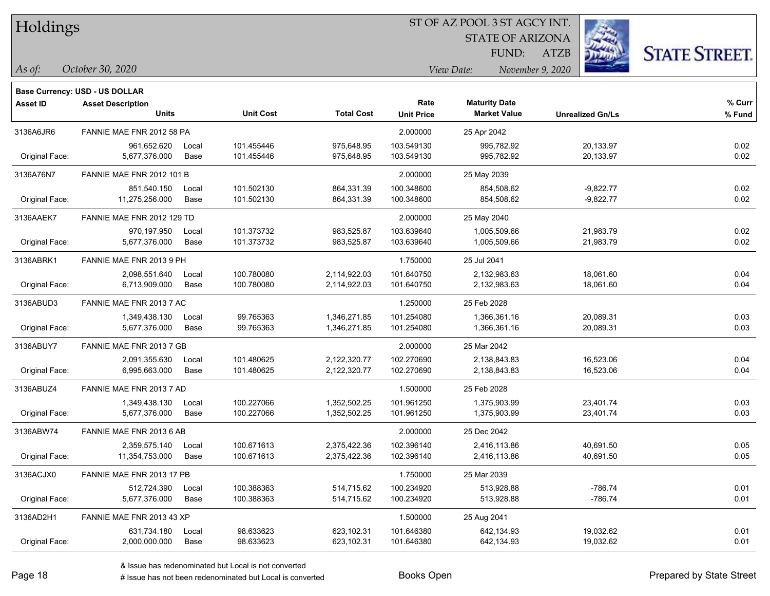| Holdings |
|----------|
|          |

STATE OF ARIZONA FUND:

ATZB



#### *October 30, 2020 As of: View Date: November 9, 2020*

|                 | <b>Base Currency: USD - US DOLLAR</b> |       |                  |                   |                   |                      |                         |        |
|-----------------|---------------------------------------|-------|------------------|-------------------|-------------------|----------------------|-------------------------|--------|
| <b>Asset ID</b> | <b>Asset Description</b>              |       |                  |                   | Rate              | <b>Maturity Date</b> |                         | % Curr |
|                 | <b>Units</b>                          |       | <b>Unit Cost</b> | <b>Total Cost</b> | <b>Unit Price</b> | <b>Market Value</b>  | <b>Unrealized Gn/Ls</b> | % Fund |
| 3136A6JR6       | FANNIE MAE FNR 2012 58 PA             |       |                  |                   | 2.000000          | 25 Apr 2042          |                         |        |
|                 | 961,652.620                           | Local | 101.455446       | 975,648.95        | 103.549130        | 995,782.92           | 20,133.97               | 0.02   |
| Original Face:  | 5,677,376.000                         | Base  | 101.455446       | 975,648.95        | 103.549130        | 995,782.92           | 20,133.97               | 0.02   |
| 3136A76N7       | <b>FANNIE MAE FNR 2012 101 B</b>      |       |                  |                   | 2.000000          | 25 May 2039          |                         |        |
|                 | 851,540.150                           | Local | 101.502130       | 864,331.39        | 100.348600        | 854,508.62           | $-9,822.77$             | 0.02   |
| Original Face:  | 11,275,256.000                        | Base  | 101.502130       | 864,331.39        | 100.348600        | 854,508.62           | $-9,822.77$             | 0.02   |
| 3136AAEK7       | FANNIE MAE FNR 2012 129 TD            |       |                  |                   | 2.000000          | 25 May 2040          |                         |        |
|                 | 970,197.950                           | Local | 101.373732       | 983,525.87        | 103.639640        | 1,005,509.66         | 21,983.79               | 0.02   |
| Original Face:  | 5,677,376.000                         | Base  | 101.373732       | 983,525.87        | 103.639640        | 1,005,509.66         | 21,983.79               | 0.02   |
| 3136ABRK1       | FANNIE MAE FNR 2013 9 PH              |       |                  |                   | 1.750000          | 25 Jul 2041          |                         |        |
|                 | 2,098,551.640                         | Local | 100.780080       | 2,114,922.03      | 101.640750        | 2,132,983.63         | 18,061.60               | 0.04   |
| Original Face:  | 6,713,909.000                         | Base  | 100.780080       | 2,114,922.03      | 101.640750        | 2,132,983.63         | 18,061.60               | 0.04   |
| 3136ABUD3       | FANNIE MAE FNR 2013 7 AC              |       |                  |                   | 1.250000          | 25 Feb 2028          |                         |        |
|                 | 1,349,438.130                         | Local | 99.765363        | 1,346,271.85      | 101.254080        | 1,366,361.16         | 20,089.31               | 0.03   |
| Original Face:  | 5,677,376.000                         | Base  | 99.765363        | 1,346,271.85      | 101.254080        | 1,366,361.16         | 20,089.31               | 0.03   |
| 3136ABUY7       | FANNIE MAE FNR 2013 7 GB              |       |                  |                   | 2.000000          | 25 Mar 2042          |                         |        |
|                 | 2,091,355.630                         | Local | 101.480625       | 2,122,320.77      | 102.270690        | 2,138,843.83         | 16,523.06               | 0.04   |
| Original Face:  | 6,995,663.000                         | Base  | 101.480625       | 2,122,320.77      | 102.270690        | 2,138,843.83         | 16,523.06               | 0.04   |
| 3136ABUZ4       | FANNIE MAE FNR 2013 7 AD              |       |                  |                   | 1.500000          | 25 Feb 2028          |                         |        |
|                 | 1,349,438.130                         | Local | 100.227066       | 1,352,502.25      | 101.961250        | 1,375,903.99         | 23,401.74               | 0.03   |
| Original Face:  | 5,677,376.000                         | Base  | 100.227066       | 1,352,502.25      | 101.961250        | 1,375,903.99         | 23,401.74               | 0.03   |
| 3136ABW74       | FANNIE MAE FNR 2013 6 AB              |       |                  |                   | 2.000000          | 25 Dec 2042          |                         |        |
|                 | 2,359,575.140                         | Local | 100.671613       | 2,375,422.36      | 102.396140        | 2,416,113.86         | 40,691.50               | 0.05   |
| Original Face:  | 11,354,753.000                        | Base  | 100.671613       | 2,375,422.36      | 102.396140        | 2,416,113.86         | 40.691.50               | 0.05   |
| 3136ACJX0       | FANNIE MAE FNR 2013 17 PB             |       |                  |                   | 1.750000          | 25 Mar 2039          |                         |        |
|                 | 512,724.390                           | Local | 100.388363       | 514,715.62        | 100.234920        | 513,928.88           | $-786.74$               | 0.01   |
| Original Face:  | 5,677,376.000                         | Base  | 100.388363       | 514,715.62        | 100.234920        | 513,928.88           | $-786.74$               | 0.01   |
| 3136AD2H1       | FANNIE MAE FNR 2013 43 XP             |       |                  |                   | 1.500000          | 25 Aug 2041          |                         |        |
|                 | 631,734.180                           | Local | 98.633623        | 623,102.31        | 101.646380        | 642,134.93           | 19,032.62               | 0.01   |
| Original Face:  | 2,000,000.000                         | Base  | 98.633623        | 623,102.31        | 101.646380        | 642,134.93           | 19,032.62               | 0.01   |

& Issue has redenominated but Local is not converted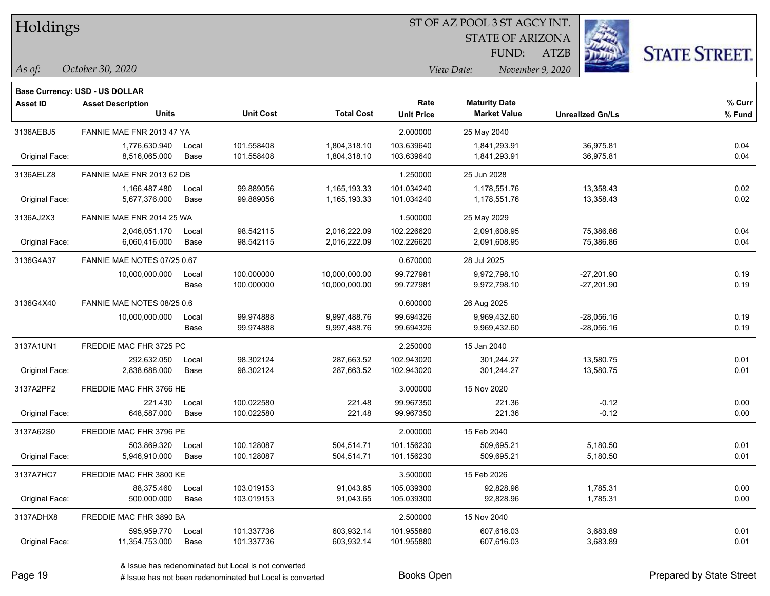| Holdings |
|----------|
|          |

STATE OF ARIZONA FUND:

ATZB



*As of: View Date: November 9, 2020*

| As of: | October 30, 2020 |  |
|--------|------------------|--|
|        |                  |  |

|                 | <b>Base Currency: USD - US DOLLAR</b> |       |                  |                   |                   |                      |                         |        |
|-----------------|---------------------------------------|-------|------------------|-------------------|-------------------|----------------------|-------------------------|--------|
| <b>Asset ID</b> | <b>Asset Description</b>              |       |                  |                   | Rate              | <b>Maturity Date</b> |                         | % Curr |
|                 | <b>Units</b>                          |       | <b>Unit Cost</b> | <b>Total Cost</b> | <b>Unit Price</b> | <b>Market Value</b>  | <b>Unrealized Gn/Ls</b> | % Fund |
| 3136AEBJ5       | FANNIE MAE FNR 2013 47 YA             |       |                  |                   | 2.000000          | 25 May 2040          |                         |        |
|                 | 1,776,630.940                         | Local | 101.558408       | 1,804,318.10      | 103.639640        | 1,841,293.91         | 36,975.81               | 0.04   |
| Original Face:  | 8,516,065.000                         | Base  | 101.558408       | 1,804,318.10      | 103.639640        | 1,841,293.91         | 36,975.81               | 0.04   |
| 3136AELZ8       | FANNIE MAE FNR 2013 62 DB             |       |                  |                   | 1.250000          | 25 Jun 2028          |                         |        |
|                 | 1,166,487.480                         | Local | 99.889056        | 1,165,193.33      | 101.034240        | 1,178,551.76         | 13,358.43               | 0.02   |
| Original Face:  | 5,677,376.000                         | Base  | 99.889056        | 1,165,193.33      | 101.034240        | 1,178,551.76         | 13,358.43               | 0.02   |
| 3136AJ2X3       | FANNIE MAE FNR 2014 25 WA             |       |                  |                   | 1.500000          | 25 May 2029          |                         |        |
|                 | 2,046,051.170                         | Local | 98.542115        | 2,016,222.09      | 102.226620        | 2,091,608.95         | 75,386.86               | 0.04   |
| Original Face:  | 6,060,416.000                         | Base  | 98.542115        | 2,016,222.09      | 102.226620        | 2,091,608.95         | 75,386.86               | 0.04   |
| 3136G4A37       | FANNIE MAE NOTES 07/25 0.67           |       |                  |                   | 0.670000          | 28 Jul 2025          |                         |        |
|                 | 10,000,000.000                        | Local | 100.000000       | 10,000,000.00     | 99.727981         | 9,972,798.10         | -27,201.90              | 0.19   |
|                 |                                       | Base  | 100.000000       | 10,000,000.00     | 99.727981         | 9,972,798.10         | -27,201.90              | 0.19   |
| 3136G4X40       | FANNIE MAE NOTES 08/25 0.6            |       |                  |                   | 0.600000          | 26 Aug 2025          |                         |        |
|                 | 10,000,000.000                        | Local | 99.974888        | 9,997,488.76      | 99.694326         | 9,969,432.60         | $-28,056.16$            | 0.19   |
|                 |                                       | Base  | 99.974888        | 9,997,488.76      | 99.694326         | 9,969,432.60         | $-28,056.16$            | 0.19   |
| 3137A1UN1       | FREDDIE MAC FHR 3725 PC               |       |                  |                   | 2.250000          | 15 Jan 2040          |                         |        |
|                 | 292,632.050                           | Local | 98.302124        | 287,663.52        | 102.943020        | 301,244.27           | 13,580.75               | 0.01   |
| Original Face:  | 2,838,688.000                         | Base  | 98.302124        | 287,663.52        | 102.943020        | 301,244.27           | 13,580.75               | 0.01   |
| 3137A2PF2       | FREDDIE MAC FHR 3766 HE               |       |                  |                   | 3.000000          | 15 Nov 2020          |                         |        |
|                 | 221.430                               | Local | 100.022580       | 221.48            | 99.967350         | 221.36               | $-0.12$                 | 0.00   |
| Original Face:  | 648,587.000                           | Base  | 100.022580       | 221.48            | 99.967350         | 221.36               | $-0.12$                 | 0.00   |
| 3137A62S0       | FREDDIE MAC FHR 3796 PE               |       |                  |                   | 2.000000          | 15 Feb 2040          |                         |        |
|                 | 503,869.320                           | Local | 100.128087       | 504,514.71        | 101.156230        | 509,695.21           | 5,180.50                | 0.01   |
| Original Face:  | 5,946,910.000                         | Base  | 100.128087       | 504,514.71        | 101.156230        | 509,695.21           | 5,180.50                | 0.01   |
| 3137A7HC7       | FREDDIE MAC FHR 3800 KE               |       |                  |                   | 3.500000          | 15 Feb 2026          |                         |        |
|                 | 88,375.460                            | Local | 103.019153       | 91,043.65         | 105.039300        | 92,828.96            | 1,785.31                | 0.00   |
| Original Face:  | 500,000.000                           | Base  | 103.019153       | 91,043.65         | 105.039300        | 92,828.96            | 1,785.31                | 0.00   |
| 3137ADHX8       | FREDDIE MAC FHR 3890 BA               |       |                  |                   | 2.500000          | 15 Nov 2040          |                         |        |
|                 | 595,959.770                           | Local | 101.337736       | 603,932.14        | 101.955880        | 607,616.03           | 3,683.89                | 0.01   |
| Original Face:  | 11,354,753.000                        | Base  | 101.337736       | 603,932.14        | 101.955880        | 607,616.03           | 3,683.89                | 0.01   |
|                 |                                       |       |                  |                   |                   |                      |                         |        |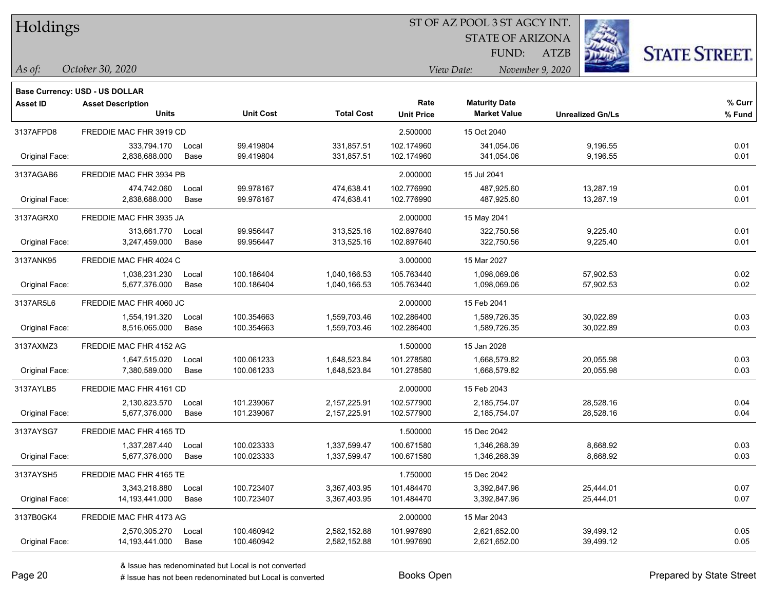Holdings

## ST OF AZ POOL 3 ST AGCY INT.

STATE OF ARIZONA FUND:

ATZB



#### *October 30, 2020 As of: View Date: November 9, 2020*

|                 | Base Currency: USD - US DOLLAR |       |                  |                   |                   |                      |                         |        |
|-----------------|--------------------------------|-------|------------------|-------------------|-------------------|----------------------|-------------------------|--------|
| <b>Asset ID</b> | <b>Asset Description</b>       |       |                  |                   | Rate              | <b>Maturity Date</b> |                         | % Curr |
|                 | <b>Units</b>                   |       | <b>Unit Cost</b> | <b>Total Cost</b> | <b>Unit Price</b> | <b>Market Value</b>  | <b>Unrealized Gn/Ls</b> | % Fund |
| 3137AFPD8       | FREDDIE MAC FHR 3919 CD        |       |                  |                   | 2.500000          | 15 Oct 2040          |                         |        |
|                 | 333,794.170                    | Local | 99.419804        | 331,857.51        | 102.174960        | 341,054.06           | 9,196.55                | 0.01   |
| Original Face:  | 2,838,688.000                  | Base  | 99.419804        | 331,857.51        | 102.174960        | 341,054.06           | 9,196.55                | 0.01   |
| 3137AGAB6       | FREDDIE MAC FHR 3934 PB        |       |                  |                   | 2.000000          | 15 Jul 2041          |                         |        |
|                 | 474,742.060                    | Local | 99.978167        | 474,638.41        | 102.776990        | 487,925.60           | 13,287.19               | 0.01   |
| Original Face:  | 2,838,688.000                  | Base  | 99.978167        | 474,638.41        | 102.776990        | 487,925.60           | 13,287.19               | 0.01   |
| 3137AGRX0       | FREDDIE MAC FHR 3935 JA        |       |                  |                   | 2.000000          | 15 May 2041          |                         |        |
|                 | 313,661.770                    | Local | 99.956447        | 313,525.16        | 102.897640        | 322,750.56           | 9,225.40                | 0.01   |
| Original Face:  | 3,247,459.000                  | Base  | 99.956447        | 313,525.16        | 102.897640        | 322,750.56           | 9,225.40                | 0.01   |
| 3137ANK95       | FREDDIE MAC FHR 4024 C         |       |                  |                   | 3.000000          | 15 Mar 2027          |                         |        |
|                 | 1,038,231.230                  | Local | 100.186404       | 1,040,166.53      | 105.763440        | 1,098,069.06         | 57,902.53               | 0.02   |
| Original Face:  | 5,677,376.000                  | Base  | 100.186404       | 1,040,166.53      | 105.763440        | 1,098,069.06         | 57,902.53               | 0.02   |
| 3137AR5L6       | FREDDIE MAC FHR 4060 JC        |       |                  |                   | 2.000000          | 15 Feb 2041          |                         |        |
|                 | 1,554,191.320                  | Local | 100.354663       | 1,559,703.46      | 102.286400        | 1,589,726.35         | 30,022.89               | 0.03   |
| Original Face:  | 8,516,065.000                  | Base  | 100.354663       | 1,559,703.46      | 102.286400        | 1,589,726.35         | 30,022.89               | 0.03   |
| 3137AXMZ3       | FREDDIE MAC FHR 4152 AG        |       |                  |                   | 1.500000          | 15 Jan 2028          |                         |        |
|                 | 1,647,515.020                  | Local | 100.061233       | 1,648,523.84      | 101.278580        | 1,668,579.82         | 20,055.98               | 0.03   |
| Original Face:  | 7,380,589.000                  | Base  | 100.061233       | 1,648,523.84      | 101.278580        | 1,668,579.82         | 20,055.98               | 0.03   |
| 3137AYLB5       | FREDDIE MAC FHR 4161 CD        |       |                  |                   | 2.000000          | 15 Feb 2043          |                         |        |
|                 | 2,130,823.570                  | Local | 101.239067       | 2,157,225.91      | 102.577900        | 2,185,754.07         | 28,528.16               | 0.04   |
| Original Face:  | 5,677,376.000                  | Base  | 101.239067       | 2, 157, 225.91    | 102.577900        | 2,185,754.07         | 28,528.16               | 0.04   |
| 3137AYSG7       | FREDDIE MAC FHR 4165 TD        |       |                  |                   | 1.500000          | 15 Dec 2042          |                         |        |
|                 | 1,337,287.440                  | Local | 100.023333       | 1,337,599.47      | 100.671580        | 1,346,268.39         | 8,668.92                | 0.03   |
| Original Face:  | 5,677,376.000                  | Base  | 100.023333       | 1,337,599.47      | 100.671580        | 1,346,268.39         | 8,668.92                | 0.03   |
| 3137AYSH5       | FREDDIE MAC FHR 4165 TE        |       |                  |                   | 1.750000          | 15 Dec 2042          |                         |        |
|                 | 3,343,218.880                  | Local | 100.723407       | 3,367,403.95      | 101.484470        | 3,392,847.96         | 25,444.01               | 0.07   |
| Original Face:  | 14, 193, 441.000               | Base  | 100.723407       | 3,367,403.95      | 101.484470        | 3,392,847.96         | 25,444.01               | 0.07   |
| 3137B0GK4       | FREDDIE MAC FHR 4173 AG        |       |                  |                   | 2.000000          | 15 Mar 2043          |                         |        |
|                 | 2,570,305.270                  | Local | 100.460942       | 2,582,152.88      | 101.997690        | 2,621,652.00         | 39,499.12               | 0.05   |
| Original Face:  | 14,193,441.000                 | Base  | 100.460942       | 2,582,152.88      | 101.997690        | 2,621,652.00         | 39,499.12               | 0.05   |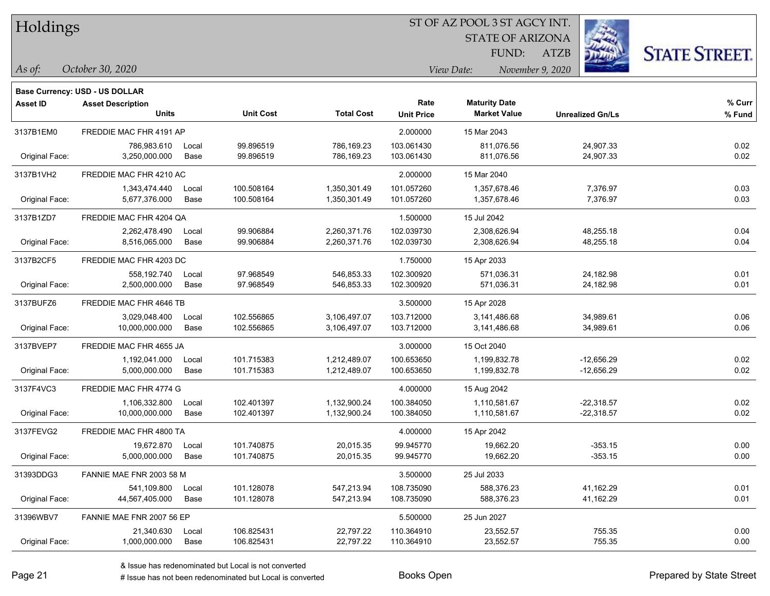| Holdings |
|----------|
|          |

STATE OF ARIZONA FUND:

ATZB



*As of: View Date: November 9, 2020*

| As of: | October 30, 2020 |  |
|--------|------------------|--|
|        |                  |  |

|                 | <b>Base Currency: USD - US DOLLAR</b> |       |                  |                   |                   |                      |                         |        |
|-----------------|---------------------------------------|-------|------------------|-------------------|-------------------|----------------------|-------------------------|--------|
| <b>Asset ID</b> | <b>Asset Description</b>              |       |                  |                   | Rate              | <b>Maturity Date</b> |                         | % Curr |
|                 | <b>Units</b>                          |       | <b>Unit Cost</b> | <b>Total Cost</b> | <b>Unit Price</b> | <b>Market Value</b>  | <b>Unrealized Gn/Ls</b> | % Fund |
| 3137B1EM0       | FREDDIE MAC FHR 4191 AP               |       |                  |                   | 2.000000          | 15 Mar 2043          |                         |        |
|                 | 786,983.610                           | Local | 99.896519        | 786,169.23        | 103.061430        | 811,076.56           | 24,907.33               | 0.02   |
| Original Face:  | 3,250,000.000                         | Base  | 99.896519        | 786,169.23        | 103.061430        | 811,076.56           | 24,907.33               | 0.02   |
| 3137B1VH2       | FREDDIE MAC FHR 4210 AC               |       |                  |                   | 2.000000          | 15 Mar 2040          |                         |        |
|                 | 1,343,474.440                         | Local | 100.508164       | 1,350,301.49      | 101.057260        | 1,357,678.46         | 7,376.97                | 0.03   |
| Original Face:  | 5,677,376.000                         | Base  | 100.508164       | 1,350,301.49      | 101.057260        | 1,357,678.46         | 7,376.97                | 0.03   |
| 3137B1ZD7       | FREDDIE MAC FHR 4204 QA               |       |                  |                   | 1.500000          | 15 Jul 2042          |                         |        |
|                 | 2,262,478.490                         | Local | 99.906884        | 2,260,371.76      | 102.039730        | 2,308,626.94         | 48,255.18               | 0.04   |
| Original Face:  | 8,516,065.000                         | Base  | 99.906884        | 2,260,371.76      | 102.039730        | 2,308,626.94         | 48,255.18               | 0.04   |
| 3137B2CF5       | FREDDIE MAC FHR 4203 DC               |       |                  |                   | 1.750000          | 15 Apr 2033          |                         |        |
|                 | 558.192.740                           | Local | 97.968549        | 546,853.33        | 102.300920        | 571,036.31           | 24,182.98               | 0.01   |
| Original Face:  | 2,500,000.000                         | Base  | 97.968549        | 546,853.33        | 102.300920        | 571,036.31           | 24,182.98               | 0.01   |
| 3137BUFZ6       | FREDDIE MAC FHR 4646 TB               |       |                  | 3.500000          | 15 Apr 2028       |                      |                         |        |
|                 | 3,029,048.400                         | Local | 102.556865       | 3,106,497.07      | 103.712000        | 3,141,486.68         | 34,989.61               | 0.06   |
| Original Face:  | 10,000,000.000                        | Base  | 102.556865       | 3,106,497.07      | 103.712000        | 3,141,486.68         | 34,989.61               | 0.06   |
| 3137BVEP7       | FREDDIE MAC FHR 4655 JA               |       |                  |                   | 3.000000          | 15 Oct 2040          |                         |        |
|                 | 1,192,041.000                         | Local | 101.715383       | 1,212,489.07      | 100.653650        | 1,199,832.78         | $-12,656.29$            | 0.02   |
| Original Face:  | 5,000,000.000                         | Base  | 101.715383       | 1,212,489.07      | 100.653650        | 1,199,832.78         | $-12,656.29$            | 0.02   |
| 3137F4VC3       | FREDDIE MAC FHR 4774 G                |       |                  |                   | 4.000000          | 15 Aug 2042          |                         |        |
|                 | 1,106,332.800                         | Local | 102.401397       | 1,132,900.24      | 100.384050        | 1,110,581.67         | $-22,318.57$            | 0.02   |
| Original Face:  | 10,000,000.000                        | Base  | 102.401397       | 1,132,900.24      | 100.384050        | 1,110,581.67         | $-22,318.57$            | 0.02   |
| 3137FEVG2       | FREDDIE MAC FHR 4800 TA               |       |                  |                   | 4.000000          | 15 Apr 2042          |                         |        |
|                 | 19,672.870                            | Local | 101.740875       | 20,015.35         | 99.945770         | 19,662.20            | $-353.15$               | 0.00   |
| Original Face:  | 5,000,000.000                         | Base  | 101.740875       | 20,015.35         | 99.945770         | 19,662.20            | $-353.15$               | 0.00   |
| 31393DDG3       | FANNIE MAE FNR 2003 58 M              |       |                  |                   | 3.500000          | 25 Jul 2033          |                         |        |
|                 | 541,109.800                           | Local | 101.128078       | 547,213.94        | 108.735090        | 588,376.23           | 41,162.29               | 0.01   |
| Original Face:  | 44,567,405.000                        | Base  | 101.128078       | 547,213.94        | 108.735090        | 588,376.23           | 41,162.29               | 0.01   |
| 31396WBV7       | FANNIE MAE FNR 2007 56 EP             |       |                  |                   | 5.500000          | 25 Jun 2027          |                         |        |
|                 | 21,340.630                            | Local | 106.825431       | 22,797.22         | 110.364910        | 23,552.57            | 755.35                  | 0.00   |
| Original Face:  | 1,000,000.000                         | Base  | 106.825431       | 22,797.22         | 110.364910        | 23,552.57            | 755.35                  | 0.00   |
|                 |                                       |       |                  |                   |                   |                      |                         |        |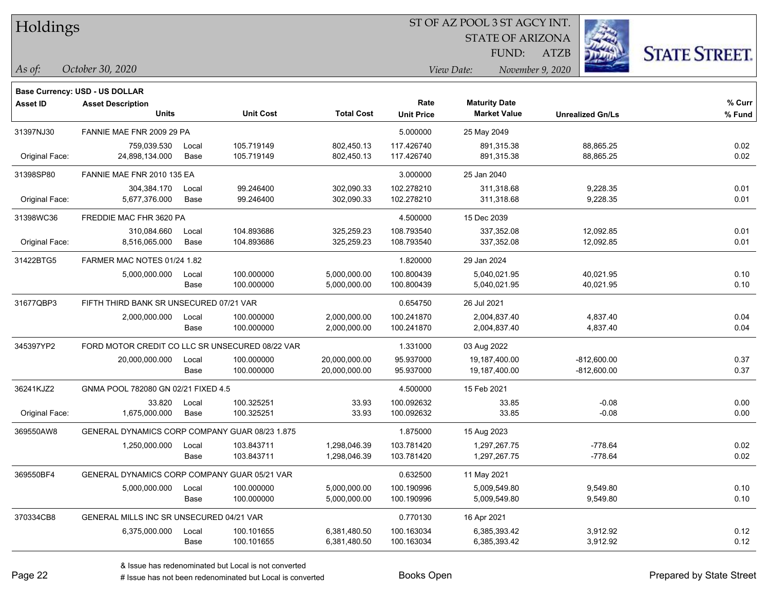| Holdings |
|----------|
|          |

STATE OF ARIZONA FUND:

ATZB



*As of: View Date: November 9, 2020*

| As of: | October 30, 2020 |  |
|--------|------------------|--|
|        |                  |  |

|                | <b>Base Currency: USD - US DOLLAR</b>           |               |                          |                                |                           |                                             |                                |                  |
|----------------|-------------------------------------------------|---------------|--------------------------|--------------------------------|---------------------------|---------------------------------------------|--------------------------------|------------------|
| Asset ID       | <b>Asset Description</b><br><b>Units</b>        |               | <b>Unit Cost</b>         | <b>Total Cost</b>              | Rate<br><b>Unit Price</b> | <b>Maturity Date</b><br><b>Market Value</b> | <b>Unrealized Gn/Ls</b>        | % Curr<br>% Fund |
| 31397NJ30      | FANNIE MAE FNR 2009 29 PA                       |               |                          | 5.000000                       | 25 May 2049               |                                             |                                |                  |
| Original Face: | 759,039.530<br>24,898,134.000                   | Local<br>Base | 105.719149<br>105.719149 | 802,450.13<br>802,450.13       | 117.426740<br>117.426740  | 891,315.38<br>891,315.38                    | 88,865.25<br>88,865.25         | 0.02<br>0.02     |
| 31398SP80      | FANNIE MAE FNR 2010 135 EA                      |               |                          |                                | 3.000000                  | 25 Jan 2040                                 |                                |                  |
| Original Face: | 304,384.170<br>5,677,376.000                    | Local<br>Base | 99.246400<br>99.246400   | 302,090.33<br>302,090.33       | 102.278210<br>102.278210  | 311,318.68<br>311,318.68                    | 9,228.35<br>9,228.35           | 0.01<br>0.01     |
| 31398WC36      | FREDDIE MAC FHR 3620 PA                         |               |                          |                                | 4.500000                  | 15 Dec 2039                                 |                                |                  |
| Original Face: | 310,084.660<br>8,516,065.000                    | Local<br>Base | 104.893686<br>104.893686 | 325,259.23<br>325,259.23       | 108.793540<br>108.793540  | 337,352.08<br>337,352.08                    | 12,092.85<br>12,092.85         | 0.01<br>0.01     |
| 31422BTG5      | FARMER MAC NOTES 01/24 1.82                     |               |                          |                                | 1.820000                  | 29 Jan 2024                                 |                                |                  |
|                | 5,000,000.000                                   | Local<br>Base | 100.000000<br>100.000000 | 5,000,000.00<br>5,000,000.00   | 100.800439<br>100.800439  | 5,040,021.95<br>5,040,021.95                | 40,021.95<br>40,021.95         | 0.10<br>0.10     |
| 31677QBP3      | FIFTH THIRD BANK SR UNSECURED 07/21 VAR         |               |                          | 0.654750                       | 26 Jul 2021               |                                             |                                |                  |
|                | 2,000,000.000                                   | Local<br>Base | 100.000000<br>100.000000 | 2,000,000.00<br>2,000,000.00   | 100.241870<br>100.241870  | 2,004,837.40<br>2,004,837.40                | 4,837.40<br>4,837.40           | 0.04<br>0.04     |
| 345397YP2      | FORD MOTOR CREDIT CO LLC SR UNSECURED 08/22 VAR |               |                          |                                | 1.331000                  | 03 Aug 2022                                 |                                |                  |
|                | 20,000,000.000                                  | Local<br>Base | 100.000000<br>100.000000 | 20,000,000.00<br>20,000,000.00 | 95.937000<br>95.937000    | 19,187,400.00<br>19,187,400.00              | $-812,600.00$<br>$-812,600.00$ | 0.37<br>0.37     |
| 36241KJZ2      | GNMA POOL 782080 GN 02/21 FIXED 4.5             |               |                          |                                | 4.500000                  | 15 Feb 2021                                 |                                |                  |
| Original Face: | 33.820<br>1,675,000.000                         | Local<br>Base | 100.325251<br>100.325251 | 33.93<br>33.93                 | 100.092632<br>100.092632  | 33.85<br>33.85                              | $-0.08$<br>$-0.08$             | 0.00<br>0.00     |
| 369550AW8      | GENERAL DYNAMICS CORP COMPANY GUAR 08/23 1.875  |               |                          |                                | 1.875000                  | 15 Aug 2023                                 |                                |                  |
|                | 1,250,000.000                                   | Local<br>Base | 103.843711<br>103.843711 | 1,298,046.39<br>1,298,046.39   | 103.781420<br>103.781420  | 1,297,267.75<br>1,297,267.75                | $-778.64$<br>$-778.64$         | 0.02<br>0.02     |
| 369550BF4      | GENERAL DYNAMICS CORP COMPANY GUAR 05/21 VAR    |               |                          |                                | 0.632500                  | 11 May 2021                                 |                                |                  |
|                | 5,000,000.000                                   | Local<br>Base | 100.000000<br>100.000000 | 5,000,000.00<br>5,000,000.00   | 100.190996<br>100.190996  | 5,009,549.80<br>5,009,549.80                | 9,549.80<br>9,549.80           | 0.10<br>0.10     |
| 370334CB8      | GENERAL MILLS INC SR UNSECURED 04/21 VAR        |               |                          |                                | 0.770130                  | 16 Apr 2021                                 |                                |                  |
|                | 6,375,000.000                                   | Local<br>Base | 100.101655<br>100.101655 | 6,381,480.50<br>6,381,480.50   | 100.163034<br>100.163034  | 6,385,393.42<br>6,385,393.42                | 3,912.92<br>3,912.92           | 0.12<br>0.12     |
|                |                                                 |               |                          |                                |                           |                                             |                                |                  |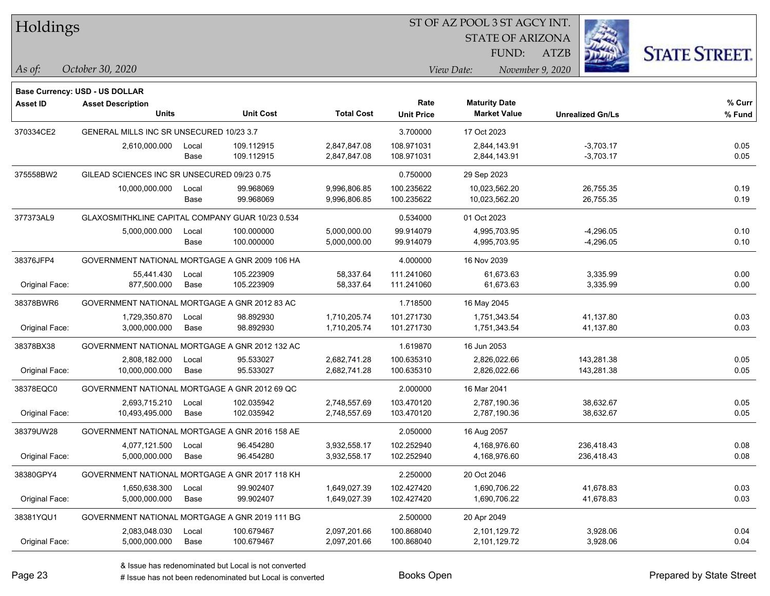| Holdings |
|----------|
|----------|

STATE OF ARIZONA

ATZB



**Base Currency: USD - US DOLLAR**

| Asset ID       | <b>Asset Description</b>                         |       |                  |                   | Rate              | <b>Maturity Date</b> |                         | % Curr |
|----------------|--------------------------------------------------|-------|------------------|-------------------|-------------------|----------------------|-------------------------|--------|
|                | <b>Units</b>                                     |       | <b>Unit Cost</b> | <b>Total Cost</b> | <b>Unit Price</b> | <b>Market Value</b>  | <b>Unrealized Gn/Ls</b> | % Fund |
| 370334CE2      | GENERAL MILLS INC SR UNSECURED 10/23 3.7         |       |                  |                   | 3.700000          | 17 Oct 2023          |                         |        |
|                | 2,610,000.000                                    | Local | 109.112915       | 2,847,847.08      | 108.971031        | 2,844,143.91         | $-3,703.17$             | 0.05   |
|                |                                                  | Base  | 109.112915       | 2,847,847.08      | 108.971031        | 2,844,143.91         | $-3,703.17$             | 0.05   |
| 375558BW2      | GILEAD SCIENCES INC SR UNSECURED 09/23 0.75      |       |                  |                   | 0.750000          | 29 Sep 2023          |                         |        |
|                | 10,000,000.000                                   | Local | 99.968069        | 9,996,806.85      | 100.235622        | 10,023,562.20        | 26,755.35               | 0.19   |
|                |                                                  | Base  | 99.968069        | 9,996,806.85      | 100.235622        | 10,023,562.20        | 26,755.35               | 0.19   |
| 377373AL9      | GLAXOSMITHKLINE CAPITAL COMPANY GUAR 10/23 0.534 |       |                  |                   | 0.534000          | 01 Oct 2023          |                         |        |
|                | 5,000,000.000                                    | Local | 100.000000       | 5,000,000.00      | 99.914079         | 4,995,703.95         | $-4,296.05$             | 0.10   |
|                |                                                  | Base  | 100.000000       | 5,000,000.00      | 99.914079         | 4,995,703.95         | $-4,296.05$             | 0.10   |
| 38376JFP4      | GOVERNMENT NATIONAL MORTGAGE A GNR 2009 106 HA   |       |                  |                   | 4.000000          | 16 Nov 2039          |                         |        |
|                | 55,441.430                                       | Local | 105.223909       | 58,337.64         | 111.241060        | 61,673.63            | 3,335.99                | 0.00   |
| Original Face: | 877,500.000                                      | Base  | 105.223909       | 58,337.64         | 111.241060        | 61,673.63            | 3,335.99                | 0.00   |
| 38378BWR6      | GOVERNMENT NATIONAL MORTGAGE A GNR 2012 83 AC    |       |                  |                   | 1.718500          | 16 May 2045          |                         |        |
|                | 1,729,350.870                                    | Local | 98.892930        | 1,710,205.74      | 101.271730        | 1,751,343.54         | 41,137.80               | 0.03   |
| Original Face: | 3,000,000.000                                    | Base  | 98.892930        | 1,710,205.74      | 101.271730        | 1,751,343.54         | 41,137.80               | 0.03   |
| 38378BX38      | GOVERNMENT NATIONAL MORTGAGE A GNR 2012 132 AC   |       |                  |                   | 1.619870          | 16 Jun 2053          |                         |        |
|                | 2,808,182.000                                    | Local | 95.533027        | 2,682,741.28      | 100.635310        | 2,826,022.66         | 143,281.38              | 0.05   |
| Original Face: | 10,000,000.000                                   | Base  | 95.533027        | 2,682,741.28      | 100.635310        | 2,826,022.66         | 143,281.38              | 0.05   |
| 38378EQC0      | GOVERNMENT NATIONAL MORTGAGE A GNR 2012 69 QC    |       |                  |                   | 2.000000          | 16 Mar 2041          |                         |        |
|                | 2,693,715.210                                    | Local | 102.035942       | 2,748,557.69      | 103.470120        | 2,787,190.36         | 38,632.67               | 0.05   |
| Original Face: | 10,493,495.000                                   | Base  | 102.035942       | 2,748,557.69      | 103.470120        | 2,787,190.36         | 38,632.67               | 0.05   |
| 38379UW28      | GOVERNMENT NATIONAL MORTGAGE A GNR 2016 158 AE   |       |                  |                   | 2.050000          | 16 Aug 2057          |                         |        |
|                | 4,077,121.500                                    | Local | 96.454280        | 3,932,558.17      | 102.252940        | 4,168,976.60         | 236,418.43              | 0.08   |
| Original Face: | 5,000,000.000                                    | Base  | 96.454280        | 3,932,558.17      | 102.252940        | 4,168,976.60         | 236,418.43              | 0.08   |
| 38380GPY4      | GOVERNMENT NATIONAL MORTGAGE A GNR 2017 118 KH   |       |                  |                   | 2.250000          | 20 Oct 2046          |                         |        |
|                | 1,650,638.300                                    | Local | 99.902407        | 1,649,027.39      | 102.427420        | 1,690,706.22         | 41,678.83               | 0.03   |
| Original Face: | 5,000,000.000                                    | Base  | 99.902407        | 1,649,027.39      | 102.427420        | 1,690,706.22         | 41,678.83               | 0.03   |
| 38381YQU1      | GOVERNMENT NATIONAL MORTGAGE A GNR 2019 111 BG   |       |                  |                   | 2.500000          | 20 Apr 2049          |                         |        |
|                | 2,083,048.030                                    | Local | 100.679467       | 2,097,201.66      | 100.868040        | 2,101,129.72         | 3,928.06                | 0.04   |
| Original Face: | 5,000,000.000                                    | Base  | 100.679467       | 2,097,201.66      | 100.868040        | 2,101,129.72         | 3,928.06                | 0.04   |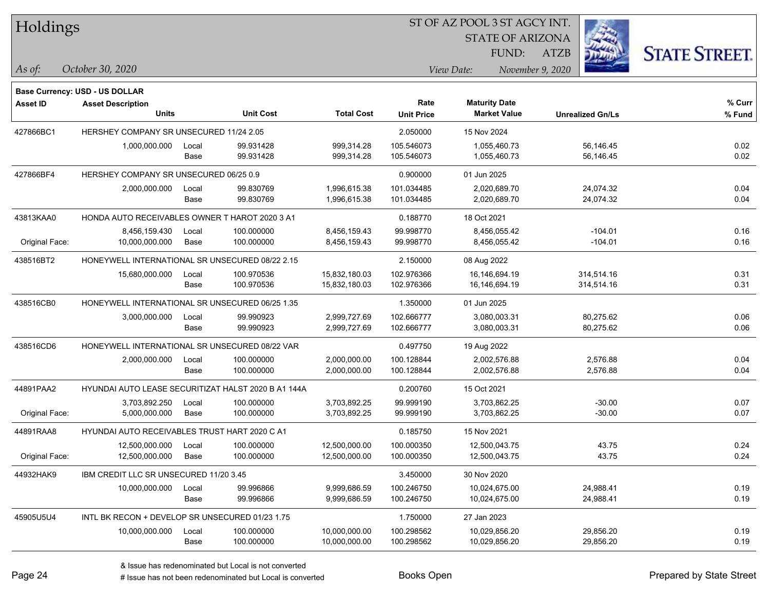| Holdings |
|----------|
|----------|

STATE OF ARIZONA FUND:

ATZB



*October 30, 2020 As of: View Date: November 9, 2020*

|                 | Base Currency: USD - US DOLLAR                      |       |            |                   |                   |                      |                         |        |
|-----------------|-----------------------------------------------------|-------|------------|-------------------|-------------------|----------------------|-------------------------|--------|
| <b>Asset ID</b> | <b>Asset Description</b>                            |       |            |                   | Rate              | <b>Maturity Date</b> |                         | % Curr |
|                 | <b>Units</b><br><b>Unit Cost</b>                    |       |            | <b>Total Cost</b> | <b>Unit Price</b> | <b>Market Value</b>  | <b>Unrealized Gn/Ls</b> | % Fund |
| 427866BC1       | HERSHEY COMPANY SR UNSECURED 11/24 2.05             |       |            |                   | 2.050000          | 15 Nov 2024          |                         |        |
|                 | 1,000,000.000                                       | Local | 99.931428  | 999,314.28        | 105.546073        | 1,055,460.73         | 56,146.45               | 0.02   |
|                 |                                                     | Base  | 99.931428  | 999,314.28        | 105.546073        | 1,055,460.73         | 56,146.45               | 0.02   |
| 427866BF4       | HERSHEY COMPANY SR UNSECURED 06/25 0.9              |       |            |                   | 0.900000          | 01 Jun 2025          |                         |        |
|                 | 2,000,000.000                                       | Local | 99.830769  | 1,996,615.38      | 101.034485        | 2,020,689.70         | 24,074.32               | 0.04   |
|                 |                                                     | Base  | 99.830769  | 1,996,615.38      | 101.034485        | 2,020,689.70         | 24,074.32               | 0.04   |
| 43813KAA0       | HONDA AUTO RECEIVABLES OWNER T HAROT 2020 3 A1      |       |            |                   | 0.188770          | 18 Oct 2021          |                         |        |
|                 | 8,456,159.430                                       | Local | 100.000000 | 8,456,159.43      | 99.998770         | 8,456,055.42         | $-104.01$               | 0.16   |
| Original Face:  | 10,000,000.000                                      | Base  | 100.000000 | 8,456,159.43      | 99.998770         | 8,456,055.42         | $-104.01$               | 0.16   |
| 438516BT2       | HONEYWELL INTERNATIONAL SR UNSECURED 08/22 2.15     |       |            |                   | 2.150000          | 08 Aug 2022          |                         |        |
|                 | 15,680,000.000                                      | Local | 100.970536 | 15,832,180.03     | 102.976366        | 16,146,694.19        | 314,514.16              | 0.31   |
|                 |                                                     | Base  | 100.970536 | 15,832,180.03     | 102.976366        | 16,146,694.19        | 314,514.16              | 0.31   |
| 438516CB0       | HONEYWELL INTERNATIONAL SR UNSECURED 06/25 1.35     |       |            |                   | 1.350000          | 01 Jun 2025          |                         |        |
|                 | 3,000,000.000                                       | Local | 99.990923  | 2,999,727.69      | 102.666777        | 3,080,003.31         | 80,275.62               | 0.06   |
|                 |                                                     | Base  | 99.990923  | 2,999,727.69      | 102.666777        | 3,080,003.31         | 80,275.62               | 0.06   |
| 438516CD6       | HONEYWELL INTERNATIONAL SR UNSECURED 08/22 VAR      |       |            |                   | 0.497750          | 19 Aug 2022          |                         |        |
|                 | 2,000,000.000                                       | Local | 100.000000 | 2,000,000.00      | 100.128844        | 2,002,576.88         | 2,576.88                | 0.04   |
|                 |                                                     | Base  | 100.000000 | 2,000,000.00      | 100.128844        | 2,002,576.88         | 2,576.88                | 0.04   |
| 44891PAA2       | HYUNDAI AUTO LEASE SECURITIZAT HALST 2020 B A1 144A |       |            |                   | 0.200760          | 15 Oct 2021          |                         |        |
|                 | 3,703,892.250                                       | Local | 100.000000 | 3,703,892.25      | 99.999190         | 3,703,862.25         | $-30.00$                | 0.07   |
| Original Face:  | 5,000,000.000                                       | Base  | 100.000000 | 3,703,892.25      | 99.999190         | 3,703,862.25         | $-30.00$                | 0.07   |
| 44891RAA8       | HYUNDAI AUTO RECEIVABLES TRUST HART 2020 C A1       |       |            | 0.185750          | 15 Nov 2021       |                      |                         |        |
|                 | 12,500,000.000                                      | Local | 100.000000 | 12,500,000.00     | 100.000350        | 12,500,043.75        | 43.75                   | 0.24   |
| Original Face:  | 12,500,000.000                                      | Base  | 100.000000 | 12,500,000.00     | 100.000350        | 12,500,043.75        | 43.75                   | 0.24   |
| 44932HAK9       | IBM CREDIT LLC SR UNSECURED 11/20 3.45              |       |            |                   | 3.450000          | 30 Nov 2020          |                         |        |
|                 | 10,000,000.000                                      | Local | 99.996866  | 9,999,686.59      | 100.246750        | 10,024,675.00        | 24,988.41               | 0.19   |
|                 |                                                     | Base  | 99.996866  | 9,999,686.59      | 100.246750        | 10,024,675.00        | 24,988.41               | 0.19   |
| 45905U5U4       | INTL BK RECON + DEVELOP SR UNSECURED 01/23 1.75     |       |            |                   | 1.750000          | 27 Jan 2023          |                         |        |
|                 | 10,000,000.000                                      | Local | 100.000000 | 10,000,000.00     | 100.298562        | 10,029,856.20        | 29,856.20               | 0.19   |
|                 |                                                     | Base  | 100.000000 | 10,000,000.00     | 100.298562        | 10,029,856.20        | 29,856.20               | 0.19   |
|                 |                                                     |       |            |                   |                   |                      |                         |        |

A ISSUE ISSUE ISSUE ISSUE ISSUE ISSUE ISSUE ISSUE ISSUE ISSUE ISSUE ISSUE ISSUE ISSUE ISSUE ISSUE ISSUE ISSUE I<br>
A ISSUE has not been redenominated but Local is converted **Books Open Books ISSUE ISSUE ISSUE ISSUE ISSUE I**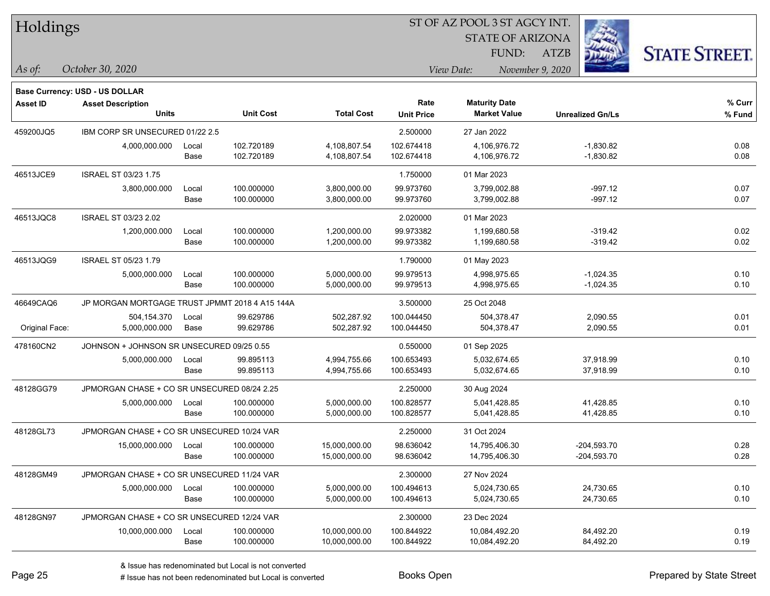| Holdings |
|----------|
|          |

STATE OF ARIZONA

ATZB



**Base Currency: USD - US DOLLAR**

| <b>Asset ID</b> | <b>Asset Description</b>                       |       |                  |                   | Rate              | <b>Maturity Date</b> |                         | % Curr |
|-----------------|------------------------------------------------|-------|------------------|-------------------|-------------------|----------------------|-------------------------|--------|
|                 | <b>Units</b>                                   |       | <b>Unit Cost</b> | <b>Total Cost</b> | <b>Unit Price</b> | <b>Market Value</b>  | <b>Unrealized Gn/Ls</b> | % Fund |
| 459200JQ5       | IBM CORP SR UNSECURED 01/22 2.5                |       |                  |                   | 2.500000          | 27 Jan 2022          |                         |        |
|                 | 4,000,000.000                                  | Local | 102.720189       | 4,108,807.54      | 102.674418        | 4,106,976.72         | $-1,830.82$             | 0.08   |
|                 |                                                | Base  | 102.720189       | 4,108,807.54      | 102.674418        | 4,106,976.72         | $-1,830.82$             | 0.08   |
| 46513JCE9       | <b>ISRAEL ST 03/23 1.75</b>                    |       |                  |                   | 1.750000          | 01 Mar 2023          |                         |        |
|                 | 3,800,000.000                                  | Local | 100.000000       | 3,800,000.00      | 99.973760         | 3,799,002.88         | $-997.12$               | 0.07   |
|                 |                                                | Base  | 100.000000       | 3,800,000.00      | 99.973760         | 3,799,002.88         | $-997.12$               | 0.07   |
| 46513JQC8       | ISRAEL ST 03/23 2.02                           |       |                  |                   | 2.020000          | 01 Mar 2023          |                         |        |
|                 | 1,200,000.000                                  | Local | 100.000000       | 1,200,000.00      | 99.973382         | 1,199,680.58         | $-319.42$               | 0.02   |
|                 |                                                | Base  | 100.000000       | 1,200,000.00      | 99.973382         | 1,199,680.58         | $-319.42$               | 0.02   |
| 46513JQG9       | <b>ISRAEL ST 05/23 1.79</b>                    |       |                  |                   | 1.790000          | 01 May 2023          |                         |        |
|                 | 5,000,000.000                                  | Local | 100.000000       | 5,000,000.00      | 99.979513         | 4,998,975.65         | $-1,024.35$             | 0.10   |
|                 |                                                | Base  | 100.000000       | 5,000,000.00      | 99.979513         | 4,998,975.65         | $-1,024.35$             | 0.10   |
| 46649CAQ6       | JP MORGAN MORTGAGE TRUST JPMMT 2018 4 A15 144A |       |                  |                   | 3.500000          | 25 Oct 2048          |                         |        |
|                 | 504,154.370                                    | Local | 99.629786        | 502,287.92        | 100.044450        | 504,378.47           | 2,090.55                | 0.01   |
| Original Face:  | 5,000,000.000                                  | Base  | 99.629786        | 502,287.92        | 100.044450        | 504,378.47           | 2,090.55                | 0.01   |
| 478160CN2       | JOHNSON + JOHNSON SR UNSECURED 09/25 0.55      |       |                  |                   | 0.550000          | 01 Sep 2025          |                         |        |
|                 | 5,000,000.000                                  | Local | 99.895113        | 4,994,755.66      | 100.653493        | 5,032,674.65         | 37,918.99               | 0.10   |
|                 |                                                | Base  | 99.895113        | 4,994,755.66      | 100.653493        | 5,032,674.65         | 37,918.99               | 0.10   |
| 48128GG79       | JPMORGAN CHASE + CO SR UNSECURED 08/24 2.25    |       |                  |                   | 2.250000          | 30 Aug 2024          |                         |        |
|                 | 5,000,000.000                                  | Local | 100.000000       | 5,000,000.00      | 100.828577        | 5,041,428.85         | 41,428.85               | 0.10   |
|                 |                                                | Base  | 100.000000       | 5,000,000.00      | 100.828577        | 5,041,428.85         | 41,428.85               | 0.10   |
| 48128GL73       | JPMORGAN CHASE + CO SR UNSECURED 10/24 VAR     |       |                  |                   | 2.250000          | 31 Oct 2024          |                         |        |
|                 | 15,000,000.000                                 | Local | 100.000000       | 15,000,000.00     | 98.636042         | 14,795,406.30        | $-204,593.70$           | 0.28   |
|                 |                                                | Base  | 100.000000       | 15,000,000.00     | 98.636042         | 14,795,406.30        | $-204,593.70$           | 0.28   |
| 48128GM49       | JPMORGAN CHASE + CO SR UNSECURED 11/24 VAR     |       |                  |                   | 2.300000          | 27 Nov 2024          |                         |        |
|                 | 5,000,000.000                                  | Local | 100.000000       | 5,000,000.00      | 100.494613        | 5,024,730.65         | 24,730.65               | 0.10   |
|                 |                                                | Base  | 100.000000       | 5,000,000.00      | 100.494613        | 5,024,730.65         | 24,730.65               | 0.10   |
| 48128GN97       | JPMORGAN CHASE + CO SR UNSECURED 12/24 VAR     |       |                  |                   | 2.300000          | 23 Dec 2024          |                         |        |
|                 | 10,000,000.000                                 | Local | 100.000000       | 10,000,000.00     | 100.844922        | 10,084,492.20        | 84,492.20               | 0.19   |
|                 |                                                | Base  | 100.000000       | 10,000,000.00     | 100.844922        | 10,084,492.20        | 84,492.20               | 0.19   |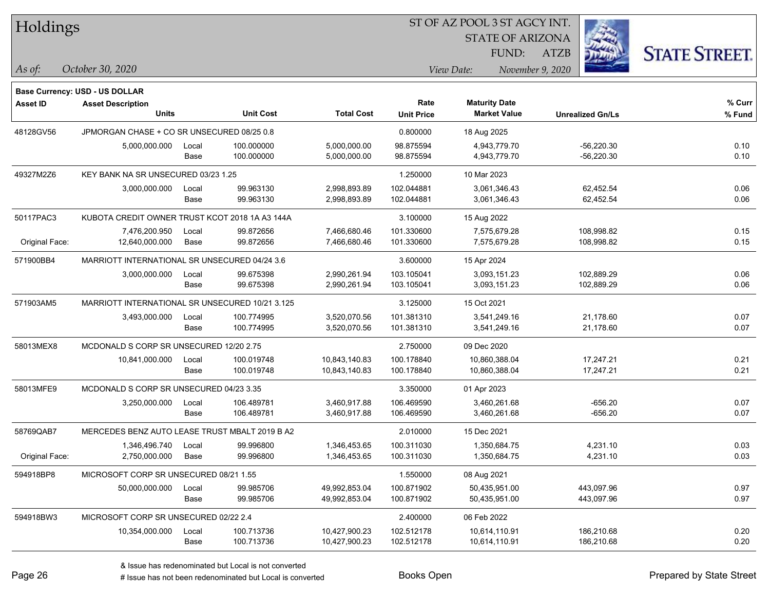| Holdings |
|----------|
|          |

STATE OF ARIZONA

ATZB



**Base Currency: USD - US DOLLAR**

| <b>Asset ID</b> | <b>Asset Description</b>                        |       |                  |                   | Rate              | <b>Maturity Date</b> |                         | % Curr |
|-----------------|-------------------------------------------------|-------|------------------|-------------------|-------------------|----------------------|-------------------------|--------|
|                 | <b>Units</b>                                    |       | <b>Unit Cost</b> | <b>Total Cost</b> | <b>Unit Price</b> | <b>Market Value</b>  | <b>Unrealized Gn/Ls</b> | % Fund |
| 48128GV56       | JPMORGAN CHASE + CO SR UNSECURED 08/25 0.8      |       |                  |                   | 0.800000          | 18 Aug 2025          |                         |        |
|                 | 5,000,000.000                                   | Local | 100.000000       | 5,000,000.00      | 98.875594         | 4,943,779.70         | $-56,220.30$            | 0.10   |
|                 |                                                 | Base  | 100.000000       | 5,000,000.00      | 98.875594         | 4,943,779.70         | $-56,220.30$            | 0.10   |
| 49327M2Z6       | KEY BANK NA SR UNSECURED 03/23 1.25             |       |                  |                   | 1.250000          | 10 Mar 2023          |                         |        |
|                 | 3,000,000.000                                   | Local | 99.963130        | 2,998,893.89      | 102.044881        | 3,061,346.43         | 62,452.54               | 0.06   |
|                 |                                                 | Base  | 99.963130        | 2,998,893.89      | 102.044881        | 3,061,346.43         | 62,452.54               | 0.06   |
| 50117PAC3       | KUBOTA CREDIT OWNER TRUST KCOT 2018 1A A3 144A  |       |                  |                   | 3.100000          | 15 Aug 2022          |                         |        |
|                 | 7,476,200.950                                   | Local | 99.872656        | 7,466,680.46      | 101.330600        | 7,575,679.28         | 108,998.82              | 0.15   |
| Original Face:  | 12,640,000.000                                  | Base  | 99.872656        | 7,466,680.46      | 101.330600        | 7,575,679.28         | 108,998.82              | 0.15   |
| 571900BB4       | MARRIOTT INTERNATIONAL SR UNSECURED 04/24 3.6   |       |                  |                   | 3.600000          | 15 Apr 2024          |                         |        |
|                 | 3,000,000.000                                   | Local | 99.675398        | 2,990,261.94      | 103.105041        | 3,093,151.23         | 102,889.29              | 0.06   |
|                 |                                                 | Base  | 99.675398        | 2,990,261.94      | 103.105041        | 3,093,151.23         | 102,889.29              | 0.06   |
| 571903AM5       | MARRIOTT INTERNATIONAL SR UNSECURED 10/21 3.125 |       |                  |                   | 3.125000          | 15 Oct 2021          |                         |        |
|                 | 3,493,000.000                                   | Local | 100.774995       | 3,520,070.56      | 101.381310        | 3,541,249.16         | 21,178.60               | 0.07   |
|                 |                                                 | Base  | 100.774995       | 3,520,070.56      | 101.381310        | 3,541,249.16         | 21,178.60               | 0.07   |
| 58013MEX8       | MCDONALD S CORP SR UNSECURED 12/20 2.75         |       |                  |                   | 2.750000          | 09 Dec 2020          |                         |        |
|                 | 10,841,000.000                                  | Local | 100.019748       | 10,843,140.83     | 100.178840        | 10,860,388.04        | 17,247.21               | 0.21   |
|                 |                                                 | Base  | 100.019748       | 10,843,140.83     | 100.178840        | 10,860,388.04        | 17,247.21               | 0.21   |
| 58013MFE9       | MCDONALD S CORP SR UNSECURED 04/23 3.35         |       |                  |                   | 3.350000          | 01 Apr 2023          |                         |        |
|                 | 3,250,000.000                                   | Local | 106.489781       | 3,460,917.88      | 106.469590        | 3,460,261.68         | $-656.20$               | 0.07   |
|                 |                                                 | Base  | 106.489781       | 3,460,917.88      | 106.469590        | 3,460,261.68         | $-656.20$               | 0.07   |
| 58769QAB7       | MERCEDES BENZ AUTO LEASE TRUST MBALT 2019 B A2  |       |                  |                   | 2.010000          | 15 Dec 2021          |                         |        |
|                 | 1,346,496.740                                   | Local | 99.996800        | 1,346,453.65      | 100.311030        | 1,350,684.75         | 4,231.10                | 0.03   |
| Original Face:  | 2,750,000.000                                   | Base  | 99.996800        | 1,346,453.65      | 100.311030        | 1,350,684.75         | 4,231.10                | 0.03   |
| 594918BP8       | MICROSOFT CORP SR UNSECURED 08/21 1.55          |       |                  |                   | 1.550000          | 08 Aug 2021          |                         |        |
|                 | 50,000,000.000                                  | Local | 99.985706        | 49,992,853.04     | 100.871902        | 50,435,951.00        | 443,097.96              | 0.97   |
|                 |                                                 | Base  | 99.985706        | 49,992,853.04     | 100.871902        | 50,435,951.00        | 443,097.96              | 0.97   |
| 594918BW3       | MICROSOFT CORP SR UNSECURED 02/22 2.4           |       |                  |                   | 2.400000          | 06 Feb 2022          |                         |        |
|                 | 10,354,000.000                                  | Local | 100.713736       | 10,427,900.23     | 102.512178        | 10,614,110.91        | 186,210.68              | 0.20   |
|                 |                                                 | Base  | 100.713736       | 10,427,900.23     | 102.512178        | 10,614,110.91        | 186,210.68              | 0.20   |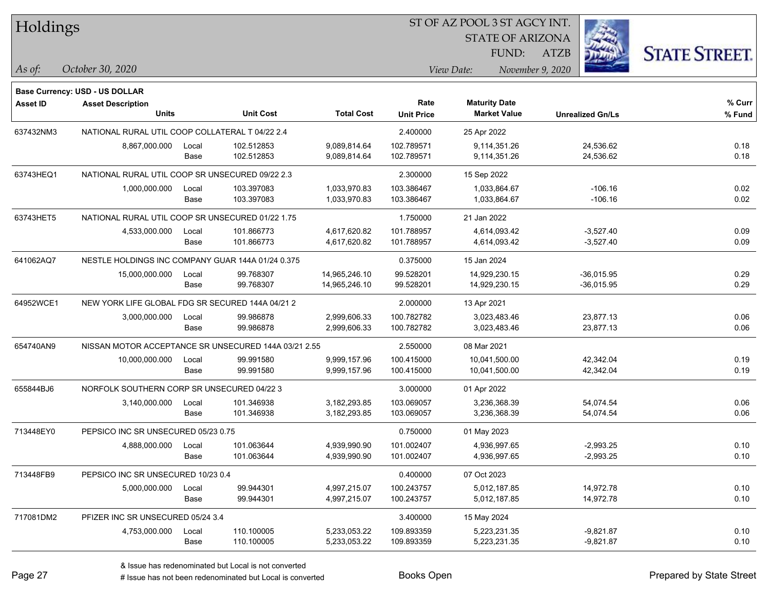| Holdings  |                                                      |       |                  |                   |                   |                      | ST OF AZ POOL 3 ST AGCY INT. |             |                         |                      |
|-----------|------------------------------------------------------|-------|------------------|-------------------|-------------------|----------------------|------------------------------|-------------|-------------------------|----------------------|
|           |                                                      |       |                  |                   |                   |                      | <b>STATE OF ARIZONA</b>      |             |                         |                      |
|           |                                                      |       |                  |                   |                   |                      | FUND:                        | <b>ATZB</b> |                         | <b>STATE STREET.</b> |
| As of:    | October 30, 2020                                     |       |                  |                   |                   | View Date:           | November 9, 2020             |             |                         |                      |
|           | <b>Base Currency: USD - US DOLLAR</b>                |       |                  |                   |                   |                      |                              |             |                         |                      |
| Asset ID  | <b>Asset Description</b>                             |       |                  |                   | Rate              | <b>Maturity Date</b> |                              |             |                         | % Curr               |
|           | <b>Units</b>                                         |       | <b>Unit Cost</b> | <b>Total Cost</b> | <b>Unit Price</b> |                      | <b>Market Value</b>          |             | <b>Unrealized Gn/Ls</b> | % Fund               |
| 637432NM3 | NATIONAL RURAL UTIL COOP COLLATERAL T 04/22 2.4      |       |                  |                   | 2.400000          | 25 Apr 2022          |                              |             |                         |                      |
|           | 8,867,000.000                                        | Local | 102.512853       | 9,089,814.64      | 102.789571        |                      | 9,114,351.26                 |             | 24,536.62               | 0.18                 |
|           |                                                      | Base  | 102.512853       | 9,089,814.64      | 102.789571        |                      | 9,114,351.26                 |             | 24,536.62               | 0.18                 |
| 63743HEQ1 | NATIONAL RURAL UTIL COOP SR UNSECURED 09/22 2.3      |       |                  |                   | 2.300000          | 15 Sep 2022          |                              |             |                         |                      |
|           | 1,000,000.000                                        | Local | 103.397083       | 1,033,970.83      | 103.386467        |                      | 1,033,864.67                 |             | $-106.16$               | 0.02                 |
|           |                                                      | Base  | 103.397083       | 1,033,970.83      | 103.386467        |                      | 1,033,864.67                 |             | $-106.16$               | 0.02                 |
| 63743HET5 | NATIONAL RURAL UTIL COOP SR UNSECURED 01/22 1.75     |       |                  |                   | 1.750000          | 21 Jan 2022          |                              |             |                         |                      |
|           | 4,533,000.000                                        | Local | 101.866773       | 4,617,620.82      | 101.788957        |                      | 4,614,093.42                 |             | $-3,527.40$             | 0.09                 |
|           |                                                      | Base  | 101.866773       | 4,617,620.82      | 101.788957        |                      | 4,614,093.42                 |             | $-3,527.40$             | 0.09                 |
| 641062AQ7 | NESTLE HOLDINGS INC COMPANY GUAR 144A 01/24 0.375    |       |                  |                   | 0.375000          | 15 Jan 2024          |                              |             |                         |                      |
|           | 15,000,000.000                                       | Local | 99.768307        | 14,965,246.10     | 99.528201         |                      | 14,929,230.15                |             | $-36,015.95$            | 0.29                 |
|           |                                                      | Base  | 99.768307        | 14,965,246.10     | 99.528201         |                      | 14,929,230.15                |             | $-36,015.95$            | 0.29                 |
| 64952WCE1 | NEW YORK LIFE GLOBAL FDG SR SECURED 144A 04/21 2     |       |                  |                   | 2.000000          | 13 Apr 2021          |                              |             |                         |                      |
|           | 3,000,000.000                                        | Local | 99.986878        | 2,999,606.33      | 100.782782        |                      | 3,023,483.46                 |             | 23,877.13               | 0.06                 |
|           |                                                      | Base  | 99.986878        | 2,999,606.33      | 100.782782        |                      | 3,023,483.46                 |             | 23,877.13               | 0.06                 |
| 654740AN9 | NISSAN MOTOR ACCEPTANCE SR UNSECURED 144A 03/21 2.55 |       |                  |                   | 2.550000          | 08 Mar 2021          |                              |             |                         |                      |
|           | 10,000,000.000                                       | Local | 99.991580        | 9,999,157.96      | 100.415000        |                      | 10,041,500.00                |             | 42,342.04               | 0.19                 |
|           |                                                      | Base  | 99.991580        | 9,999,157.96      | 100.415000        |                      | 10,041,500.00                |             | 42,342.04               | 0.19                 |
| 655844BJ6 | NORFOLK SOUTHERN CORP SR UNSECURED 04/22 3           |       |                  |                   | 3.000000          | 01 Apr 2022          |                              |             |                         |                      |
|           | 3,140,000.000                                        | Local | 101.346938       | 3,182,293.85      | 103.069057        |                      | 3,236,368.39                 |             | 54,074.54               | 0.06                 |
|           |                                                      | Base  | 101.346938       | 3, 182, 293. 85   | 103.069057        |                      | 3,236,368.39                 |             | 54,074.54               | 0.06                 |
| 713448EY0 | PEPSICO INC SR UNSECURED 05/23 0.75                  |       |                  |                   | 0.750000          | 01 May 2023          |                              |             |                         |                      |
|           | 4,888,000.000                                        | Local | 101.063644       | 4,939,990.90      | 101.002407        |                      | 4,936,997.65                 |             | $-2,993.25$             | 0.10                 |
|           |                                                      | Base  | 101.063644       | 4,939,990.90      | 101.002407        |                      | 4,936,997.65                 |             | $-2,993.25$             | 0.10                 |
| 713448FB9 | PEPSICO INC SR UNSECURED 10/23 0.4                   |       |                  |                   | 0.400000          | 07 Oct 2023          |                              |             |                         |                      |
|           | 5,000,000.000                                        | Local | 99.944301        | 4,997,215.07      | 100.243757        |                      | 5,012,187.85                 |             | 14,972.78               | 0.10                 |
|           |                                                      | Base  | 99.944301        | 4,997,215.07      | 100.243757        |                      | 5,012,187.85                 |             | 14,972.78               | 0.10                 |
| 717081DM2 | PFIZER INC SR UNSECURED 05/24 3.4                    |       |                  |                   | 3.400000          | 15 May 2024          |                              |             |                         |                      |
|           | 4,753,000.000                                        | Local | 110.100005       | 5,233,053.22      | 109.893359        |                      | 5,223,231.35                 |             | $-9,821.87$             | 0.10                 |
|           |                                                      | Base  | 110.100005       | 5,233,053.22      | 109.893359        |                      | 5,223,231.35                 |             | $-9,821.87$             | 0.10                 |

 $\overline{\phantom{0}}$ 

 $\overline{\phantom{a}}$ 

 $\overline{\phantom{0}}$ 

 $\overline{\phantom{0}}$ 

 $\overline{\phantom{0}}$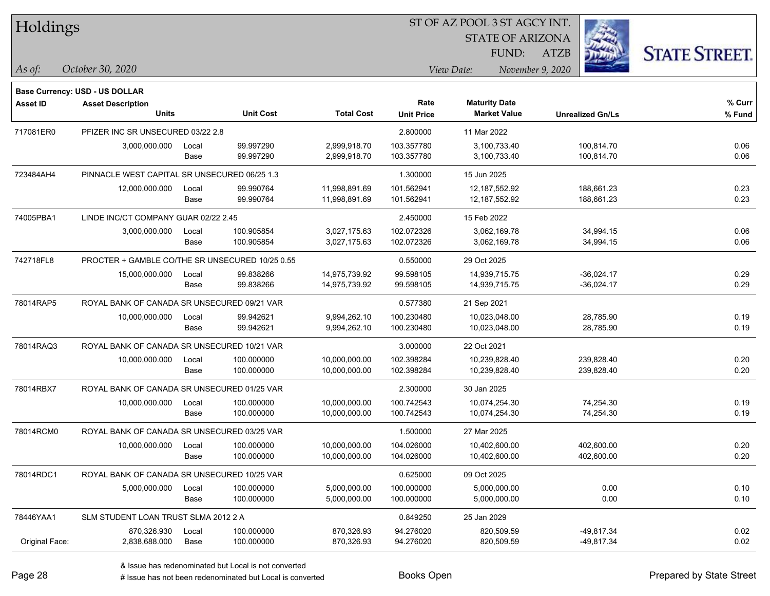| Holdings        |                                                 |       |                  |                   |                   |                                |                         |                      |
|-----------------|-------------------------------------------------|-------|------------------|-------------------|-------------------|--------------------------------|-------------------------|----------------------|
|                 |                                                 |       |                  |                   |                   | <b>STATE OF ARIZONA</b>        |                         |                      |
|                 |                                                 |       |                  |                   |                   | FUND:                          | <b>ATZB</b>             | <b>STATE STREET.</b> |
| As of:          | October 30, 2020                                |       |                  |                   |                   | View Date:<br>November 9, 2020 |                         |                      |
|                 | Base Currency: USD - US DOLLAR                  |       |                  |                   |                   |                                |                         |                      |
| <b>Asset ID</b> | <b>Asset Description</b>                        |       |                  |                   | Rate              | <b>Maturity Date</b>           |                         | % Curr               |
|                 | Units                                           |       | <b>Unit Cost</b> | <b>Total Cost</b> | <b>Unit Price</b> | <b>Market Value</b>            | <b>Unrealized Gn/Ls</b> | % Fund               |
| 717081ER0       | PFIZER INC SR UNSECURED 03/22 2.8               |       |                  |                   | 2.800000          | 11 Mar 2022                    |                         |                      |
|                 | 3,000,000.000                                   | Local | 99.997290        | 2,999,918.70      | 103.357780        | 3,100,733.40                   | 100,814.70              | 0.06                 |
|                 |                                                 | Base  | 99.997290        | 2,999,918.70      | 103.357780        | 3,100,733.40                   | 100,814.70              | 0.06                 |
| 723484AH4       | PINNACLE WEST CAPITAL SR UNSECURED 06/25 1.3    |       |                  |                   | 1.300000          | 15 Jun 2025                    |                         |                      |
|                 | 12,000,000.000                                  | Local | 99.990764        | 11,998,891.69     | 101.562941        | 12,187,552.92                  | 188,661.23              | 0.23                 |
|                 |                                                 | Base  | 99.990764        | 11,998,891.69     | 101.562941        | 12,187,552.92                  | 188,661.23              | 0.23                 |
| 74005PBA1       | LINDE INC/CT COMPANY GUAR 02/22 2.45            |       |                  |                   | 2.450000          | 15 Feb 2022                    |                         |                      |
|                 | 3,000,000.000                                   | Local | 100.905854       | 3,027,175.63      | 102.072326        | 3,062,169.78                   | 34,994.15               | 0.06                 |
|                 |                                                 | Base  | 100.905854       | 3,027,175.63      | 102.072326        | 3,062,169.78                   | 34,994.15               | 0.06                 |
| 742718FL8       | PROCTER + GAMBLE CO/THE SR UNSECURED 10/25 0.55 |       |                  |                   | 0.550000          | 29 Oct 2025                    |                         |                      |
|                 | 15,000,000.000                                  | Local | 99.838266        | 14,975,739.92     | 99.598105         | 14,939,715.75                  | $-36,024.17$            | 0.29                 |
|                 |                                                 | Base  | 99.838266        | 14,975,739.92     | 99.598105         | 14,939,715.75                  | $-36,024.17$            | 0.29                 |
| 78014RAP5       | ROYAL BANK OF CANADA SR UNSECURED 09/21 VAR     |       |                  |                   | 0.577380          | 21 Sep 2021                    |                         |                      |
|                 | 10,000,000.000                                  | Local | 99.942621        | 9,994,262.10      | 100.230480        | 10,023,048.00                  | 28,785.90               | 0.19                 |
|                 |                                                 | Base  | 99.942621        | 9,994,262.10      | 100.230480        | 10,023,048.00                  | 28,785.90               | 0.19                 |
| 78014RAQ3       | ROYAL BANK OF CANADA SR UNSECURED 10/21 VAR     |       |                  |                   | 3.000000          | 22 Oct 2021                    |                         |                      |
|                 | 10,000,000.000                                  | Local | 100.000000       | 10,000,000.00     | 102.398284        | 10,239,828.40                  | 239,828.40              | 0.20                 |
|                 |                                                 | Base  | 100.000000       | 10,000,000.00     | 102.398284        | 10,239,828.40                  | 239,828.40              | 0.20                 |
| 78014RBX7       | ROYAL BANK OF CANADA SR UNSECURED 01/25 VAR     |       |                  |                   | 2.300000          | 30 Jan 2025                    |                         |                      |
|                 | 10,000,000.000                                  | Local | 100.000000       | 10,000,000.00     | 100.742543        | 10,074,254.30                  | 74,254.30               | 0.19                 |
|                 |                                                 | Base  | 100.000000       | 10,000,000.00     | 100.742543        | 10,074,254.30                  | 74,254.30               | 0.19                 |
| 78014RCM0       | ROYAL BANK OF CANADA SR UNSECURED 03/25 VAR     |       |                  |                   | 1.500000          | 27 Mar 2025                    |                         |                      |
|                 | 10,000,000.000                                  | Local | 100.000000       | 10,000,000.00     | 104.026000        | 10,402,600.00                  | 402,600.00              | 0.20                 |
|                 |                                                 | Base  | 100.000000       | 10,000,000.00     | 104.026000        | 10,402,600.00                  | 402,600.00              | 0.20                 |
| 78014RDC1       | ROYAL BANK OF CANADA SR UNSECURED 10/25 VAR     |       |                  |                   | 0.625000          | 09 Oct 2025                    |                         |                      |
|                 | 5,000,000.000                                   | Local | 100.000000       | 5,000,000.00      | 100.000000        | 5,000,000.00                   | 0.00                    | 0.10                 |
|                 |                                                 | Base  | 100.000000       | 5,000,000.00      | 100.000000        | 5,000,000.00                   | 0.00                    | 0.10                 |
| 78446YAA1       | SLM STUDENT LOAN TRUST SLMA 2012 2 A            |       |                  |                   | 0.849250          | 25 Jan 2029                    |                         |                      |
|                 | 870,326.930                                     | Local | 100.000000       | 870,326.93        | 94.276020         | 820,509.59                     | -49,817.34              | 0.02                 |

Original Face: 2,838,688.000 Base 100.000000 870,326.93 94.276020 820,509.59 -49,817.34 0.02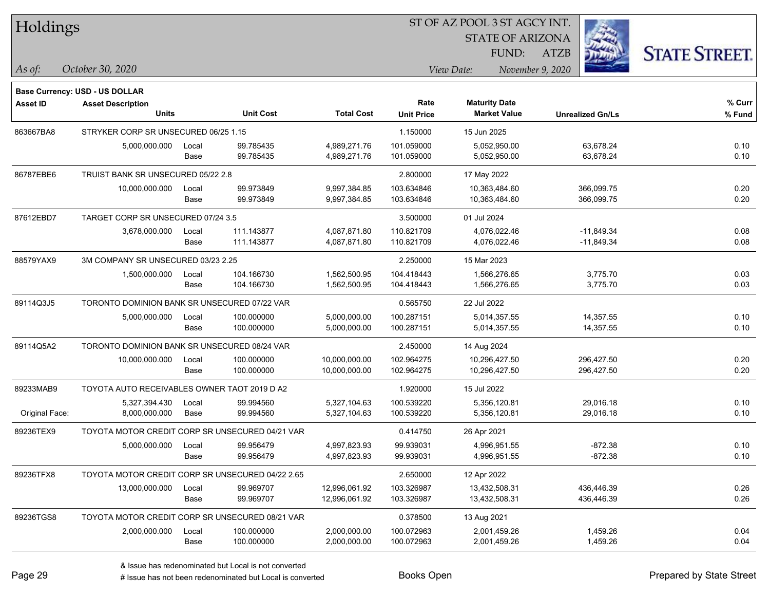| Holdings |
|----------|
|----------|

STATE OF ARIZONA

ATZB



**Base Currency: USD - US DOLLAR**

*October 30, 2020 As of: View Date: November 9, 2020* FUND:

| <b>Asset ID</b> | <b>Asset Description</b><br><b>Units</b>         |               | <b>Unit Cost</b>         | <b>Total Cost</b>              | Rate<br><b>Unit Price</b> | <b>Maturity Date</b><br><b>Market Value</b> | <b>Unrealized Gn/Ls</b>    | % Curr<br>% Fund |
|-----------------|--------------------------------------------------|---------------|--------------------------|--------------------------------|---------------------------|---------------------------------------------|----------------------------|------------------|
| 863667BA8       | STRYKER CORP SR UNSECURED 06/25 1.15             |               |                          |                                | 1.150000                  | 15 Jun 2025                                 |                            |                  |
|                 | 5,000,000.000                                    | Local<br>Base | 99.785435<br>99.785435   | 4,989,271.76<br>4,989,271.76   | 101.059000<br>101.059000  | 5.052.950.00<br>5,052,950.00                | 63,678.24<br>63,678.24     | 0.10<br>0.10     |
| 86787EBE6       | TRUIST BANK SR UNSECURED 05/22 2.8               |               |                          |                                | 2.800000                  | 17 May 2022                                 |                            |                  |
|                 | 10,000,000.000                                   | Local<br>Base | 99.973849<br>99.973849   | 9,997,384.85<br>9,997,384.85   | 103.634846<br>103.634846  | 10,363,484.60<br>10,363,484.60              | 366,099.75<br>366,099.75   | 0.20<br>0.20     |
| 87612EBD7       | TARGET CORP SR UNSECURED 07/24 3.5               |               |                          |                                | 3.500000                  | 01 Jul 2024                                 |                            |                  |
|                 | 3,678,000.000                                    | Local<br>Base | 111.143877<br>111.143877 | 4,087,871.80<br>4,087,871.80   | 110.821709<br>110.821709  | 4,076,022.46<br>4,076,022.46                | -11,849.34<br>$-11,849.34$ | 0.08<br>0.08     |
| 88579YAX9       | 3M COMPANY SR UNSECURED 03/23 2.25               |               |                          |                                | 2.250000                  | 15 Mar 2023                                 |                            |                  |
|                 | 1,500,000.000                                    | Local<br>Base | 104.166730<br>104.166730 | 1,562,500.95<br>1,562,500.95   | 104.418443<br>104.418443  | 1.566.276.65<br>1,566,276.65                | 3,775.70<br>3,775.70       | 0.03<br>0.03     |
| 89114Q3J5       | TORONTO DOMINION BANK SR UNSECURED 07/22 VAR     |               |                          |                                | 0.565750                  | 22 Jul 2022                                 |                            |                  |
|                 | 5,000,000.000                                    | Local<br>Base | 100.000000<br>100.000000 | 5,000,000.00<br>5,000,000.00   | 100.287151<br>100.287151  | 5,014,357.55<br>5,014,357.55                | 14,357.55<br>14,357.55     | 0.10<br>0.10     |
| 89114Q5A2       | TORONTO DOMINION BANK SR UNSECURED 08/24 VAR     |               |                          |                                | 2.450000                  | 14 Aug 2024                                 |                            |                  |
|                 | 10,000,000.000                                   | Local<br>Base | 100.000000<br>100.000000 | 10,000,000.00<br>10,000,000.00 | 102.964275<br>102.964275  | 10,296,427.50<br>10,296,427.50              | 296,427.50<br>296,427.50   | 0.20<br>0.20     |
| 89233MAB9       | TOYOTA AUTO RECEIVABLES OWNER TAOT 2019 D A2     |               |                          |                                | 1.920000                  | 15 Jul 2022                                 |                            |                  |
| Original Face:  | 5,327,394.430<br>8,000,000.000                   | Local<br>Base | 99.994560<br>99.994560   | 5,327,104.63<br>5,327,104.63   | 100.539220<br>100.539220  | 5,356,120.81<br>5,356,120.81                | 29,016.18<br>29,016.18     | 0.10<br>0.10     |
| 89236TEX9       | TOYOTA MOTOR CREDIT CORP SR UNSECURED 04/21 VAR  |               |                          |                                | 0.414750                  | 26 Apr 2021                                 |                            |                  |
|                 | 5,000,000.000                                    | Local<br>Base | 99.956479<br>99.956479   | 4,997,823.93<br>4,997,823.93   | 99.939031<br>99.939031    | 4,996,951.55<br>4,996,951.55                | $-872.38$<br>$-872.38$     | 0.10<br>0.10     |
| 89236TFX8       | TOYOTA MOTOR CREDIT CORP SR UNSECURED 04/22 2.65 |               |                          |                                | 2.650000                  | 12 Apr 2022                                 |                            |                  |
|                 | 13,000,000.000                                   | Local<br>Base | 99.969707<br>99.969707   | 12,996,061.92<br>12,996,061.92 | 103.326987<br>103.326987  | 13,432,508.31<br>13,432,508.31              | 436,446.39<br>436,446.39   | 0.26<br>0.26     |
| 89236TGS8       | TOYOTA MOTOR CREDIT CORP SR UNSECURED 08/21 VAR  |               |                          |                                | 0.378500                  | 13 Aug 2021                                 |                            |                  |
|                 | 2,000,000.000                                    | Local<br>Base | 100.000000<br>100.000000 | 2,000,000.00<br>2,000,000.00   | 100.072963<br>100.072963  | 2,001,459.26<br>2,001,459.26                | 1,459.26<br>1,459.26       | 0.04<br>0.04     |

A ISSUE ISSUE ISSUE ISSUE ISSUE ISSUE ISSUE ISSUE ISSUE ISSUE ISSUE ISSUE ISSUE ISSUE ISSUE ISSUE ISSUE ISSUE I<br>
A ISSUE has not been redenominated but Local is converted **Books Open Books ISSUE ISSUE ISSUE ISSUE ISSUE I**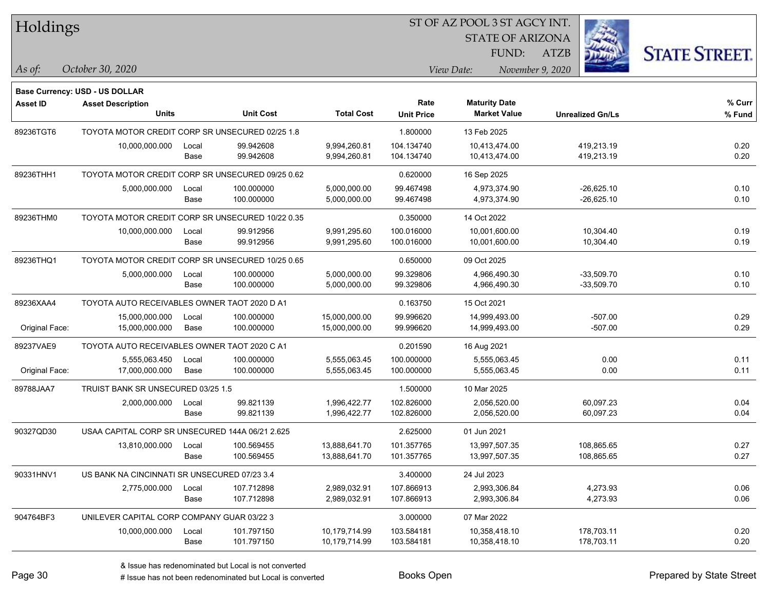| Holdings |
|----------|
|          |

STATE OF ARIZONA

ATZB



**Base Currency: USD - US DOLLAR**

| <b>Asset ID</b> | <b>Asset Description</b><br><b>Units</b>         |       | <b>Unit Cost</b> | <b>Total Cost</b> | Rate<br><b>Unit Price</b> | <b>Maturity Date</b><br><b>Market Value</b> |                         | % Curr<br>% Fund |
|-----------------|--------------------------------------------------|-------|------------------|-------------------|---------------------------|---------------------------------------------|-------------------------|------------------|
|                 |                                                  |       |                  |                   |                           |                                             | <b>Unrealized Gn/Ls</b> |                  |
| 89236TGT6       | TOYOTA MOTOR CREDIT CORP SR UNSECURED 02/25 1.8  |       |                  |                   | 1.800000                  | 13 Feb 2025                                 |                         |                  |
|                 | 10,000,000.000                                   | Local | 99.942608        | 9,994,260.81      | 104.134740                | 10,413,474.00                               | 419,213.19              | 0.20             |
|                 |                                                  | Base  | 99.942608        | 9,994,260.81      | 104.134740                | 10,413,474.00                               | 419,213.19              | 0.20             |
| 89236THH1       | TOYOTA MOTOR CREDIT CORP SR UNSECURED 09/25 0.62 |       |                  |                   | 0.620000                  | 16 Sep 2025                                 |                         |                  |
|                 | 5,000,000.000                                    | Local | 100.000000       | 5,000,000.00      | 99.467498                 | 4,973,374.90                                | $-26,625.10$            | 0.10             |
|                 |                                                  | Base  | 100.000000       | 5,000,000.00      | 99.467498                 | 4,973,374.90                                | $-26,625.10$            | 0.10             |
| 89236THM0       | TOYOTA MOTOR CREDIT CORP SR UNSECURED 10/22 0.35 |       |                  |                   | 0.350000                  | 14 Oct 2022                                 |                         |                  |
|                 | 10,000,000.000                                   | Local | 99.912956        | 9,991,295.60      | 100.016000                | 10,001,600.00                               | 10,304.40               | 0.19             |
|                 |                                                  | Base  | 99.912956        | 9,991,295.60      | 100.016000                | 10,001,600.00                               | 10,304.40               | 0.19             |
| 89236THQ1       | TOYOTA MOTOR CREDIT CORP SR UNSECURED 10/25 0.65 |       |                  |                   | 0.650000                  | 09 Oct 2025                                 |                         |                  |
|                 | 5,000,000.000                                    | Local | 100.000000       | 5,000,000.00      | 99.329806                 | 4,966,490.30                                | $-33,509.70$            | 0.10             |
|                 |                                                  | Base  | 100.000000       | 5,000,000.00      | 99.329806                 | 4,966,490.30                                | $-33,509.70$            | 0.10             |
| 89236XAA4       | TOYOTA AUTO RECEIVABLES OWNER TAOT 2020 D A1     |       |                  | 0.163750          | 15 Oct 2021               |                                             |                         |                  |
|                 | 15,000,000.000                                   | Local | 100.000000       | 15,000,000.00     | 99.996620                 | 14,999,493.00                               | $-507.00$               | 0.29             |
| Original Face:  | 15,000,000.000                                   | Base  | 100.000000       | 15,000,000.00     | 99.996620                 | 14,999,493.00                               | $-507.00$               | 0.29             |
| 89237VAE9       | TOYOTA AUTO RECEIVABLES OWNER TAOT 2020 C A1     |       |                  |                   | 0.201590                  | 16 Aug 2021                                 |                         |                  |
|                 | 5,555,063.450                                    | Local | 100.000000       | 5,555,063.45      | 100.000000                | 5,555,063.45                                | 0.00                    | 0.11             |
| Original Face:  | 17,000,000.000                                   | Base  | 100.000000       | 5,555,063.45      | 100.000000                | 5,555,063.45                                | 0.00                    | 0.11             |
| 89788JAA7       | TRUIST BANK SR UNSECURED 03/25 1.5               |       |                  |                   | 1.500000                  | 10 Mar 2025                                 |                         |                  |
|                 | 2,000,000.000                                    | Local | 99.821139        | 1,996,422.77      | 102.826000                | 2,056,520.00                                | 60,097.23               | 0.04             |
|                 |                                                  | Base  | 99.821139        | 1,996,422.77      | 102.826000                | 2,056,520.00                                | 60,097.23               | 0.04             |
| 90327QD30       | USAA CAPITAL CORP SR UNSECURED 144A 06/21 2.625  |       |                  |                   | 2.625000                  | 01 Jun 2021                                 |                         |                  |
|                 | 13,810,000.000                                   | Local | 100.569455       | 13,888,641.70     | 101.357765                | 13,997,507.35                               | 108,865.65              | 0.27             |
|                 |                                                  | Base  | 100.569455       | 13,888,641.70     | 101.357765                | 13,997,507.35                               | 108,865.65              | 0.27             |
| 90331HNV1       | US BANK NA CINCINNATI SR UNSECURED 07/23 3.4     |       |                  |                   | 3.400000                  | 24 Jul 2023                                 |                         |                  |
|                 | 2,775,000.000                                    | Local | 107.712898       | 2,989,032.91      | 107.866913                | 2,993,306.84                                | 4,273.93                | 0.06             |
|                 |                                                  | Base  | 107.712898       | 2,989,032.91      | 107.866913                | 2,993,306.84                                | 4,273.93                | 0.06             |
| 904764BF3       | UNILEVER CAPITAL CORP COMPANY GUAR 03/22 3       |       |                  |                   | 3.000000                  | 07 Mar 2022                                 |                         |                  |
|                 | 10,000,000.000                                   | Local | 101.797150       | 10,179,714.99     | 103.584181                | 10,358,418.10                               | 178,703.11              | 0.20             |
|                 |                                                  | Base  | 101.797150       | 10,179,714.99     | 103.584181                | 10,358,418.10                               | 178,703.11              | 0.20             |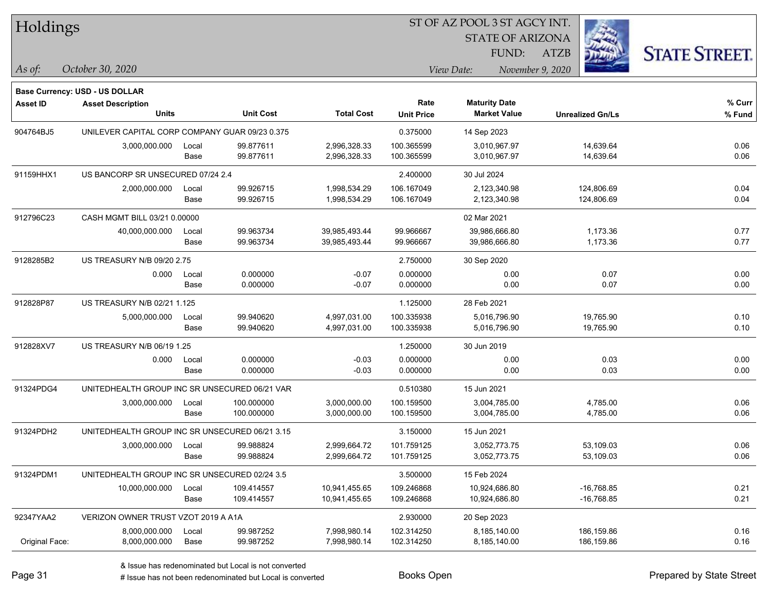| Holdings        |                                                |               |                          |                                | ST OF AZ POOL 3 ST AGCY INT. |                                             |                          |                     |
|-----------------|------------------------------------------------|---------------|--------------------------|--------------------------------|------------------------------|---------------------------------------------|--------------------------|---------------------|
|                 |                                                |               |                          |                                |                              | <b>STATE OF ARIZONA</b><br>FUND:            | <b>ATZB</b>              | <b>STATE STREET</b> |
| $\vert$ As of:  | October 30, 2020                               |               |                          |                                |                              | View Date:                                  | November 9, 2020         |                     |
|                 | <b>Base Currency: USD - US DOLLAR</b>          |               |                          |                                |                              |                                             |                          |                     |
| <b>Asset ID</b> | <b>Asset Description</b><br><b>Units</b>       |               | <b>Unit Cost</b>         | <b>Total Cost</b>              | Rate<br><b>Unit Price</b>    | <b>Maturity Date</b><br><b>Market Value</b> | <b>Unrealized Gn/Ls</b>  | % Cur<br>% Fun      |
| 904764BJ5       | UNILEVER CAPITAL CORP COMPANY GUAR 09/23 0.375 |               |                          |                                | 0.375000                     | 14 Sep 2023                                 |                          |                     |
|                 | 3,000,000.000                                  | Local<br>Base | 99.877611<br>99.877611   | 2,996,328.33<br>2,996,328.33   | 100.365599<br>100.365599     | 3.010.967.97<br>3,010,967.97                | 14,639.64<br>14,639.64   | 0.06<br>0.06        |
| 91159HHX1       | US BANCORP SR UNSECURED 07/24 2.4              |               |                          |                                | 2.400000                     | 30 Jul 2024                                 |                          |                     |
|                 | 2,000,000.000                                  | Local<br>Base | 99.926715<br>99.926715   | 1,998,534.29<br>1,998,534.29   | 106.167049<br>106.167049     | 2,123,340.98<br>2,123,340.98                | 124,806.69<br>124,806.69 | 0.04<br>0.04        |
| 912796C23       | CASH MGMT BILL 03/21 0.00000                   |               |                          |                                |                              | 02 Mar 2021                                 |                          |                     |
|                 | 40,000,000.000                                 | Local<br>Base | 99.963734<br>99.963734   | 39,985,493.44<br>39,985,493.44 | 99.966667<br>99.966667       | 39,986,666.80<br>39,986,666.80              | 1,173.36<br>1,173.36     | 0.77<br>0.77        |
| 9128285B2       | US TREASURY N/B 09/20 2.75                     |               |                          |                                | 2.750000                     | 30 Sep 2020                                 |                          |                     |
|                 | 0.000                                          | Local<br>Base | 0.000000<br>0.000000     | $-0.07$<br>$-0.07$             | 0.000000<br>0.000000         | 0.00<br>0.00                                | 0.07<br>0.07             | 0.00<br>0.00        |
| 912828P87       | US TREASURY N/B 02/21 1.125                    |               |                          |                                | 1.125000                     | 28 Feb 2021                                 |                          |                     |
|                 | 5,000,000.000                                  | Local<br>Base | 99.940620<br>99.940620   | 4,997,031.00<br>4,997,031.00   | 100.335938<br>100.335938     | 5,016,796.90<br>5,016,796.90                | 19,765.90<br>19,765.90   | 0.10<br>0.10        |
| 912828XV7       | US TREASURY N/B 06/19 1.25                     |               |                          |                                | 1.250000                     | 30 Jun 2019                                 |                          |                     |
|                 | 0.000                                          | Local<br>Base | 0.000000<br>0.000000     | $-0.03$<br>$-0.03$             | 0.000000<br>0.000000         | 0.00<br>0.00                                | 0.03<br>0.03             | 0.00<br>0.00        |
| 91324PDG4       | UNITEDHEALTH GROUP INC SR UNSECURED 06/21 VAR  |               |                          |                                | 0.510380                     | 15 Jun 2021                                 |                          |                     |
|                 | 3,000,000.000                                  | Local<br>Base | 100.000000<br>100.000000 | 3,000,000.00<br>3,000,000.00   | 100.159500<br>100.159500     | 3,004,785.00<br>3,004,785.00                | 4,785.00<br>4,785.00     | 0.06<br>0.06        |
| 91324PDH2       | UNITEDHEALTH GROUP INC SR UNSECURED 06/21 3.15 |               |                          |                                | 3.150000                     | 15 Jun 2021                                 |                          |                     |
|                 | 3,000,000.000                                  | Local<br>Base | 99.988824<br>99.988824   | 2,999,664.72<br>2,999,664.72   | 101.759125<br>101.759125     | 3,052,773.75<br>3,052,773.75                | 53,109.03<br>53,109.03   | 0.06<br>0.06        |
| 91324PDM1       | UNITEDHEALTH GROUP INC SR UNSECURED 02/24 3.5  |               |                          |                                | 3.500000                     | 15 Feb 2024                                 |                          |                     |

10,000,000.000 Local 109.414557 10,941,455.65 109.246868 10,924,686.80 -16,768.85 0.21 Base 109.414557 10,941,455.65 109.246868 10,924,686.80 -16,768.85 0.21 92347YAA2 VERIZON OWNER TRUST VZOT 2019 A A1A 2.93000 2.930000 20 Sep 2023 8,000,000.000 Local 99.987252 7,998,980.14 102.314250 8,185,140.00 186,159.86 0.16 Original Face: 8,000,000.000 Base 99.987252 7,998,980.14 102.314250 8,185,140.00 186,159.86 0.16





**% Fund**

**% Curr**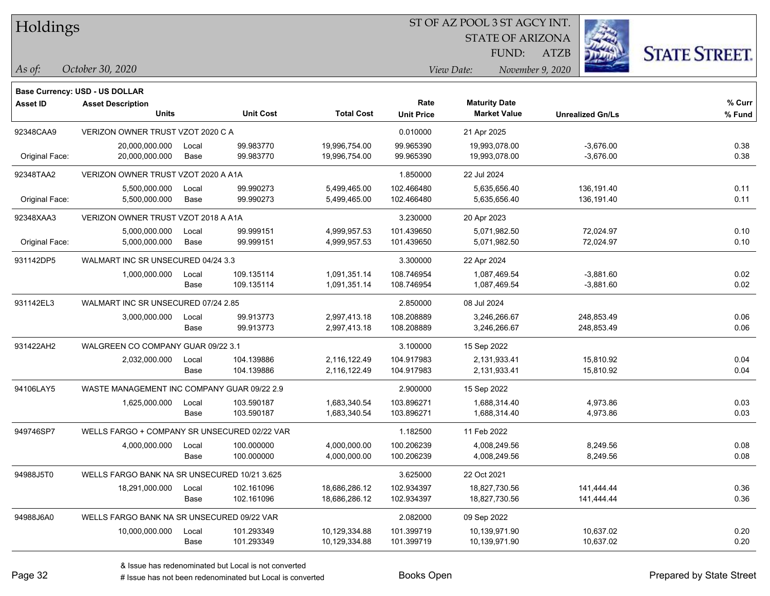| Holdings |
|----------|
|          |

STATE OF ARIZONA

ATZB



**Base Currency: USD - US DOLLAR**

| <b>Asset ID</b> | <b>Asset Description</b><br><b>Units</b>     |       | <b>Unit Cost</b> | <b>Total Cost</b> | Rate<br><b>Unit Price</b> | <b>Maturity Date</b><br><b>Market Value</b> | <b>Unrealized Gn/Ls</b> | % Curr<br>% Fund |  |  |
|-----------------|----------------------------------------------|-------|------------------|-------------------|---------------------------|---------------------------------------------|-------------------------|------------------|--|--|
| 92348CAA9       | VERIZON OWNER TRUST VZOT 2020 C A            |       |                  |                   | 0.010000                  | 21 Apr 2025                                 |                         |                  |  |  |
|                 | 20,000,000.000                               | Local | 99.983770        | 19,996,754.00     | 99.965390                 | 19,993,078.00                               | $-3,676.00$             | 0.38             |  |  |
| Original Face:  | 20,000,000.000                               | Base  | 99.983770        | 19,996,754.00     | 99.965390                 | 19,993,078.00                               | $-3,676.00$             | 0.38             |  |  |
| 92348TAA2       | VERIZON OWNER TRUST VZOT 2020 A A1A          |       |                  |                   | 1.850000                  | 22 Jul 2024                                 |                         |                  |  |  |
|                 | 5,500,000.000                                | Local | 99.990273        | 5,499,465.00      | 102.466480                | 5,635,656.40                                | 136,191.40              | 0.11             |  |  |
| Original Face:  | 5,500,000.000                                | Base  | 99.990273        | 5,499,465.00      | 102.466480                | 5,635,656.40                                | 136,191.40              | 0.11             |  |  |
| 92348XAA3       | VERIZON OWNER TRUST VZOT 2018 A A1A          |       |                  |                   | 3.230000                  | 20 Apr 2023                                 |                         |                  |  |  |
|                 | 5,000,000.000                                | Local | 99.999151        | 4,999,957.53      | 101.439650                | 5,071,982.50                                | 72,024.97               | 0.10             |  |  |
| Original Face:  | 5,000,000.000                                | Base  | 99.999151        | 4,999,957.53      | 101.439650                | 5,071,982.50                                | 72,024.97               | 0.10             |  |  |
| 931142DP5       | WALMART INC SR UNSECURED 04/24 3.3           |       |                  |                   | 3.300000                  | 22 Apr 2024                                 |                         |                  |  |  |
|                 | 1,000,000.000                                | Local | 109.135114       | 1,091,351.14      | 108.746954                | 1,087,469.54                                | $-3,881.60$             | 0.02             |  |  |
|                 |                                              | Base  | 109.135114       | 1,091,351.14      | 108.746954                | 1,087,469.54                                | $-3,881.60$             | 0.02             |  |  |
| 931142EL3       | WALMART INC SR UNSECURED 07/24 2.85          |       |                  |                   | 2.850000                  | 08 Jul 2024                                 |                         |                  |  |  |
|                 | 3,000,000.000                                | Local | 99.913773        | 2,997,413.18      | 108.208889                | 3,246,266.67                                | 248,853.49              | 0.06             |  |  |
|                 |                                              | Base  | 99.913773        | 2,997,413.18      | 108.208889                | 3,246,266.67                                | 248,853.49              | 0.06             |  |  |
| 931422AH2       | WALGREEN CO COMPANY GUAR 09/22 3.1           |       |                  |                   | 3.100000                  | 15 Sep 2022                                 |                         |                  |  |  |
|                 | 2,032,000.000                                | Local | 104.139886       | 2,116,122.49      | 104.917983                | 2,131,933.41                                | 15,810.92               | 0.04             |  |  |
|                 |                                              | Base  | 104.139886       | 2,116,122.49      | 104.917983                | 2,131,933.41                                | 15,810.92               | 0.04             |  |  |
| 94106LAY5       | WASTE MANAGEMENT INC COMPANY GUAR 09/22 2.9  |       |                  |                   | 2.900000                  | 15 Sep 2022                                 |                         |                  |  |  |
|                 | 1,625,000.000                                | Local | 103.590187       | 1,683,340.54      | 103.896271                | 1,688,314.40                                | 4,973.86                | 0.03             |  |  |
|                 |                                              | Base  | 103.590187       | 1,683,340.54      | 103.896271                | 1,688,314.40                                | 4,973.86                | 0.03             |  |  |
| 949746SP7       | WELLS FARGO + COMPANY SR UNSECURED 02/22 VAR |       |                  |                   | 1.182500                  | 11 Feb 2022                                 |                         |                  |  |  |
|                 | 4,000,000.000                                | Local | 100.000000       | 4,000,000.00      | 100.206239                | 4,008,249.56                                | 8,249.56                | 0.08             |  |  |
|                 |                                              | Base  | 100.000000       | 4,000,000.00      | 100.206239                | 4,008,249.56                                | 8,249.56                | 0.08             |  |  |
| 94988J5T0       | WELLS FARGO BANK NA SR UNSECURED 10/21 3.625 |       |                  |                   | 3.625000                  | 22 Oct 2021                                 |                         |                  |  |  |
|                 | 18,291,000.000                               | Local | 102.161096       | 18,686,286.12     | 102.934397                | 18,827,730.56                               | 141,444.44              | 0.36             |  |  |
|                 |                                              | Base  | 102.161096       | 18,686,286.12     | 102.934397                | 18,827,730.56                               | 141,444.44              | 0.36             |  |  |
| 94988J6A0       | WELLS FARGO BANK NA SR UNSECURED 09/22 VAR   |       |                  |                   | 2.082000                  | 09 Sep 2022                                 |                         |                  |  |  |
|                 | 10,000,000.000                               | Local | 101.293349       | 10,129,334.88     | 101.399719                | 10,139,971.90                               | 10,637.02               | 0.20             |  |  |
|                 |                                              | Base  | 101.293349       | 10,129,334.88     | 101.399719                | 10,139,971.90                               | 10,637.02               | 0.20             |  |  |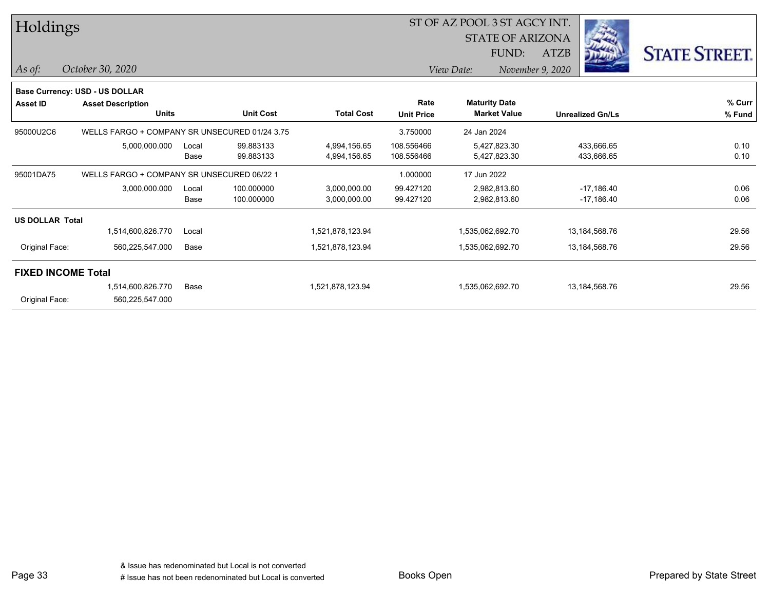| Holdings               |                                               |       |                  | ST OF AZ POOL 3 ST AGCY INT. |                   |                                             |                  |                         |                      |  |
|------------------------|-----------------------------------------------|-------|------------------|------------------------------|-------------------|---------------------------------------------|------------------|-------------------------|----------------------|--|
|                        |                                               |       |                  |                              |                   | <b>STATE OF ARIZONA</b>                     |                  |                         |                      |  |
|                        |                                               |       |                  |                              |                   | FUND:                                       | ATZB             |                         | <b>STATE STREET.</b> |  |
| As of:                 | October 30, 2020                              |       |                  |                              |                   | View Date:                                  | November 9, 2020 |                         |                      |  |
|                        | Base Currency: USD - US DOLLAR                |       |                  |                              |                   |                                             |                  |                         |                      |  |
| <b>Asset ID</b>        | <b>Asset Description</b><br><b>Units</b>      |       | <b>Unit Cost</b> | <b>Total Cost</b>            | Rate              | <b>Maturity Date</b><br><b>Market Value</b> |                  |                         | % Curr               |  |
|                        |                                               |       |                  |                              | <b>Unit Price</b> |                                             |                  | <b>Unrealized Gn/Ls</b> | % Fund               |  |
| 95000U2C6              | WELLS FARGO + COMPANY SR UNSECURED 01/24 3.75 |       |                  |                              | 3.750000          | 24 Jan 2024                                 |                  |                         |                      |  |
|                        | 5,000,000.000                                 | Local | 99.883133        | 4,994,156.65                 | 108.556466        | 5,427,823.30                                |                  | 433,666.65              | 0.10                 |  |
|                        |                                               | Base  | 99.883133        | 4,994,156.65                 | 108.556466        | 5,427,823.30                                |                  | 433,666.65              | 0.10                 |  |
| 95001DA75              | WELLS FARGO + COMPANY SR UNSECURED 06/22 1    |       |                  |                              | 1.000000          | 17 Jun 2022                                 |                  |                         |                      |  |
|                        | 3,000,000.000                                 | Local | 100.000000       | 3,000,000.00                 | 99.427120         | 2,982,813.60                                |                  | $-17,186.40$            | 0.06                 |  |
|                        |                                               | Base  | 100.000000       | 3,000,000.00                 | 99.427120         | 2,982,813.60                                |                  | $-17,186.40$            | 0.06                 |  |
| <b>US DOLLAR Total</b> |                                               |       |                  |                              |                   |                                             |                  |                         |                      |  |
|                        | 1,514,600,826.770                             | Local |                  | 1,521,878,123.94             |                   | 1,535,062,692.70                            |                  | 13,184,568.76           | 29.56                |  |
| Original Face:         | 560,225,547.000                               | Base  |                  | 1,521,878,123.94             |                   | 1,535,062,692.70                            |                  | 13,184,568.76           | 29.56                |  |
|                        | <b>FIXED INCOME Total</b>                     |       |                  |                              |                   |                                             |                  |                         |                      |  |
|                        | 1,514,600,826.770                             | Base  |                  | 1,521,878,123.94             |                   | 1,535,062,692.70                            |                  | 13,184,568.76           | 29.56                |  |
| Original Face:         | 560,225,547.000                               |       |                  |                              |                   |                                             |                  |                         |                      |  |

Page 33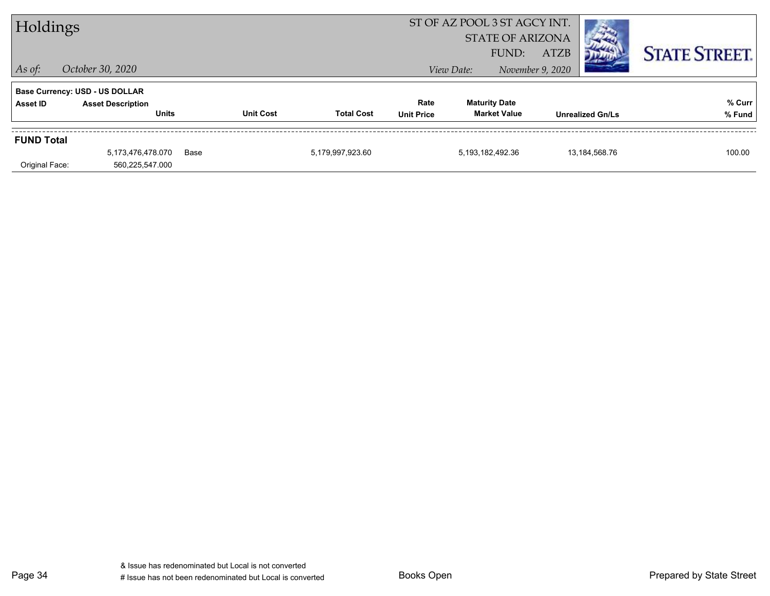| ST OF AZ POOL 3 ST AGCY INT.<br>Holdings<br><b>STATE OF ARIZONA</b><br><b>ATZB</b><br>FUND:<br>$\vert$ As of:<br>October 30, 2020<br>November 9, 2020<br>View Date: |                                                                                   |      |                  |                   |                           |                                             | <b>STATE STREET.</b> |                         |                  |
|---------------------------------------------------------------------------------------------------------------------------------------------------------------------|-----------------------------------------------------------------------------------|------|------------------|-------------------|---------------------------|---------------------------------------------|----------------------|-------------------------|------------------|
| Asset ID                                                                                                                                                            | <b>Base Currency: USD - US DOLLAR</b><br><b>Asset Description</b><br><b>Units</b> |      | <b>Unit Cost</b> | <b>Total Cost</b> | Rate<br><b>Unit Price</b> | <b>Maturity Date</b><br><b>Market Value</b> |                      | <b>Unrealized Gn/Ls</b> | % Curr<br>% Fund |
| <b>FUND Total</b><br>Original Face:                                                                                                                                 | 5,173,476,478.070<br>560,225,547.000                                              | Base |                  | 5,179,997,923.60  |                           | 5,193,182,492.36                            |                      | 13,184,568.76           | 100.00           |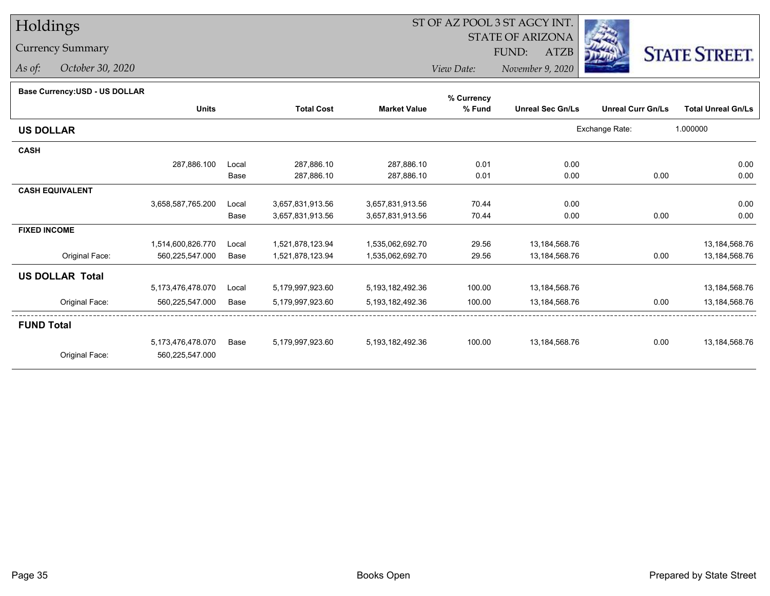# Holdings

## Currency Summary

*As of: October 30, 2020*

## ST OF AZ POOL 3 ST AGCY INT.

 STATE OF ARIZONAFUND:

ATZB



*View Date:November 9, 2020*

| Base Currency: USD - US DOLLAR |  |
|--------------------------------|--|
|                                |  |

| base currency.cop - oo bollenn |                   |       |                   |                      | % Currency |                         |                          |                           |
|--------------------------------|-------------------|-------|-------------------|----------------------|------------|-------------------------|--------------------------|---------------------------|
|                                | <b>Units</b>      |       | <b>Total Cost</b> | <b>Market Value</b>  | % Fund     | <b>Unreal Sec Gn/Ls</b> | <b>Unreal Curr Gn/Ls</b> | <b>Total Unreal Gn/Ls</b> |
| <b>US DOLLAR</b>               |                   |       |                   |                      |            |                         | Exchange Rate:           | 1.000000                  |
| <b>CASH</b>                    |                   |       |                   |                      |            |                         |                          |                           |
|                                | 287,886.100       | Local | 287,886.10        | 287,886.10           | 0.01       | 0.00                    |                          | 0.00                      |
|                                |                   | Base  | 287,886.10        | 287,886.10           | 0.01       | 0.00                    | 0.00                     | 0.00                      |
| <b>CASH EQUIVALENT</b>         |                   |       |                   |                      |            |                         |                          |                           |
|                                | 3,658,587,765.200 | Local | 3,657,831,913.56  | 3,657,831,913.56     | 70.44      | 0.00                    |                          | 0.00                      |
|                                |                   | Base  | 3,657,831,913.56  | 3,657,831,913.56     | 70.44      | 0.00                    | 0.00                     | 0.00                      |
| <b>FIXED INCOME</b>            |                   |       |                   |                      |            |                         |                          |                           |
|                                | 1,514,600,826.770 | Local | 1,521,878,123.94  | 1,535,062,692.70     | 29.56      | 13,184,568.76           |                          | 13,184,568.76             |
| Original Face:                 | 560,225,547.000   | Base  | 1,521,878,123.94  | 1,535,062,692.70     | 29.56      | 13,184,568.76           | 0.00                     | 13,184,568.76             |
| <b>US DOLLAR Total</b>         |                   |       |                   |                      |            |                         |                          |                           |
|                                | 5,173,476,478.070 | Local | 5,179,997,923.60  | 5, 193, 182, 492. 36 | 100.00     | 13,184,568.76           |                          | 13,184,568.76             |
| Original Face:                 | 560,225,547.000   | Base  | 5,179,997,923.60  | 5,193,182,492.36     | 100.00     | 13,184,568.76           | 0.00                     | 13,184,568.76             |
| <b>FUND Total</b>              |                   |       |                   |                      |            |                         |                          |                           |
|                                | 5,173,476,478.070 | Base  | 5,179,997,923.60  | 5,193,182,492.36     | 100.00     | 13,184,568.76           | 0.00                     | 13,184,568.76             |
| Original Face:                 | 560,225,547.000   |       |                   |                      |            |                         |                          |                           |
|                                |                   |       |                   |                      |            |                         |                          |                           |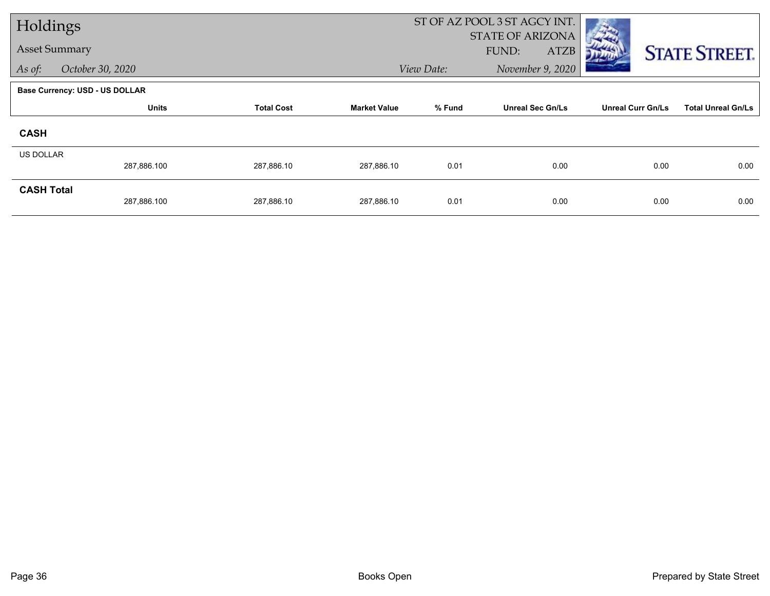| Holdings             |                                       |                                                    |            |                         | ST OF AZ POOL 3 ST AGCY INT. |                           |                      |
|----------------------|---------------------------------------|----------------------------------------------------|------------|-------------------------|------------------------------|---------------------------|----------------------|
| <b>Asset Summary</b> |                                       |                                                    |            |                         | <b>STATE OF ARIZONA</b>      |                           |                      |
|                      |                                       |                                                    |            |                         | <b>ATZB</b><br>FUND:         |                           | <b>STATE STREET.</b> |
| As of:               | October 30, 2020                      |                                                    |            | View Date:              | November 9, 2020             |                           |                      |
|                      | <b>Base Currency: USD - US DOLLAR</b> |                                                    |            |                         |                              |                           |                      |
|                      | <b>Units</b>                          | % Fund<br><b>Total Cost</b><br><b>Market Value</b> |            | <b>Unreal Sec Gn/Ls</b> | <b>Unreal Curr Gn/Ls</b>     | <b>Total Unreal Gn/Ls</b> |                      |
| <b>CASH</b>          |                                       |                                                    |            |                         |                              |                           |                      |
| <b>US DOLLAR</b>     |                                       |                                                    |            |                         |                              |                           |                      |
|                      | 287,886.100                           | 287,886.10                                         | 287,886.10 | 0.01                    | 0.00                         | 0.00                      | 0.00                 |
| <b>CASH Total</b>    |                                       |                                                    |            |                         |                              |                           |                      |
|                      | 287,886.100                           | 287,886.10                                         | 287,886.10 | 0.01                    | 0.00                         | 0.00                      | 0.00                 |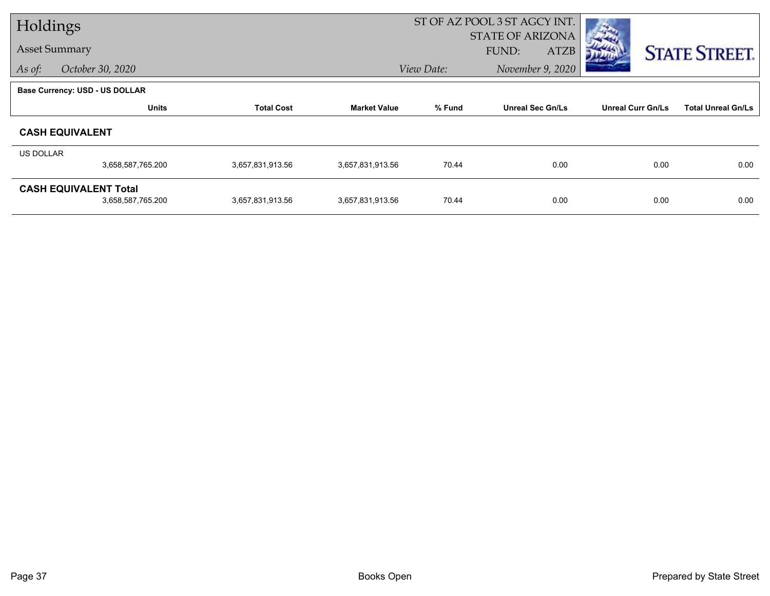|                      | Holdings                                          |                   |                     |            | ST OF AZ POOL 3 ST AGCY INT. |                          |                           |  |
|----------------------|---------------------------------------------------|-------------------|---------------------|------------|------------------------------|--------------------------|---------------------------|--|
|                      |                                                   |                   |                     |            | <b>STATE OF ARIZONA</b>      |                          |                           |  |
| <b>Asset Summary</b> |                                                   |                   |                     |            | FUND:<br><b>ATZB</b>         |                          | <b>STATE STREET.</b>      |  |
| As of:               | October 30, 2020                                  |                   |                     | View Date: | November 9, 2020             |                          |                           |  |
|                      | <b>Base Currency: USD - US DOLLAR</b>             |                   |                     |            |                              |                          |                           |  |
|                      | <b>Units</b>                                      | <b>Total Cost</b> | <b>Market Value</b> | % Fund     | <b>Unreal Sec Gn/Ls</b>      | <b>Unreal Curr Gn/Ls</b> | <b>Total Unreal Gn/Ls</b> |  |
|                      | <b>CASH EQUIVALENT</b>                            |                   |                     |            |                              |                          |                           |  |
| <b>US DOLLAR</b>     |                                                   |                   |                     |            |                              |                          |                           |  |
|                      | 3,658,587,765.200                                 | 3,657,831,913.56  | 3,657,831,913.56    | 70.44      | 0.00                         | 0.00                     | 0.00                      |  |
|                      | <b>CASH EQUIVALENT Total</b><br>3,658,587,765.200 | 3,657,831,913.56  | 3,657,831,913.56    | 70.44      | 0.00                         | 0.00                     | 0.00                      |  |
|                      |                                                   |                   |                     |            |                              |                          |                           |  |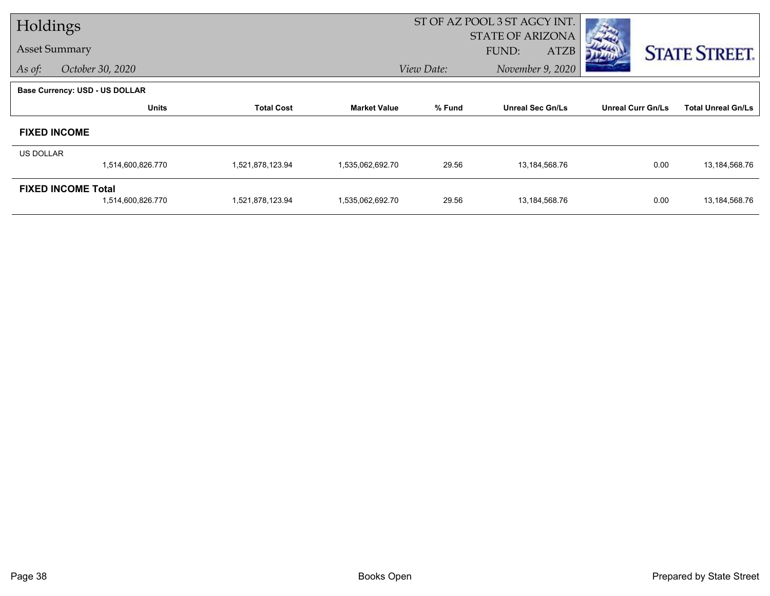|           | Holdings                              |                   |                     | ST OF AZ POOL 3 ST AGCY INT. |                         |                          |                           |
|-----------|---------------------------------------|-------------------|---------------------|------------------------------|-------------------------|--------------------------|---------------------------|
|           |                                       |                   |                     |                              | <b>STATE OF ARIZONA</b> |                          |                           |
|           | <b>Asset Summary</b>                  |                   |                     |                              | FUND:<br><b>ATZB</b>    |                          | <b>STATE STREET.</b>      |
| As of:    | October 30, 2020                      |                   |                     | View Date:                   | November 9, 2020        |                          |                           |
|           | <b>Base Currency: USD - US DOLLAR</b> |                   |                     |                              |                         |                          |                           |
|           | <b>Units</b>                          | <b>Total Cost</b> | <b>Market Value</b> | % Fund                       | <b>Unreal Sec Gn/Ls</b> | <b>Unreal Curr Gn/Ls</b> | <b>Total Unreal Gn/Ls</b> |
|           | <b>FIXED INCOME</b>                   |                   |                     |                              |                         |                          |                           |
| US DOLLAR |                                       |                   |                     |                              |                         |                          |                           |
|           | 1,514,600,826.770                     | 1,521,878,123.94  | 1,535,062,692.70    | 29.56                        | 13,184,568.76           | 0.00                     | 13,184,568.76             |
|           | <b>FIXED INCOME Total</b>             |                   |                     |                              |                         |                          |                           |
|           | 1,514,600,826.770                     | 1,521,878,123.94  | 1,535,062,692.70    | 29.56                        | 13,184,568.76           | 0.00                     | 13,184,568.76             |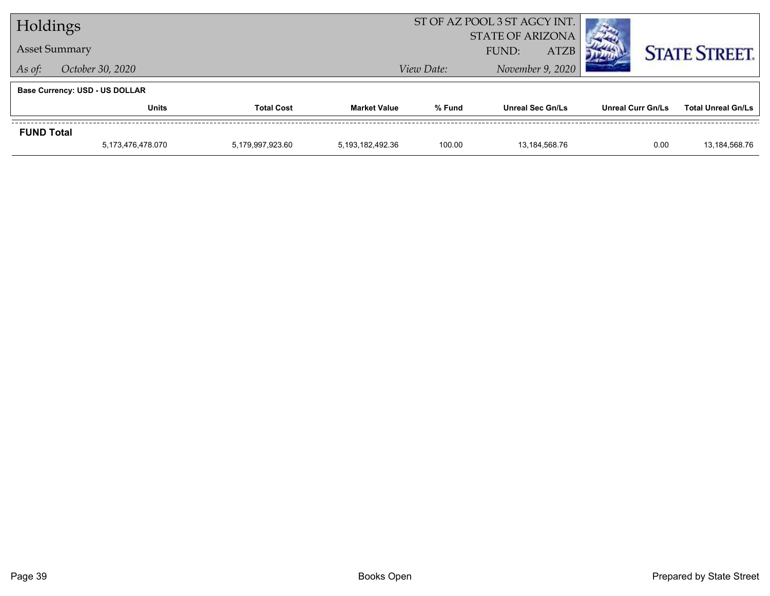| Holdings          |                                       |                   | ST OF AZ POOL 3 ST AGCY INT.   |        |                         |                          |                           |
|-------------------|---------------------------------------|-------------------|--------------------------------|--------|-------------------------|--------------------------|---------------------------|
|                   |                                       |                   | <b>STATE OF ARIZONA</b>        |        |                         |                          |                           |
|                   | <b>Asset Summary</b>                  |                   |                                |        | <b>ATZB</b><br>FUND:    |                          | <b>STATE STREET.</b>      |
| As of:            | October 30, 2020                      |                   | November 9, 2020<br>View Date: |        |                         |                          |                           |
|                   | <b>Base Currency: USD - US DOLLAR</b> |                   |                                |        |                         |                          |                           |
|                   | <b>Units</b>                          | <b>Total Cost</b> | <b>Market Value</b>            | % Fund | <b>Unreal Sec Gn/Ls</b> | <b>Unreal Curr Gn/Ls</b> | <b>Total Unreal Gn/Ls</b> |
| <b>FUND Total</b> |                                       |                   |                                |        |                         |                          |                           |
|                   | 5,173,476,478.070                     | 5,179,997,923.60  | 5.193.182.492.36               | 100.00 | 13.184.568.76           | 0.00                     | 13,184,568.76             |